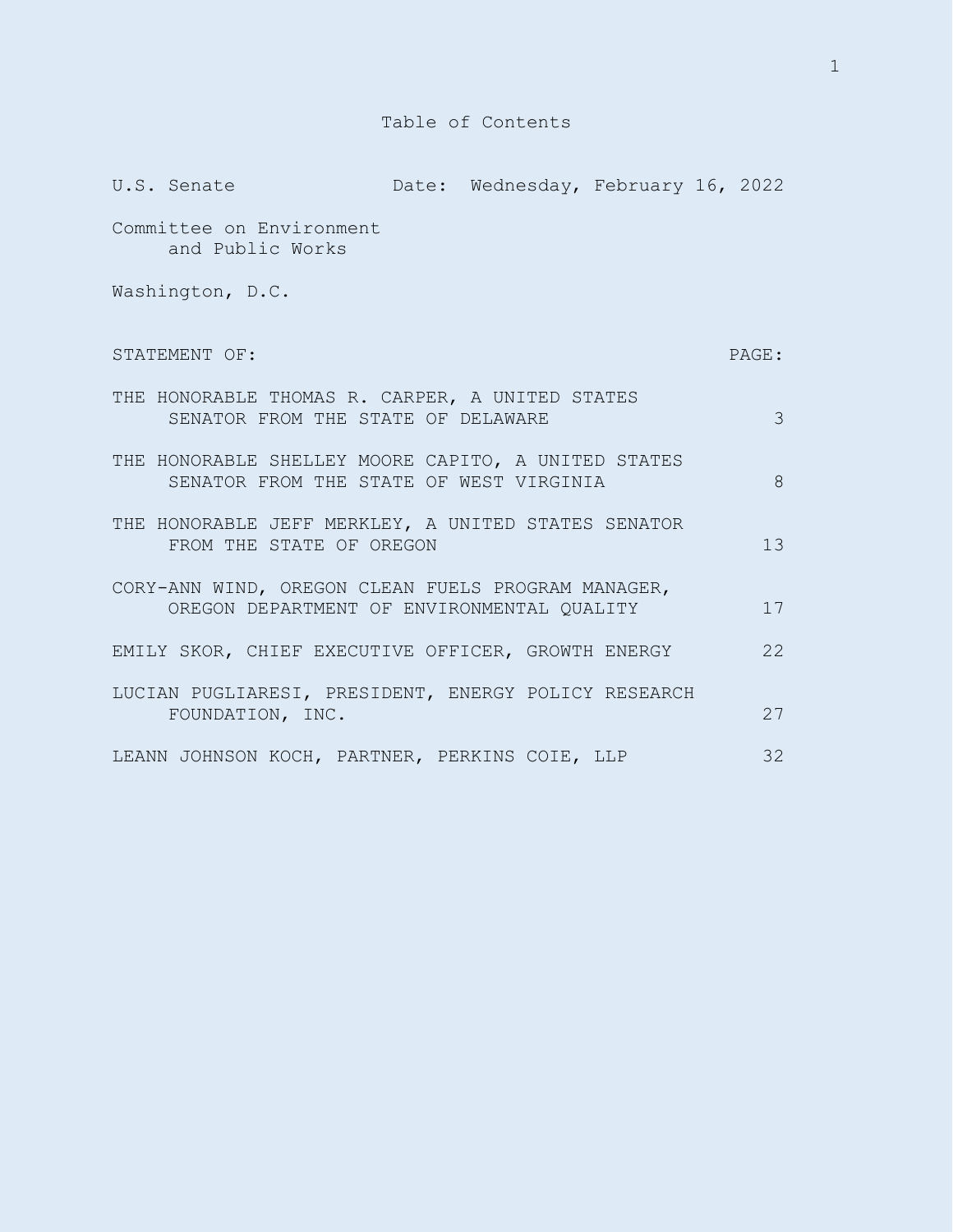## Table of Contents

| U.S. Senate                                                                                      | Date: Wednesday, February 16, 2022 |  |                 |
|--------------------------------------------------------------------------------------------------|------------------------------------|--|-----------------|
| Committee on Environment<br>and Public Works                                                     |                                    |  |                 |
| Washington, D.C.                                                                                 |                                    |  |                 |
| STATEMENT OF:                                                                                    |                                    |  | PAGE:           |
| THE HONORABLE THOMAS R. CARPER, A UNITED STATES<br>SENATOR FROM THE STATE OF DELAWARE            |                                    |  | 3               |
| THE HONORABLE SHELLEY MOORE CAPITO, A UNITED STATES<br>SENATOR FROM THE STATE OF WEST VIRGINIA   |                                    |  | 8               |
| THE HONORABLE JEFF MERKLEY, A UNITED STATES SENATOR<br>FROM THE STATE OF OREGON                  |                                    |  | 13 <sup>°</sup> |
| CORY-ANN WIND, OREGON CLEAN FUELS PROGRAM MANAGER,<br>OREGON DEPARTMENT OF ENVIRONMENTAL QUALITY |                                    |  | 17              |
| EMILY SKOR, CHIEF EXECUTIVE OFFICER, GROWTH ENERGY                                               |                                    |  | 22              |
| LUCIAN PUGLIARESI, PRESIDENT, ENERGY POLICY RESEARCH<br>FOUNDATION, INC.                         |                                    |  | 2.7             |
| LEANN JOHNSON KOCH, PARTNER, PERKINS COIE, LLP                                                   |                                    |  | 32              |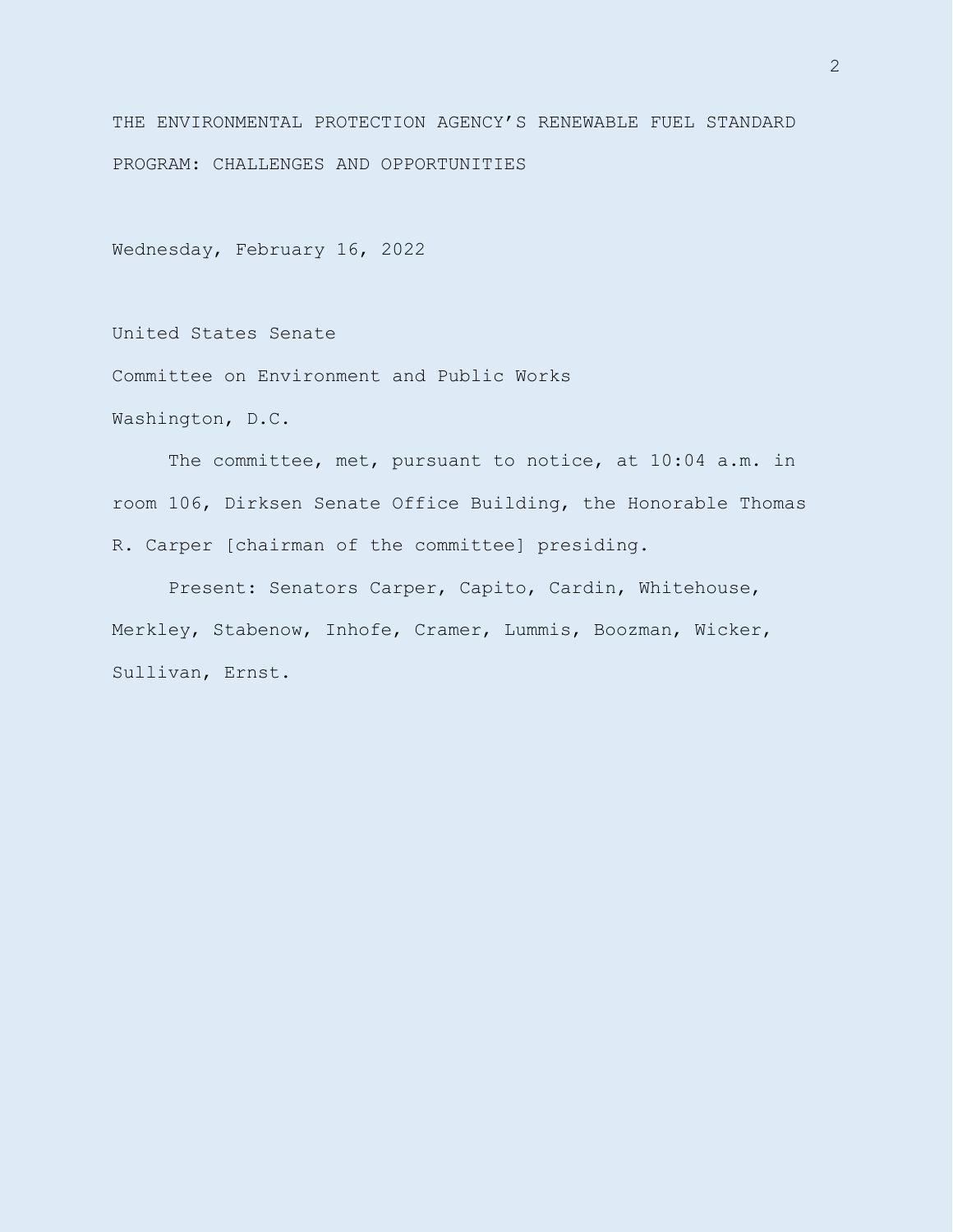THE ENVIRONMENTAL PROTECTION AGENCY'S RENEWABLE FUEL STANDARD PROGRAM: CHALLENGES AND OPPORTUNITIES

Wednesday, February 16, 2022

United States Senate

Committee on Environment and Public Works

Washington, D.C.

The committee, met, pursuant to notice, at 10:04 a.m. in room 106, Dirksen Senate Office Building, the Honorable Thomas R. Carper [chairman of the committee] presiding.

Present: Senators Carper, Capito, Cardin, Whitehouse, Merkley, Stabenow, Inhofe, Cramer, Lummis, Boozman, Wicker, Sullivan, Ernst.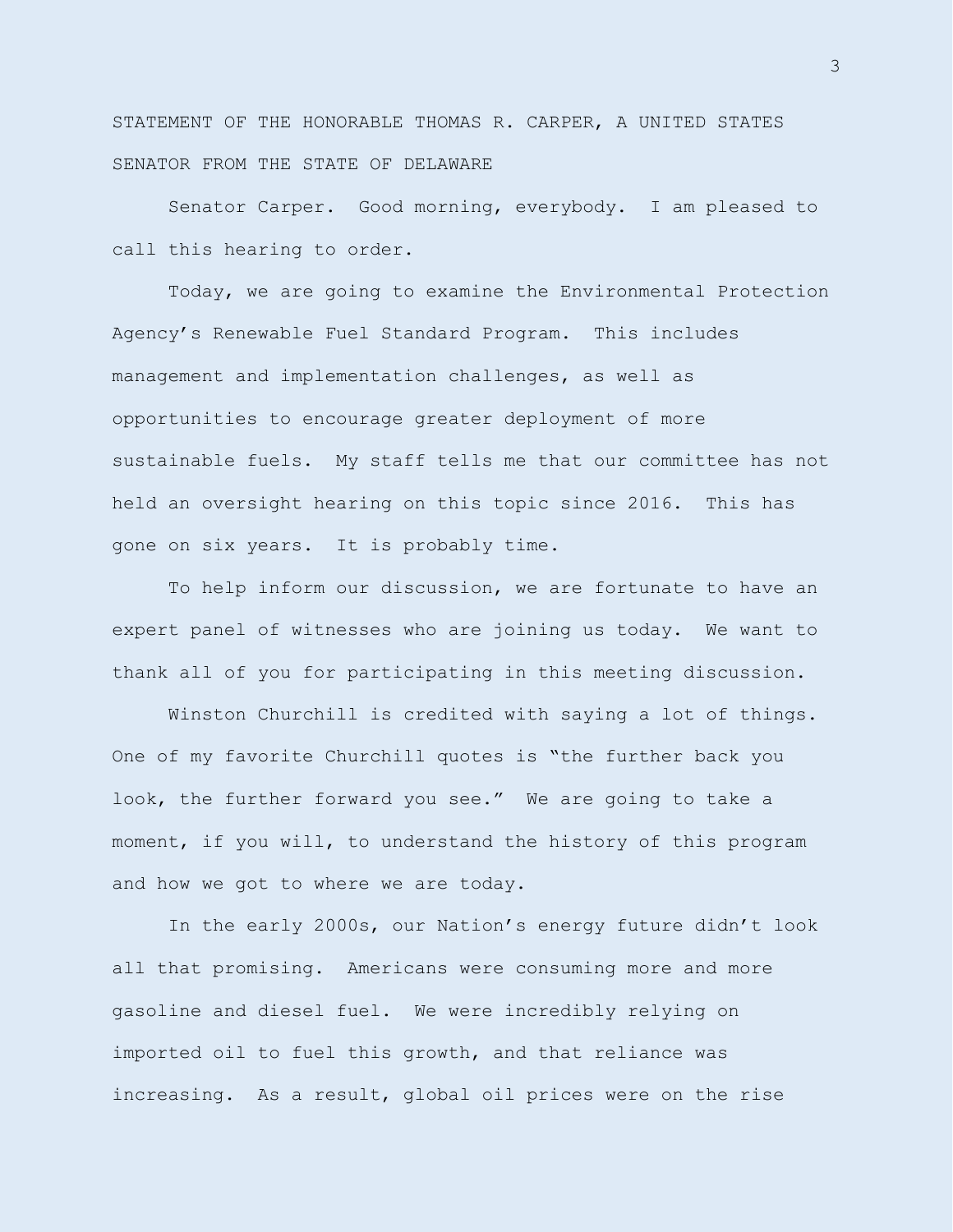STATEMENT OF THE HONORABLE THOMAS R. CARPER, A UNITED STATES SENATOR FROM THE STATE OF DELAWARE

Senator Carper. Good morning, everybody. I am pleased to call this hearing to order.

Today, we are going to examine the Environmental Protection Agency's Renewable Fuel Standard Program. This includes management and implementation challenges, as well as opportunities to encourage greater deployment of more sustainable fuels. My staff tells me that our committee has not held an oversight hearing on this topic since 2016. This has gone on six years. It is probably time.

To help inform our discussion, we are fortunate to have an expert panel of witnesses who are joining us today. We want to thank all of you for participating in this meeting discussion.

Winston Churchill is credited with saying a lot of things. One of my favorite Churchill quotes is "the further back you look, the further forward you see." We are going to take a moment, if you will, to understand the history of this program and how we got to where we are today.

In the early 2000s, our Nation's energy future didn't look all that promising. Americans were consuming more and more gasoline and diesel fuel. We were incredibly relying on imported oil to fuel this growth, and that reliance was increasing. As a result, global oil prices were on the rise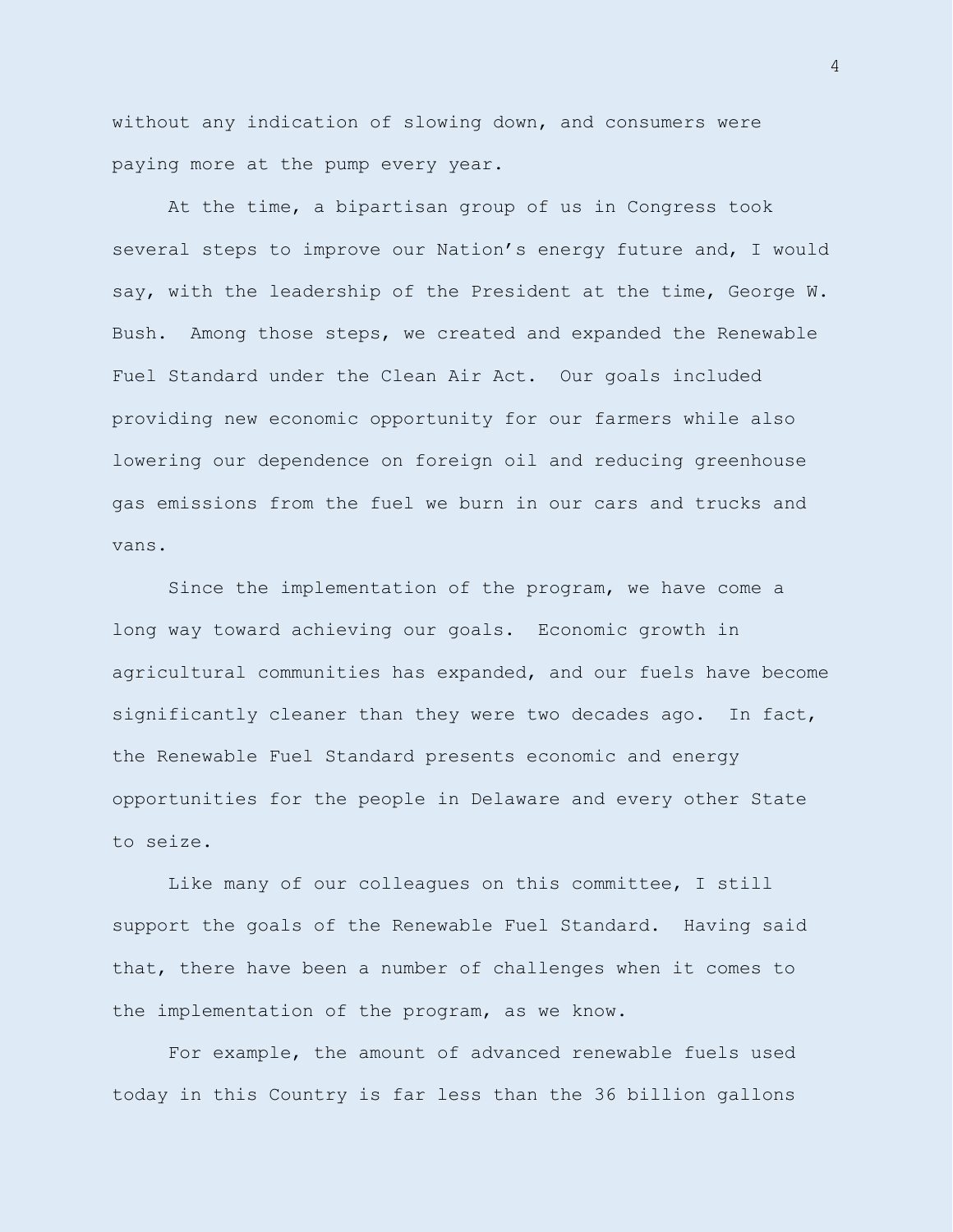without any indication of slowing down, and consumers were paying more at the pump every year.

At the time, a bipartisan group of us in Congress took several steps to improve our Nation's energy future and, I would say, with the leadership of the President at the time, George W. Bush. Among those steps, we created and expanded the Renewable Fuel Standard under the Clean Air Act. Our goals included providing new economic opportunity for our farmers while also lowering our dependence on foreign oil and reducing greenhouse gas emissions from the fuel we burn in our cars and trucks and vans.

Since the implementation of the program, we have come a long way toward achieving our goals. Economic growth in agricultural communities has expanded, and our fuels have become significantly cleaner than they were two decades ago. In fact, the Renewable Fuel Standard presents economic and energy opportunities for the people in Delaware and every other State to seize.

Like many of our colleagues on this committee, I still support the goals of the Renewable Fuel Standard. Having said that, there have been a number of challenges when it comes to the implementation of the program, as we know.

For example, the amount of advanced renewable fuels used today in this Country is far less than the 36 billion gallons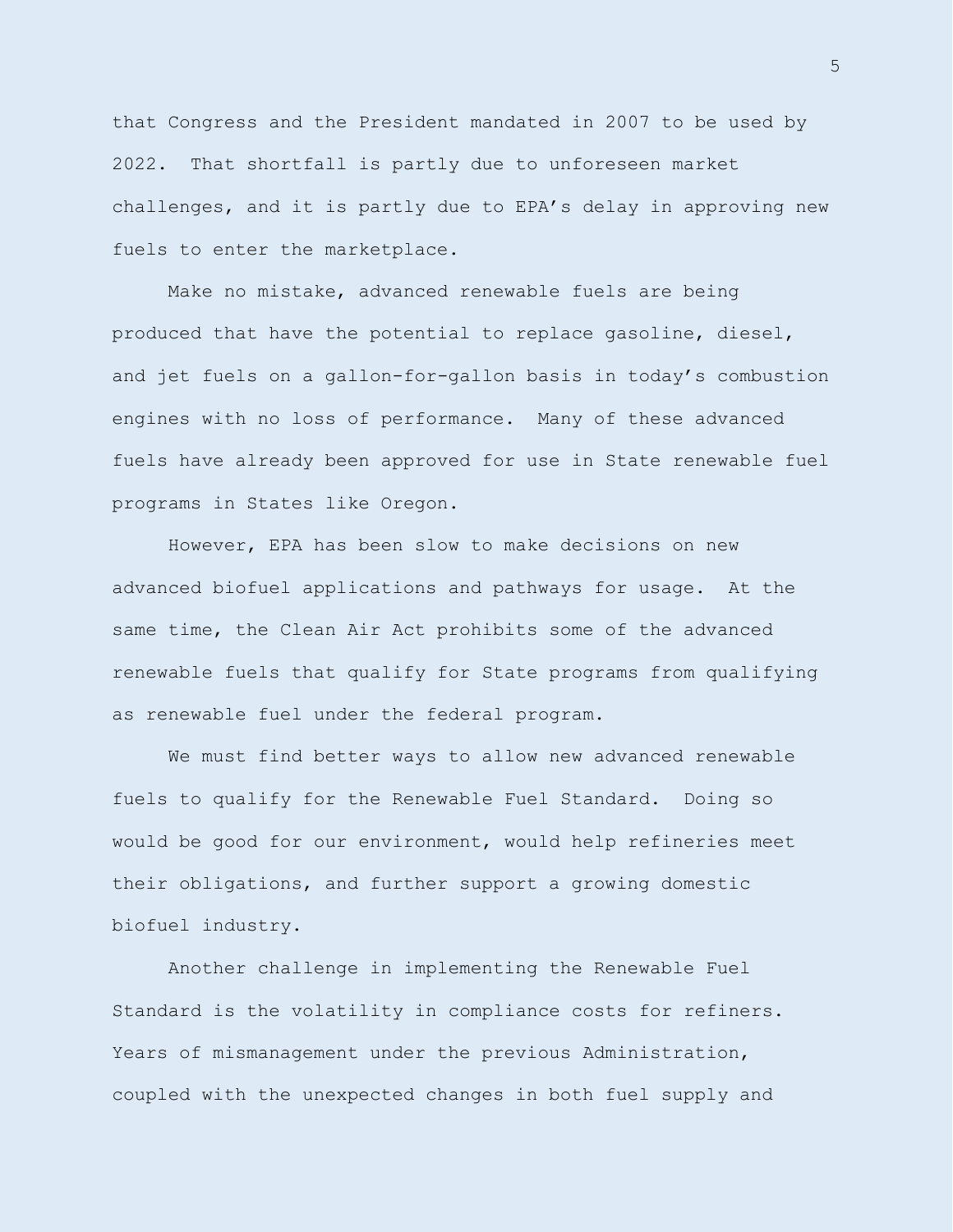that Congress and the President mandated in 2007 to be used by 2022. That shortfall is partly due to unforeseen market challenges, and it is partly due to EPA's delay in approving new fuels to enter the marketplace.

Make no mistake, advanced renewable fuels are being produced that have the potential to replace gasoline, diesel, and jet fuels on a gallon-for-gallon basis in today's combustion engines with no loss of performance. Many of these advanced fuels have already been approved for use in State renewable fuel programs in States like Oregon.

However, EPA has been slow to make decisions on new advanced biofuel applications and pathways for usage. At the same time, the Clean Air Act prohibits some of the advanced renewable fuels that qualify for State programs from qualifying as renewable fuel under the federal program.

We must find better ways to allow new advanced renewable fuels to qualify for the Renewable Fuel Standard. Doing so would be good for our environment, would help refineries meet their obligations, and further support a growing domestic biofuel industry.

Another challenge in implementing the Renewable Fuel Standard is the volatility in compliance costs for refiners. Years of mismanagement under the previous Administration, coupled with the unexpected changes in both fuel supply and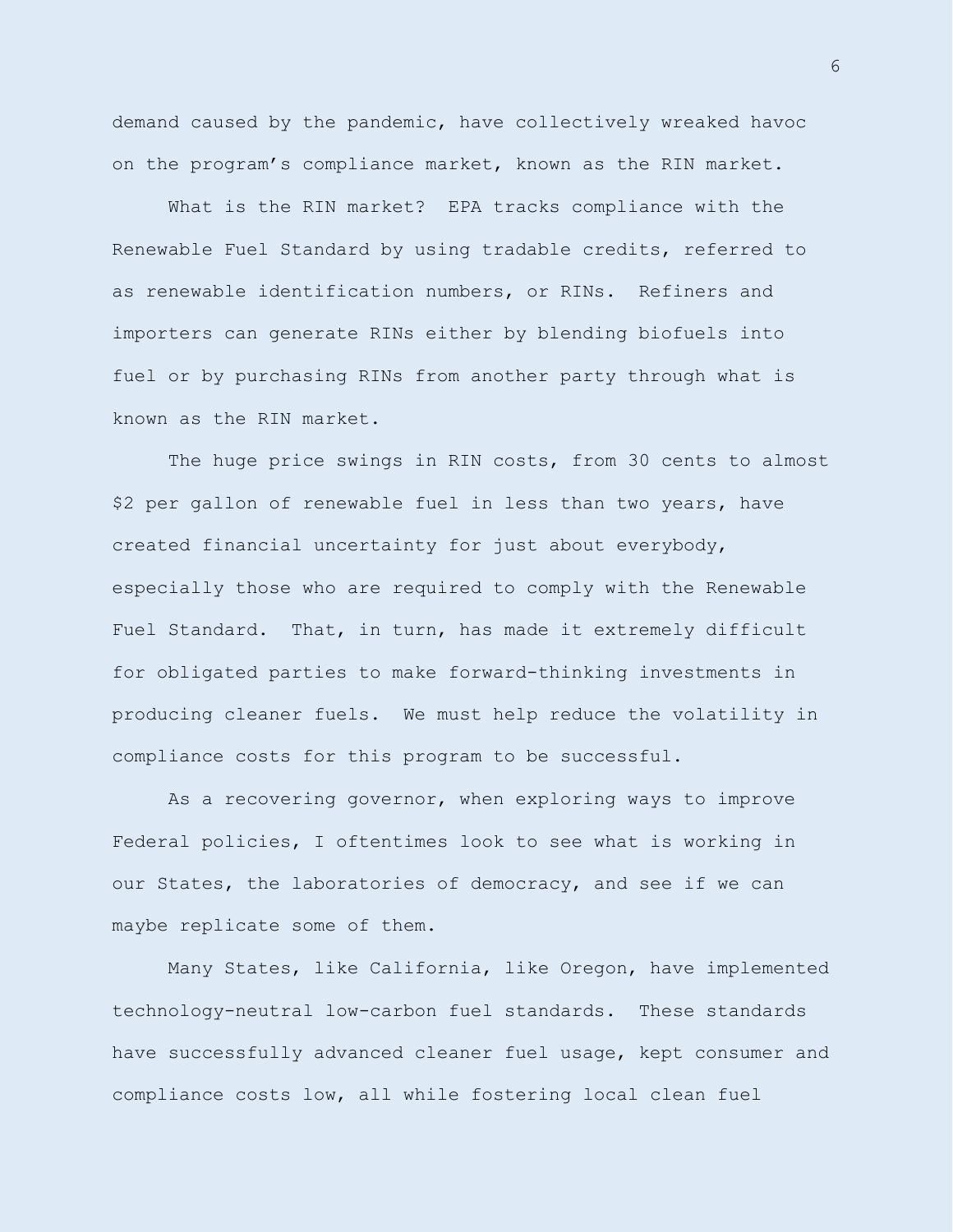demand caused by the pandemic, have collectively wreaked havoc on the program's compliance market, known as the RIN market.

What is the RIN market? EPA tracks compliance with the Renewable Fuel Standard by using tradable credits, referred to as renewable identification numbers, or RINs. Refiners and importers can generate RINs either by blending biofuels into fuel or by purchasing RINs from another party through what is known as the RIN market.

The huge price swings in RIN costs, from 30 cents to almost \$2 per gallon of renewable fuel in less than two years, have created financial uncertainty for just about everybody, especially those who are required to comply with the Renewable Fuel Standard. That, in turn, has made it extremely difficult for obligated parties to make forward-thinking investments in producing cleaner fuels. We must help reduce the volatility in compliance costs for this program to be successful.

As a recovering governor, when exploring ways to improve Federal policies, I oftentimes look to see what is working in our States, the laboratories of democracy, and see if we can maybe replicate some of them.

Many States, like California, like Oregon, have implemented technology-neutral low-carbon fuel standards. These standards have successfully advanced cleaner fuel usage, kept consumer and compliance costs low, all while fostering local clean fuel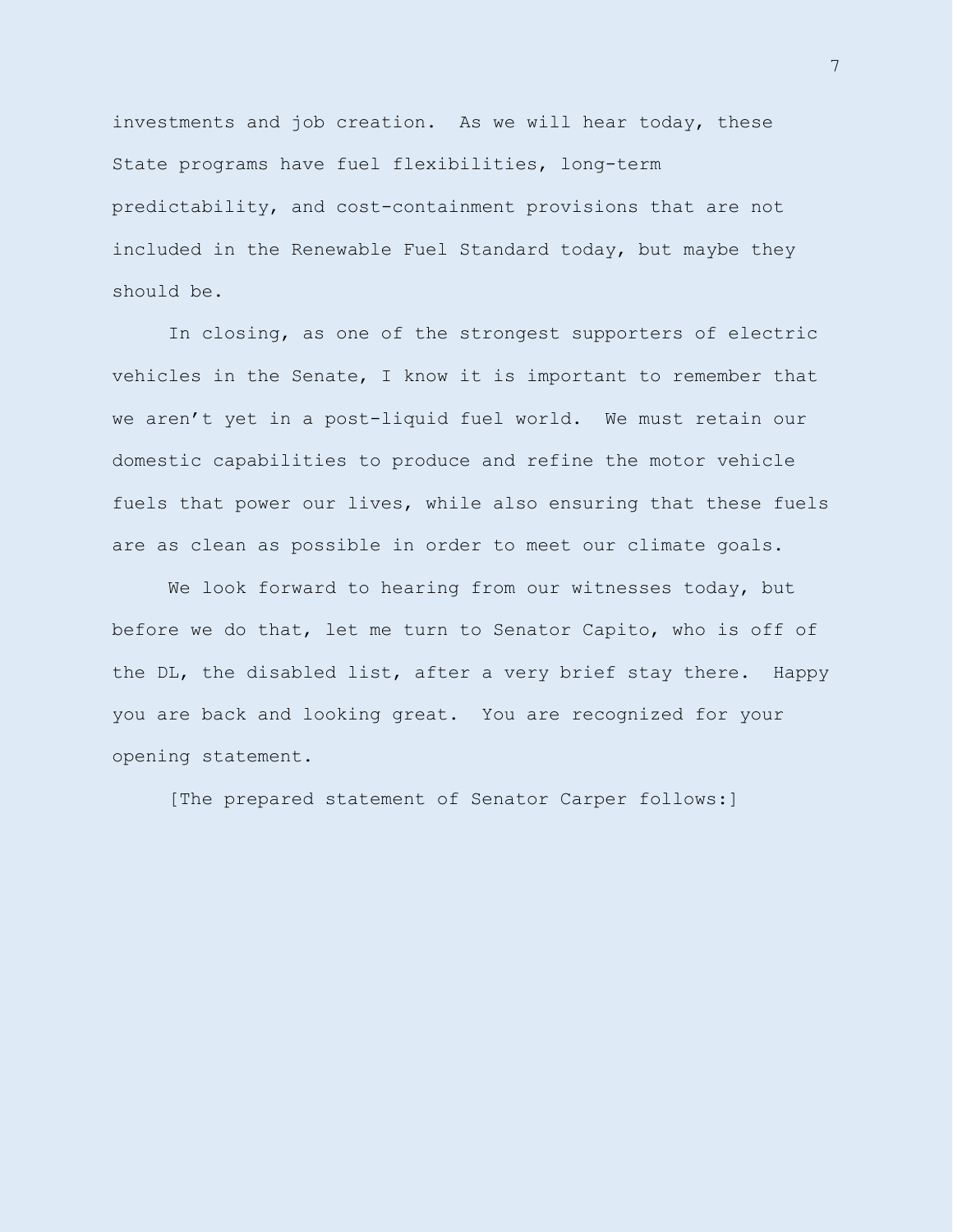investments and job creation. As we will hear today, these State programs have fuel flexibilities, long-term predictability, and cost-containment provisions that are not included in the Renewable Fuel Standard today, but maybe they should be.

In closing, as one of the strongest supporters of electric vehicles in the Senate, I know it is important to remember that we aren't yet in a post-liquid fuel world. We must retain our domestic capabilities to produce and refine the motor vehicle fuels that power our lives, while also ensuring that these fuels are as clean as possible in order to meet our climate goals.

We look forward to hearing from our witnesses today, but before we do that, let me turn to Senator Capito, who is off of the DL, the disabled list, after a very brief stay there. Happy you are back and looking great. You are recognized for your opening statement.

[The prepared statement of Senator Carper follows:]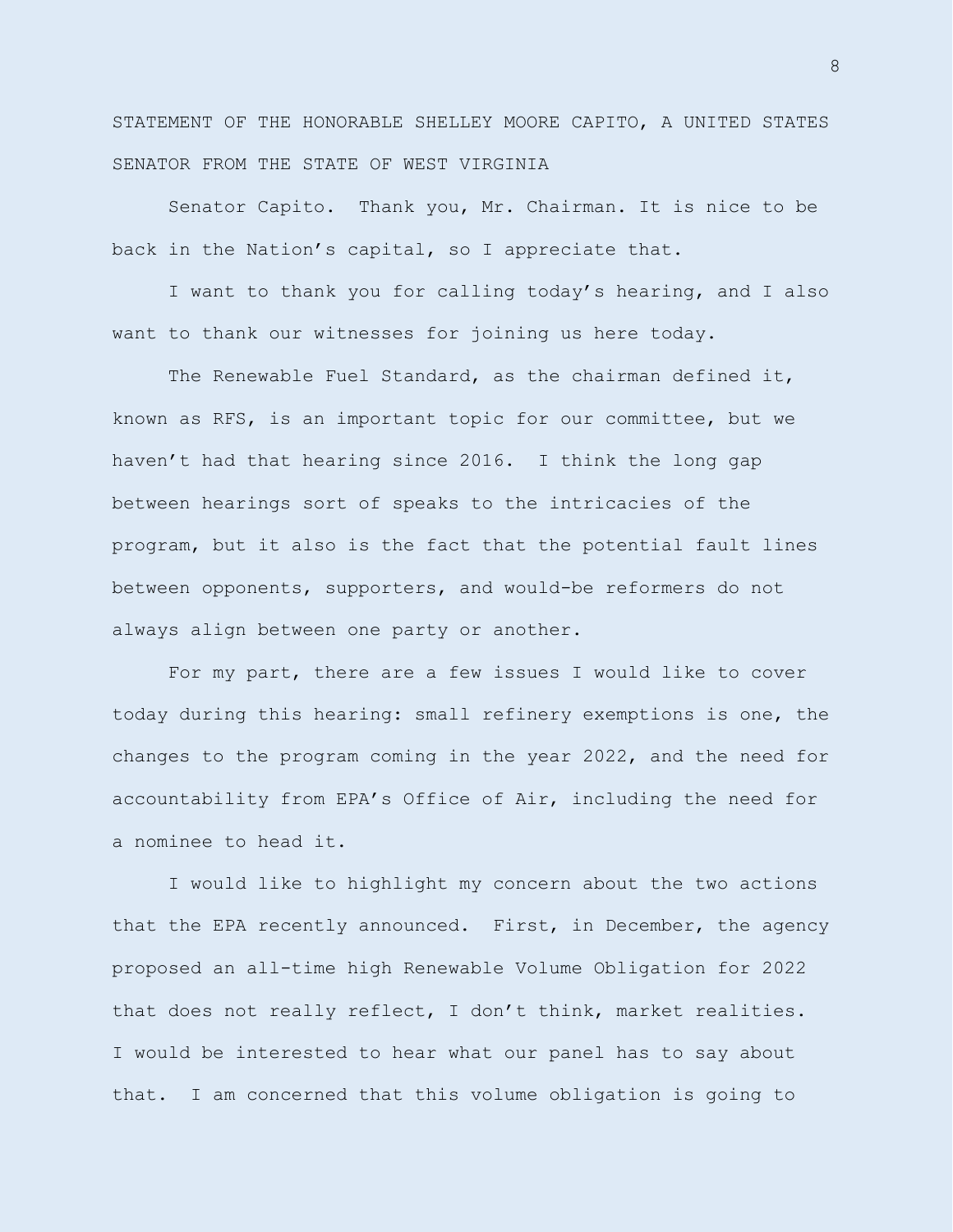STATEMENT OF THE HONORABLE SHELLEY MOORE CAPITO, A UNITED STATES SENATOR FROM THE STATE OF WEST VIRGINIA

Senator Capito. Thank you, Mr. Chairman. It is nice to be back in the Nation's capital, so I appreciate that.

I want to thank you for calling today's hearing, and I also want to thank our witnesses for joining us here today.

The Renewable Fuel Standard, as the chairman defined it, known as RFS, is an important topic for our committee, but we haven't had that hearing since 2016. I think the long gap between hearings sort of speaks to the intricacies of the program, but it also is the fact that the potential fault lines between opponents, supporters, and would-be reformers do not always align between one party or another.

For my part, there are a few issues I would like to cover today during this hearing: small refinery exemptions is one, the changes to the program coming in the year 2022, and the need for accountability from EPA's Office of Air, including the need for a nominee to head it.

I would like to highlight my concern about the two actions that the EPA recently announced. First, in December, the agency proposed an all-time high Renewable Volume Obligation for 2022 that does not really reflect, I don't think, market realities. I would be interested to hear what our panel has to say about that. I am concerned that this volume obligation is going to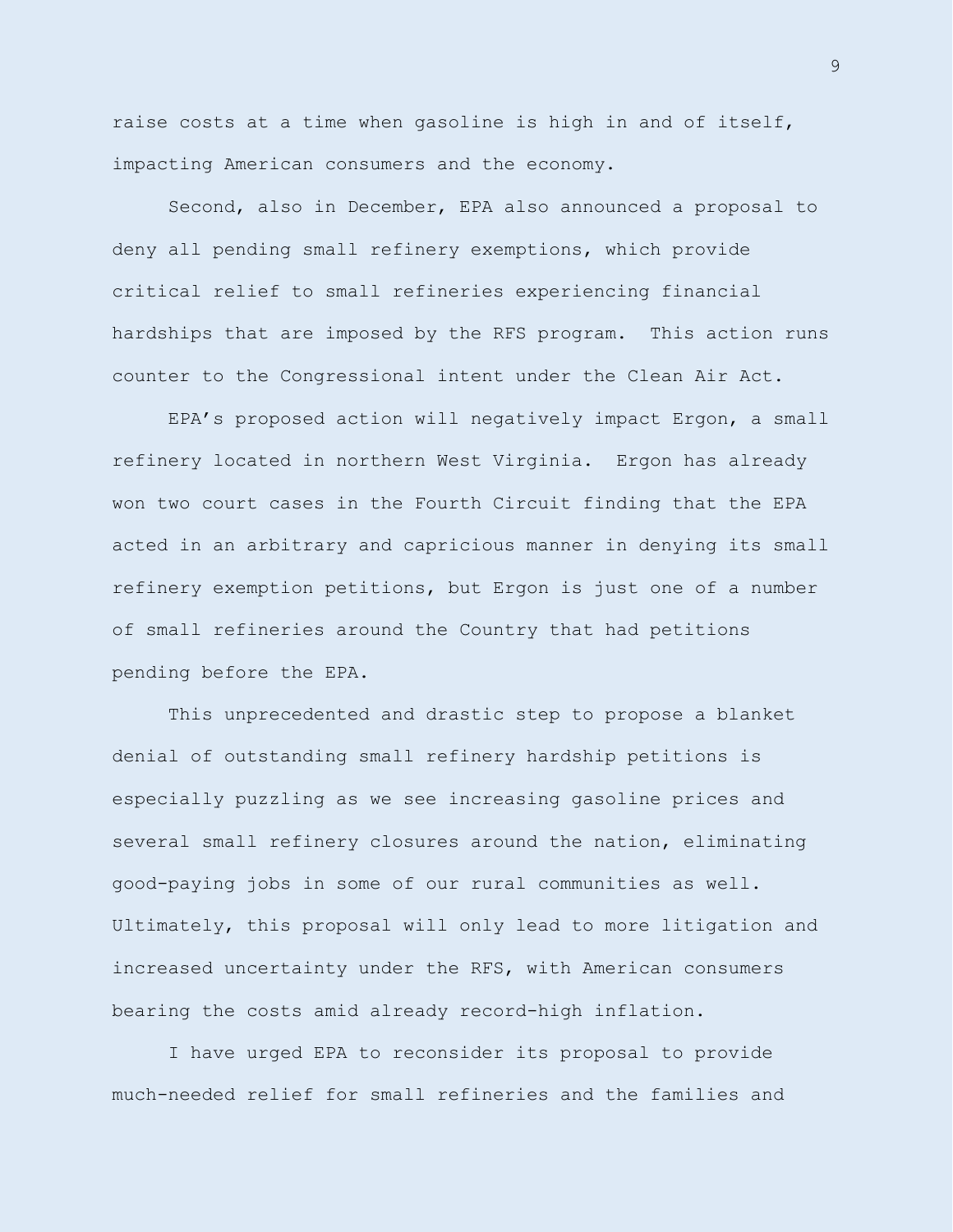raise costs at a time when gasoline is high in and of itself, impacting American consumers and the economy.

Second, also in December, EPA also announced a proposal to deny all pending small refinery exemptions, which provide critical relief to small refineries experiencing financial hardships that are imposed by the RFS program. This action runs counter to the Congressional intent under the Clean Air Act.

EPA's proposed action will negatively impact Ergon, a small refinery located in northern West Virginia. Ergon has already won two court cases in the Fourth Circuit finding that the EPA acted in an arbitrary and capricious manner in denying its small refinery exemption petitions, but Ergon is just one of a number of small refineries around the Country that had petitions pending before the EPA.

This unprecedented and drastic step to propose a blanket denial of outstanding small refinery hardship petitions is especially puzzling as we see increasing gasoline prices and several small refinery closures around the nation, eliminating good-paying jobs in some of our rural communities as well. Ultimately, this proposal will only lead to more litigation and increased uncertainty under the RFS, with American consumers bearing the costs amid already record-high inflation.

I have urged EPA to reconsider its proposal to provide much-needed relief for small refineries and the families and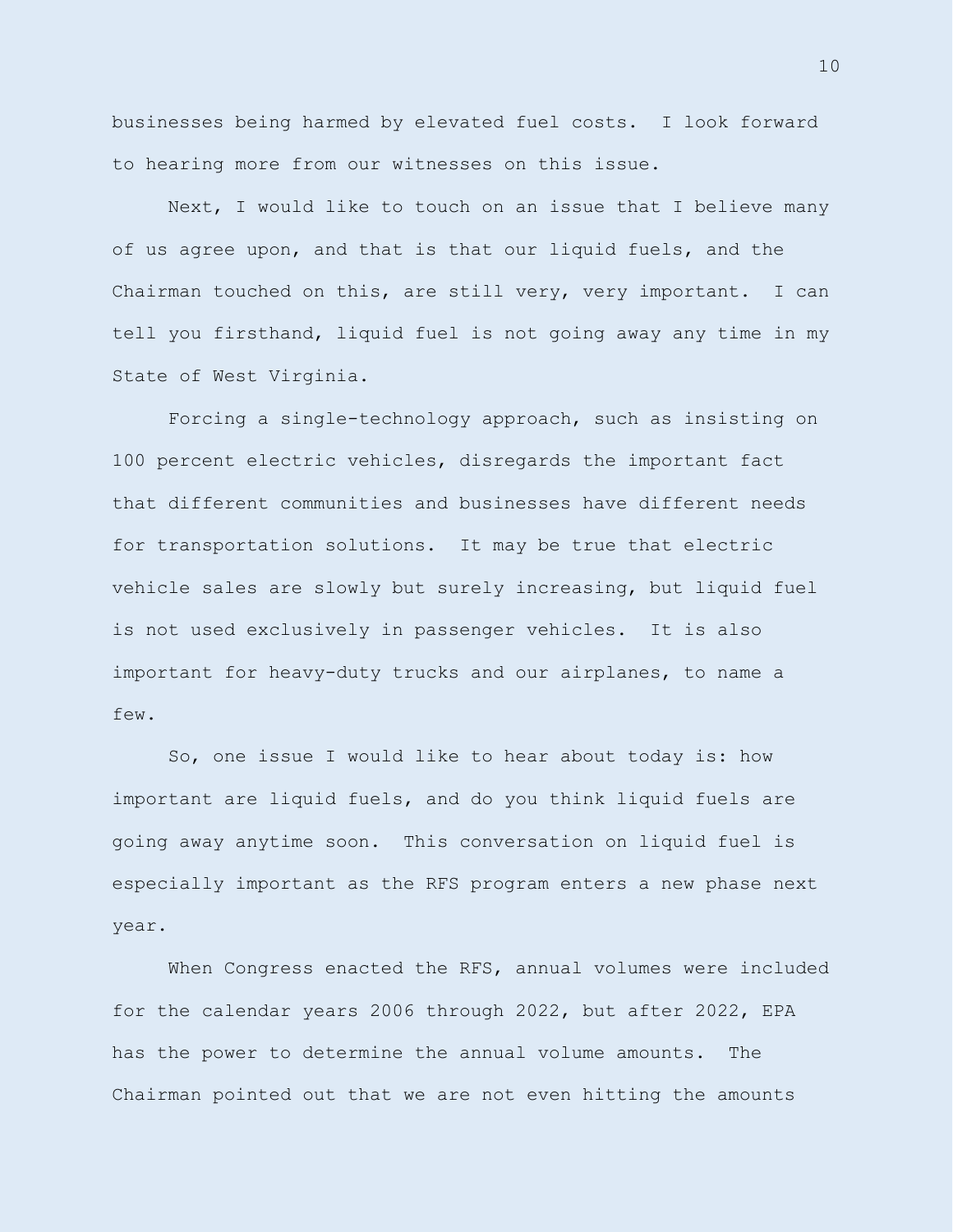businesses being harmed by elevated fuel costs. I look forward to hearing more from our witnesses on this issue.

Next, I would like to touch on an issue that I believe many of us agree upon, and that is that our liquid fuels, and the Chairman touched on this, are still very, very important. I can tell you firsthand, liquid fuel is not going away any time in my State of West Virginia.

Forcing a single-technology approach, such as insisting on 100 percent electric vehicles, disregards the important fact that different communities and businesses have different needs for transportation solutions. It may be true that electric vehicle sales are slowly but surely increasing, but liquid fuel is not used exclusively in passenger vehicles. It is also important for heavy-duty trucks and our airplanes, to name a few.

So, one issue I would like to hear about today is: how important are liquid fuels, and do you think liquid fuels are going away anytime soon. This conversation on liquid fuel is especially important as the RFS program enters a new phase next year.

When Congress enacted the RFS, annual volumes were included for the calendar years 2006 through 2022, but after 2022, EPA has the power to determine the annual volume amounts. The Chairman pointed out that we are not even hitting the amounts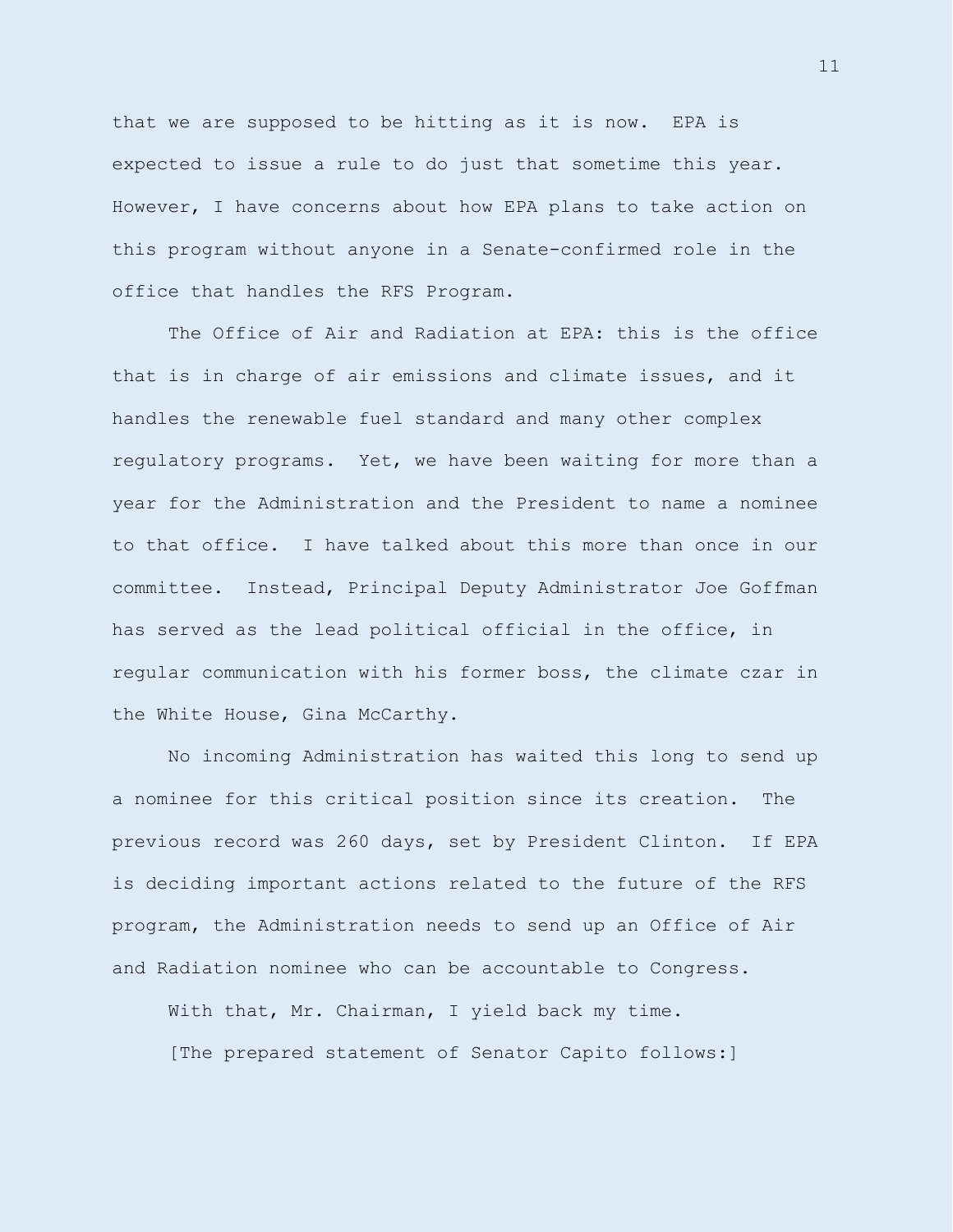that we are supposed to be hitting as it is now. EPA is expected to issue a rule to do just that sometime this year. However, I have concerns about how EPA plans to take action on this program without anyone in a Senate-confirmed role in the office that handles the RFS Program.

The Office of Air and Radiation at EPA: this is the office that is in charge of air emissions and climate issues, and it handles the renewable fuel standard and many other complex regulatory programs. Yet, we have been waiting for more than a year for the Administration and the President to name a nominee to that office. I have talked about this more than once in our committee. Instead, Principal Deputy Administrator Joe Goffman has served as the lead political official in the office, in regular communication with his former boss, the climate czar in the White House, Gina McCarthy.

No incoming Administration has waited this long to send up a nominee for this critical position since its creation. The previous record was 260 days, set by President Clinton. If EPA is deciding important actions related to the future of the RFS program, the Administration needs to send up an Office of Air and Radiation nominee who can be accountable to Congress.

With that, Mr. Chairman, I yield back my time. [The prepared statement of Senator Capito follows:]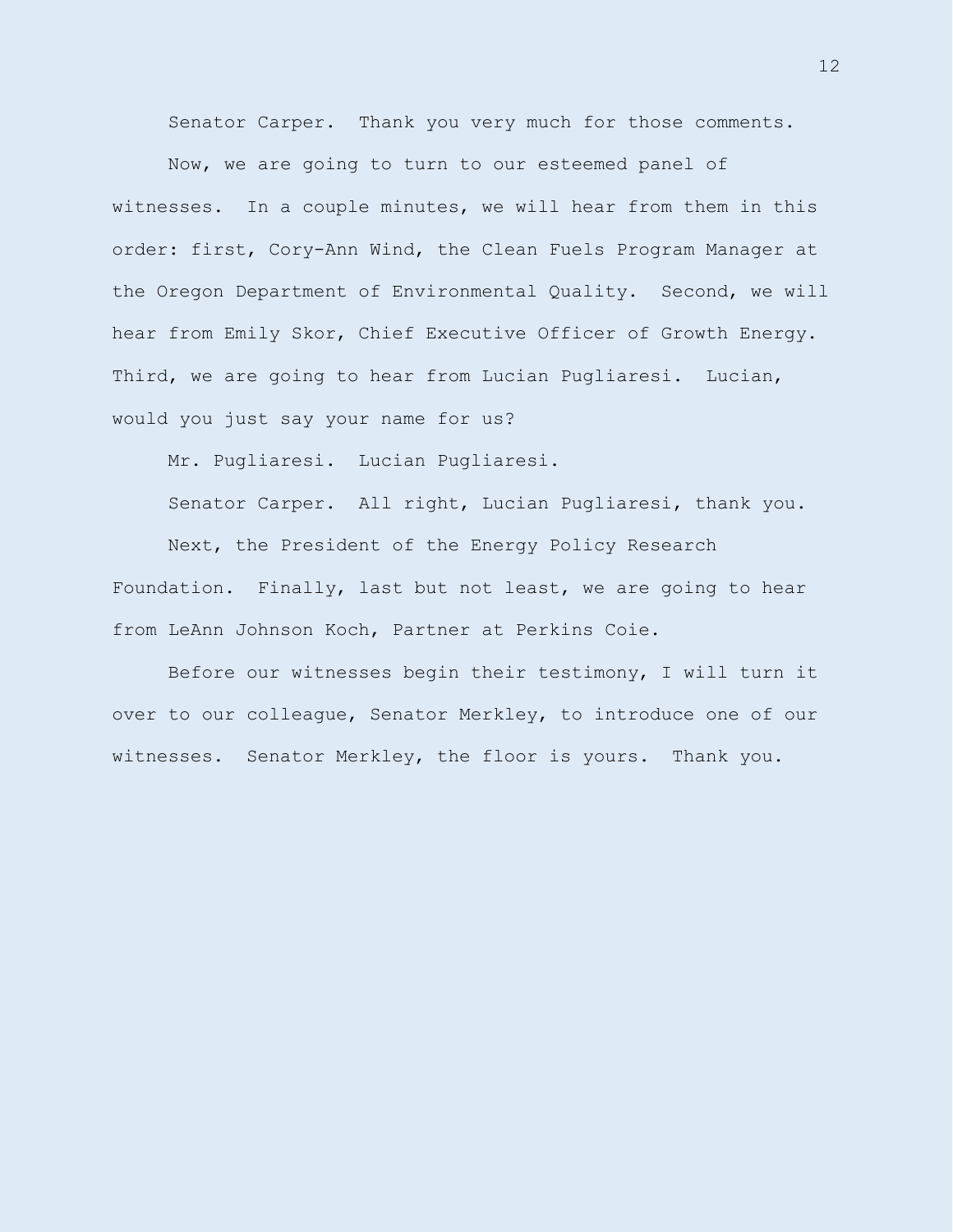Senator Carper. Thank you very much for those comments.

Now, we are going to turn to our esteemed panel of witnesses. In a couple minutes, we will hear from them in this order: first, Cory-Ann Wind, the Clean Fuels Program Manager at the Oregon Department of Environmental Quality. Second, we will hear from Emily Skor, Chief Executive Officer of Growth Energy. Third, we are going to hear from Lucian Pugliaresi. Lucian, would you just say your name for us?

Mr. Pugliaresi. Lucian Pugliaresi.

Senator Carper. All right, Lucian Pugliaresi, thank you.

Next, the President of the Energy Policy Research Foundation. Finally, last but not least, we are going to hear from LeAnn Johnson Koch, Partner at Perkins Coie.

Before our witnesses begin their testimony, I will turn it over to our colleague, Senator Merkley, to introduce one of our witnesses. Senator Merkley, the floor is yours. Thank you.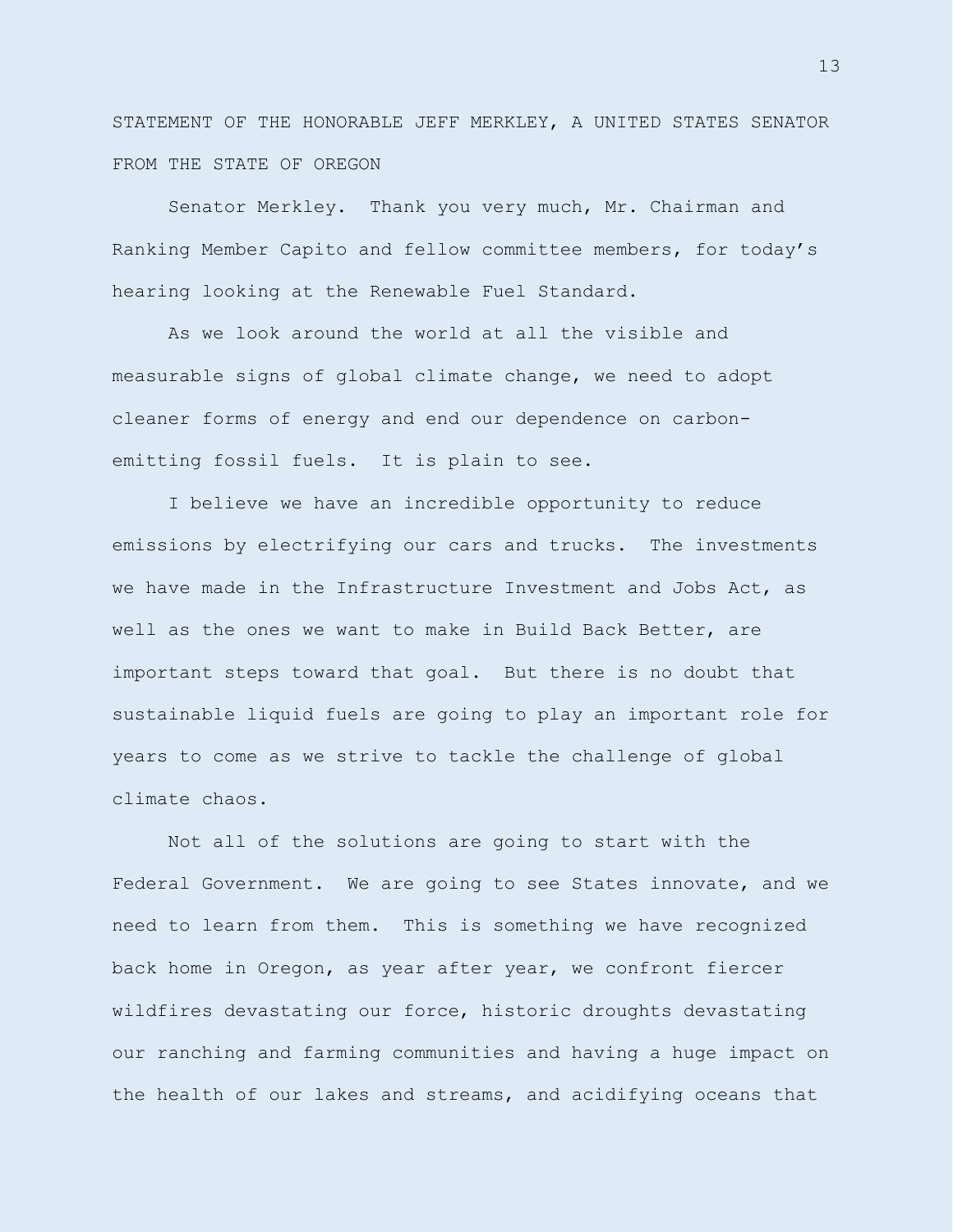STATEMENT OF THE HONORABLE JEFF MERKLEY, A UNITED STATES SENATOR FROM THE STATE OF OREGON

Senator Merkley. Thank you very much, Mr. Chairman and Ranking Member Capito and fellow committee members, for today's hearing looking at the Renewable Fuel Standard.

As we look around the world at all the visible and measurable signs of global climate change, we need to adopt cleaner forms of energy and end our dependence on carbonemitting fossil fuels. It is plain to see.

I believe we have an incredible opportunity to reduce emissions by electrifying our cars and trucks. The investments we have made in the Infrastructure Investment and Jobs Act, as well as the ones we want to make in Build Back Better, are important steps toward that goal. But there is no doubt that sustainable liquid fuels are going to play an important role for years to come as we strive to tackle the challenge of global climate chaos.

Not all of the solutions are going to start with the Federal Government. We are going to see States innovate, and we need to learn from them. This is something we have recognized back home in Oregon, as year after year, we confront fiercer wildfires devastating our force, historic droughts devastating our ranching and farming communities and having a huge impact on the health of our lakes and streams, and acidifying oceans that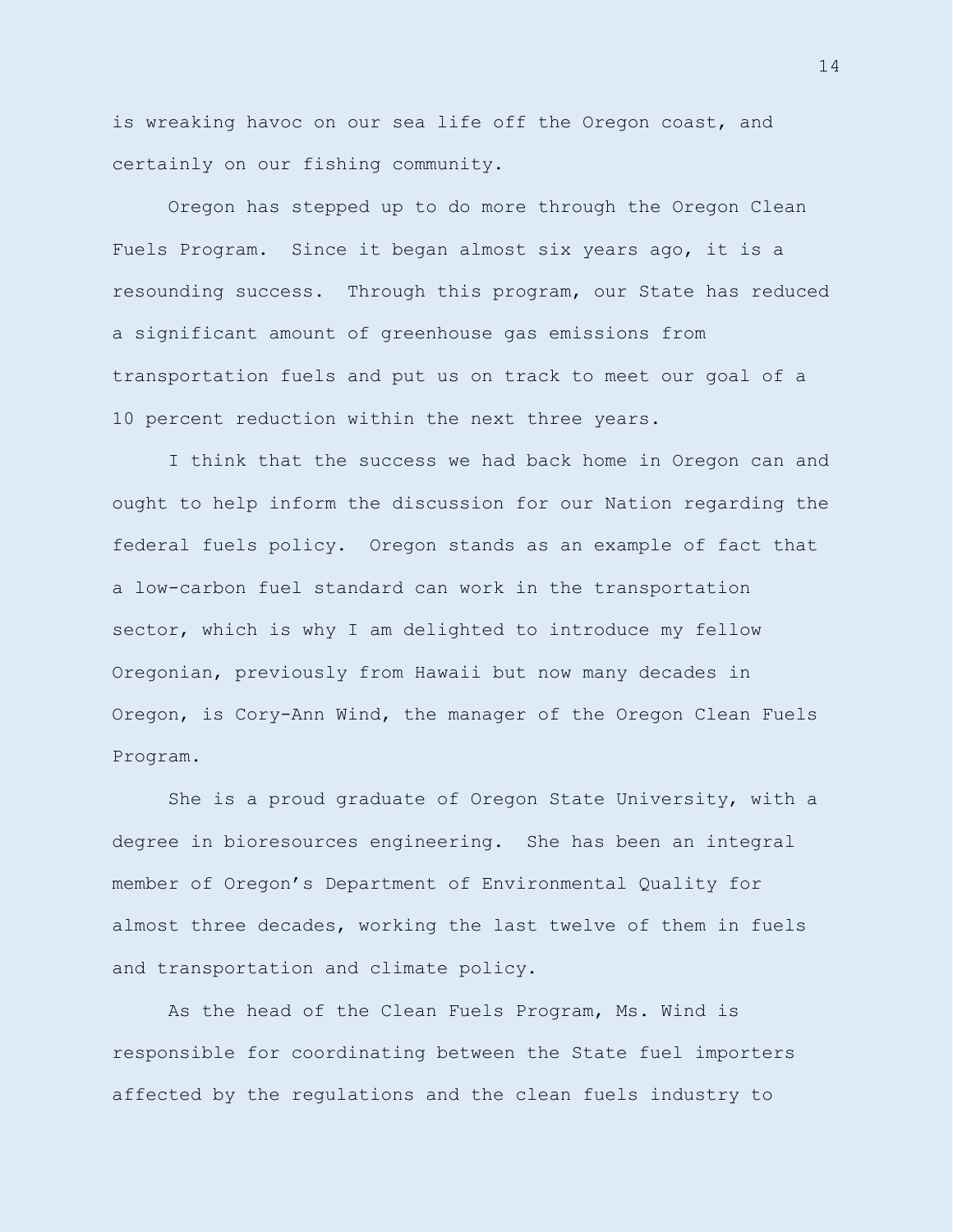is wreaking havoc on our sea life off the Oregon coast, and certainly on our fishing community.

Oregon has stepped up to do more through the Oregon Clean Fuels Program. Since it began almost six years ago, it is a resounding success. Through this program, our State has reduced a significant amount of greenhouse gas emissions from transportation fuels and put us on track to meet our goal of a 10 percent reduction within the next three years.

I think that the success we had back home in Oregon can and ought to help inform the discussion for our Nation regarding the federal fuels policy. Oregon stands as an example of fact that a low-carbon fuel standard can work in the transportation sector, which is why I am delighted to introduce my fellow Oregonian, previously from Hawaii but now many decades in Oregon, is Cory-Ann Wind, the manager of the Oregon Clean Fuels Program.

She is a proud graduate of Oregon State University, with a degree in bioresources engineering. She has been an integral member of Oregon's Department of Environmental Quality for almost three decades, working the last twelve of them in fuels and transportation and climate policy.

As the head of the Clean Fuels Program, Ms. Wind is responsible for coordinating between the State fuel importers affected by the regulations and the clean fuels industry to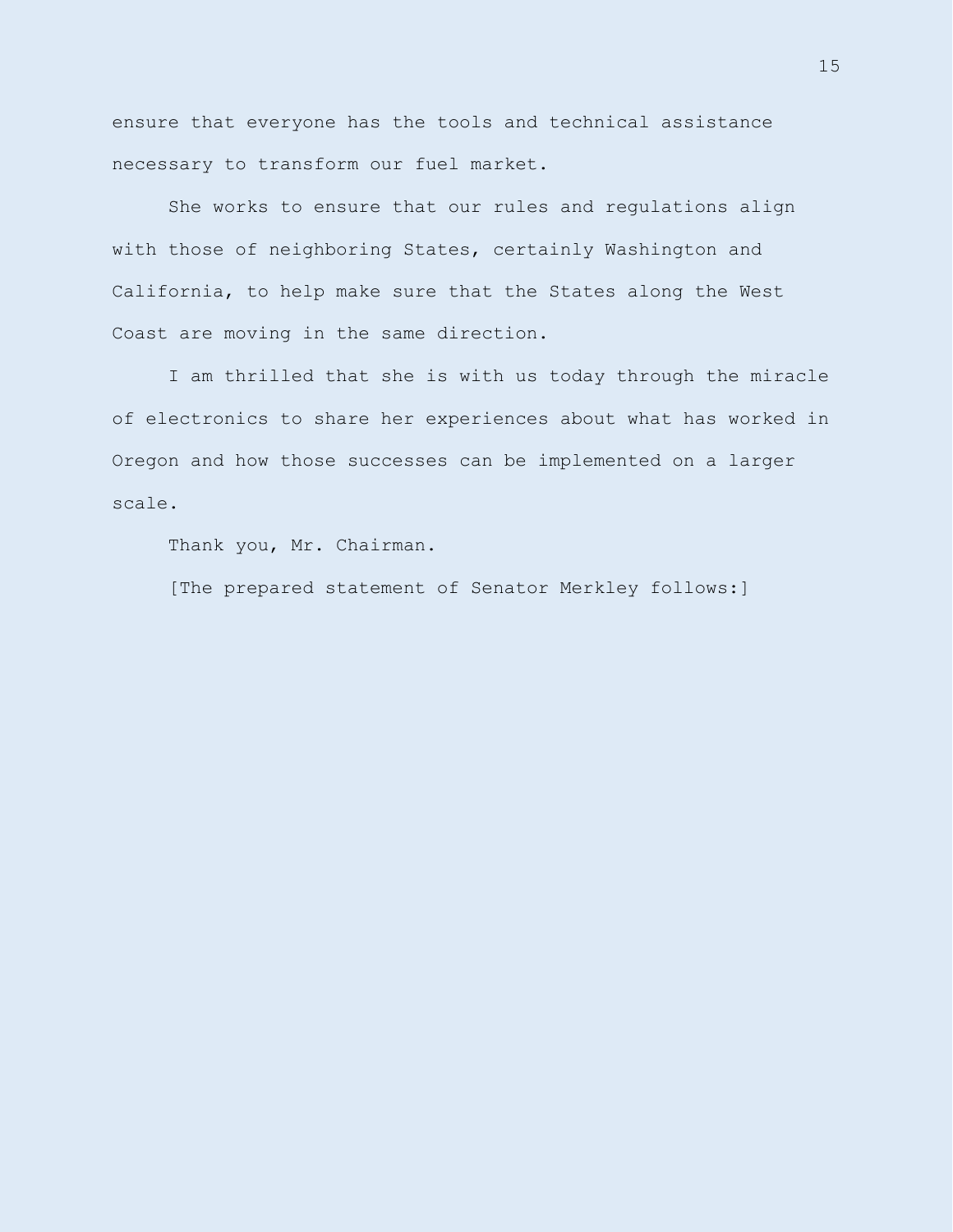ensure that everyone has the tools and technical assistance necessary to transform our fuel market.

She works to ensure that our rules and regulations align with those of neighboring States, certainly Washington and California, to help make sure that the States along the West Coast are moving in the same direction.

I am thrilled that she is with us today through the miracle of electronics to share her experiences about what has worked in Oregon and how those successes can be implemented on a larger scale.

Thank you, Mr. Chairman.

[The prepared statement of Senator Merkley follows:]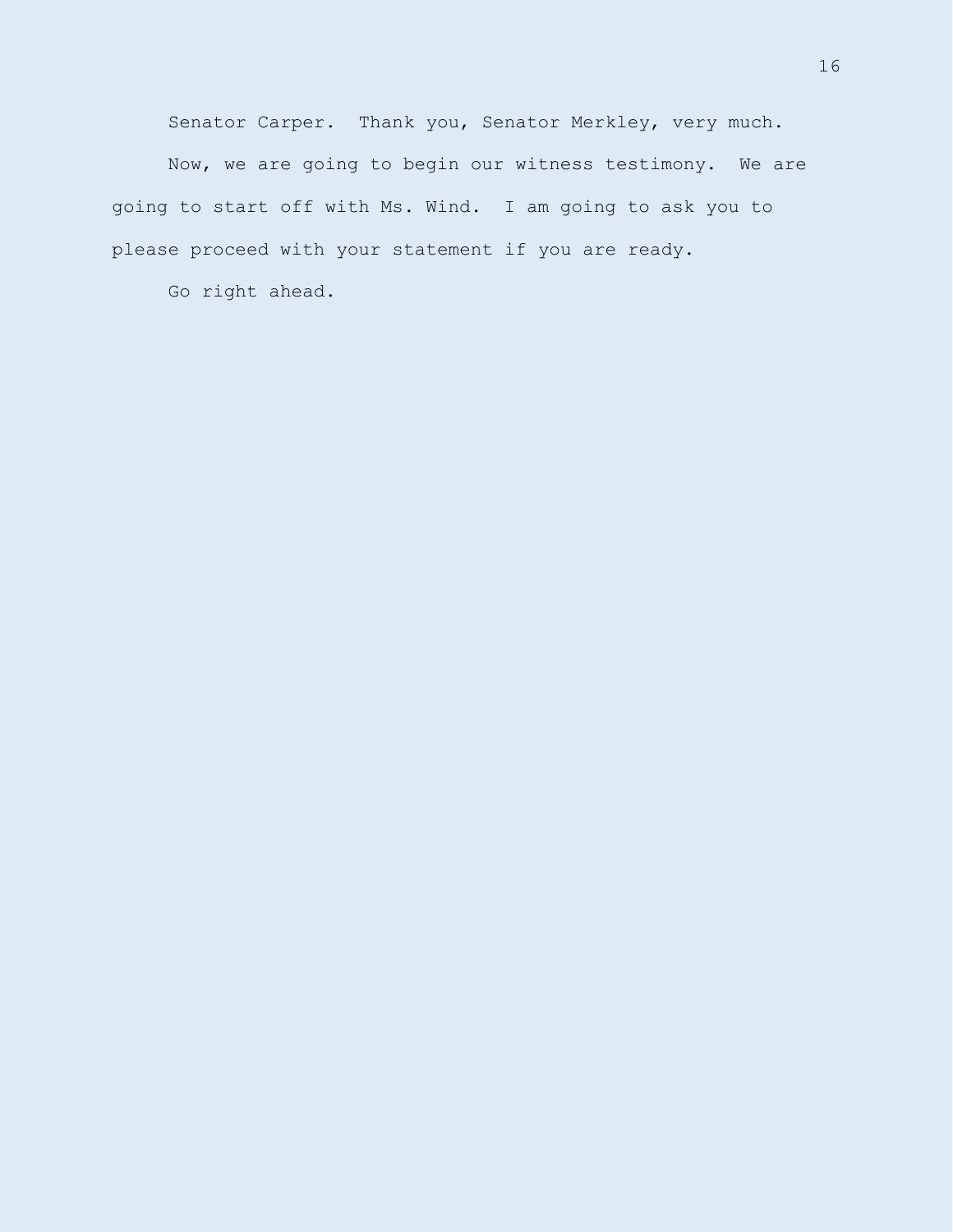Senator Carper. Thank you, Senator Merkley, very much.

Now, we are going to begin our witness testimony. We are going to start off with Ms. Wind. I am going to ask you to please proceed with your statement if you are ready.

Go right ahead.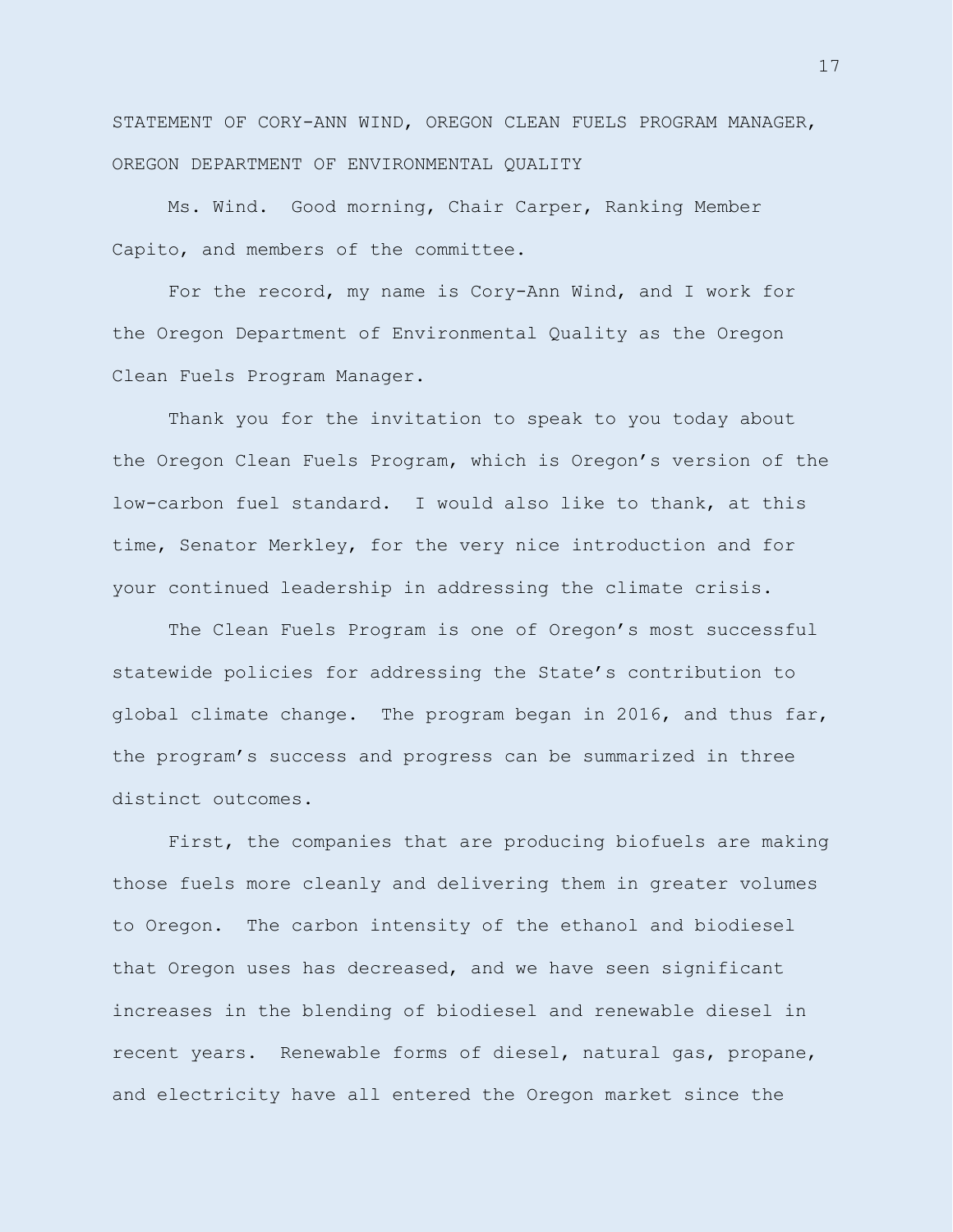STATEMENT OF CORY-ANN WIND, OREGON CLEAN FUELS PROGRAM MANAGER, OREGON DEPARTMENT OF ENVIRONMENTAL QUALITY

Ms. Wind. Good morning, Chair Carper, Ranking Member Capito, and members of the committee.

For the record, my name is Cory-Ann Wind, and I work for the Oregon Department of Environmental Quality as the Oregon Clean Fuels Program Manager.

Thank you for the invitation to speak to you today about the Oregon Clean Fuels Program, which is Oregon's version of the low-carbon fuel standard. I would also like to thank, at this time, Senator Merkley, for the very nice introduction and for your continued leadership in addressing the climate crisis.

The Clean Fuels Program is one of Oregon's most successful statewide policies for addressing the State's contribution to global climate change. The program began in 2016, and thus far, the program's success and progress can be summarized in three distinct outcomes.

First, the companies that are producing biofuels are making those fuels more cleanly and delivering them in greater volumes to Oregon. The carbon intensity of the ethanol and biodiesel that Oregon uses has decreased, and we have seen significant increases in the blending of biodiesel and renewable diesel in recent years. Renewable forms of diesel, natural gas, propane, and electricity have all entered the Oregon market since the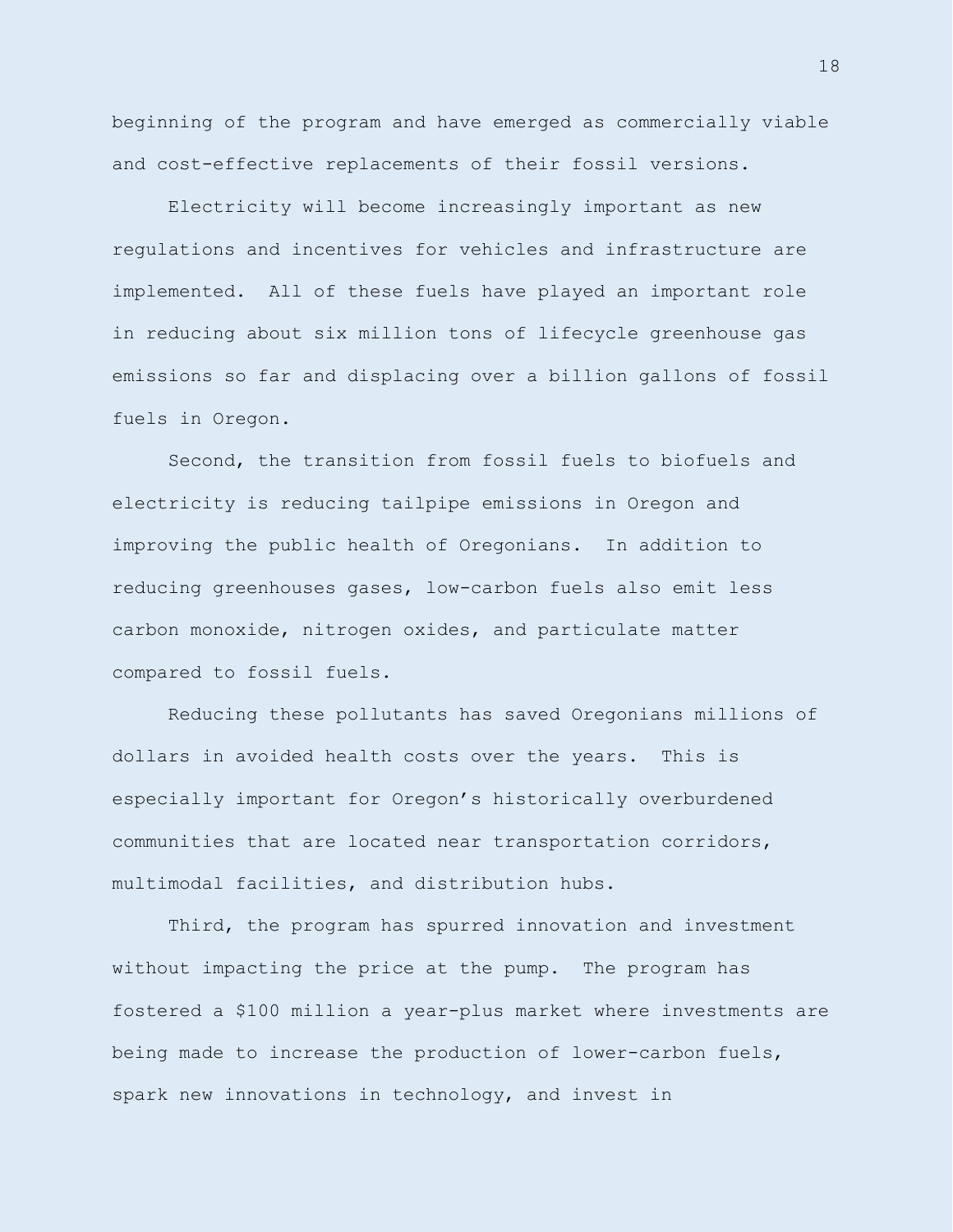beginning of the program and have emerged as commercially viable and cost-effective replacements of their fossil versions.

Electricity will become increasingly important as new regulations and incentives for vehicles and infrastructure are implemented. All of these fuels have played an important role in reducing about six million tons of lifecycle greenhouse gas emissions so far and displacing over a billion gallons of fossil fuels in Oregon.

Second, the transition from fossil fuels to biofuels and electricity is reducing tailpipe emissions in Oregon and improving the public health of Oregonians. In addition to reducing greenhouses gases, low-carbon fuels also emit less carbon monoxide, nitrogen oxides, and particulate matter compared to fossil fuels.

Reducing these pollutants has saved Oregonians millions of dollars in avoided health costs over the years. This is especially important for Oregon's historically overburdened communities that are located near transportation corridors, multimodal facilities, and distribution hubs.

Third, the program has spurred innovation and investment without impacting the price at the pump. The program has fostered a \$100 million a year-plus market where investments are being made to increase the production of lower-carbon fuels, spark new innovations in technology, and invest in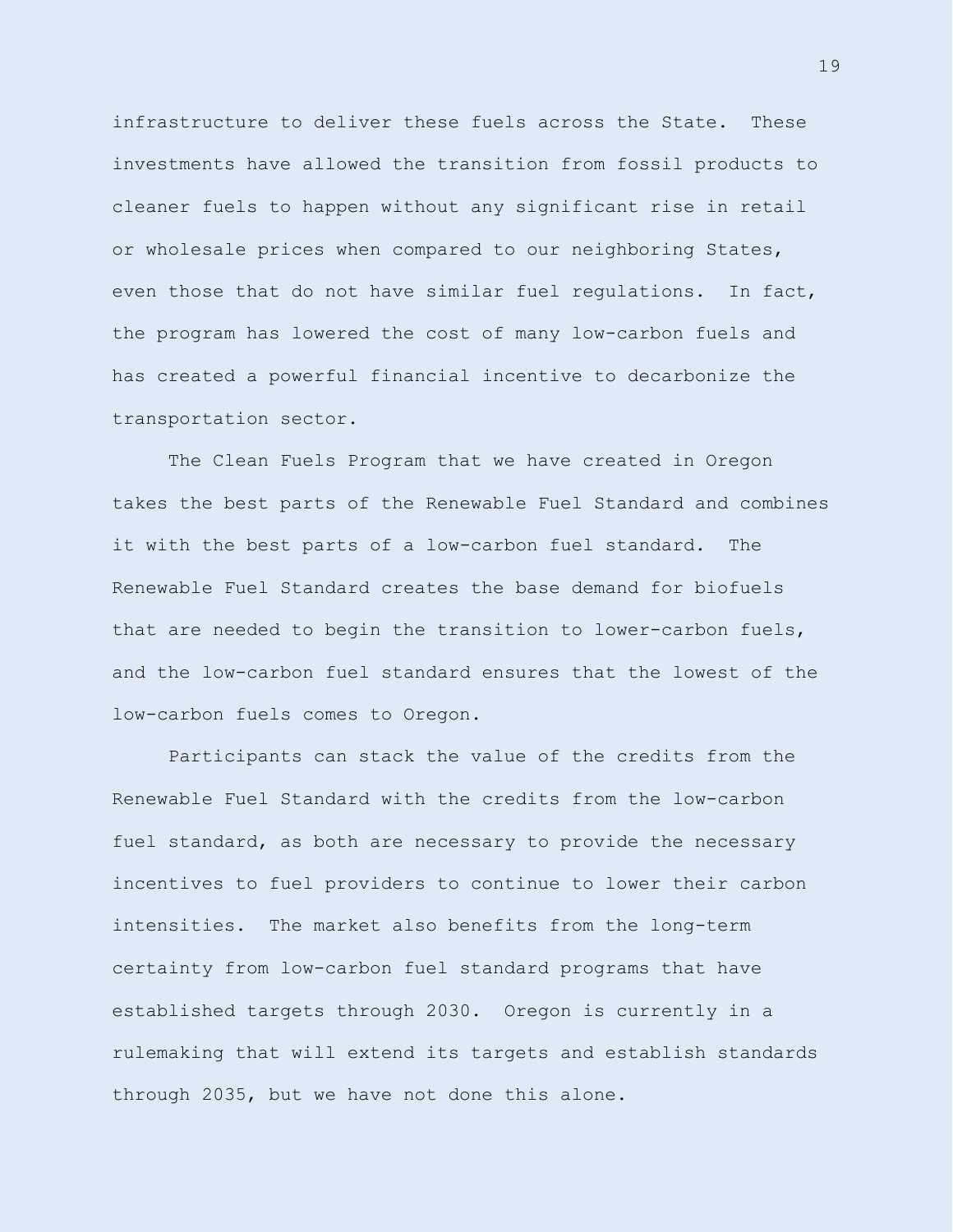infrastructure to deliver these fuels across the State. These investments have allowed the transition from fossil products to cleaner fuels to happen without any significant rise in retail or wholesale prices when compared to our neighboring States, even those that do not have similar fuel regulations. In fact, the program has lowered the cost of many low-carbon fuels and has created a powerful financial incentive to decarbonize the transportation sector.

The Clean Fuels Program that we have created in Oregon takes the best parts of the Renewable Fuel Standard and combines it with the best parts of a low-carbon fuel standard. The Renewable Fuel Standard creates the base demand for biofuels that are needed to begin the transition to lower-carbon fuels, and the low-carbon fuel standard ensures that the lowest of the low-carbon fuels comes to Oregon.

Participants can stack the value of the credits from the Renewable Fuel Standard with the credits from the low-carbon fuel standard, as both are necessary to provide the necessary incentives to fuel providers to continue to lower their carbon intensities. The market also benefits from the long-term certainty from low-carbon fuel standard programs that have established targets through 2030. Oregon is currently in a rulemaking that will extend its targets and establish standards through 2035, but we have not done this alone.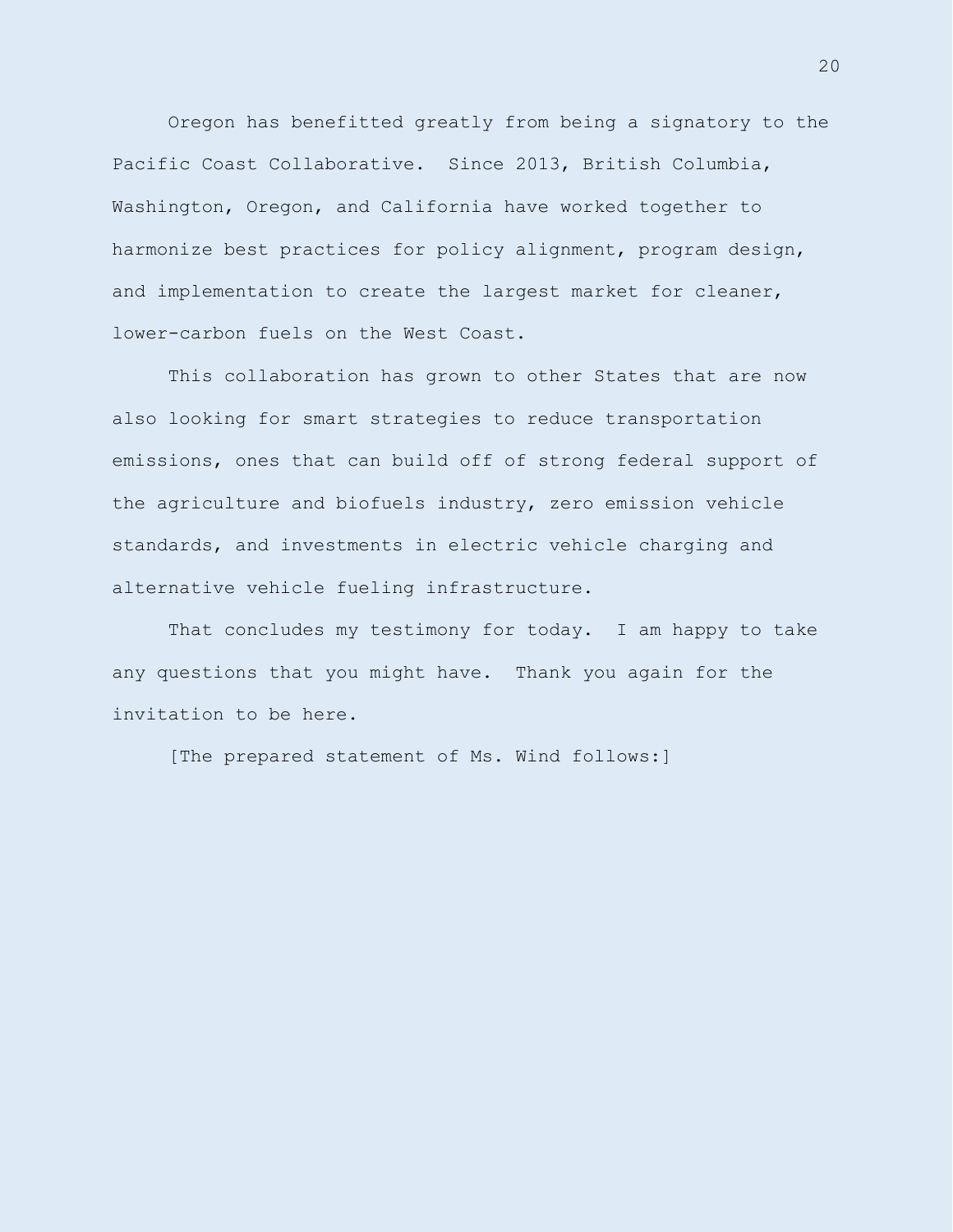Oregon has benefitted greatly from being a signatory to the Pacific Coast Collaborative. Since 2013, British Columbia, Washington, Oregon, and California have worked together to harmonize best practices for policy alignment, program design, and implementation to create the largest market for cleaner, lower-carbon fuels on the West Coast.

This collaboration has grown to other States that are now also looking for smart strategies to reduce transportation emissions, ones that can build off of strong federal support of the agriculture and biofuels industry, zero emission vehicle standards, and investments in electric vehicle charging and alternative vehicle fueling infrastructure.

That concludes my testimony for today. I am happy to take any questions that you might have. Thank you again for the invitation to be here.

[The prepared statement of Ms. Wind follows:]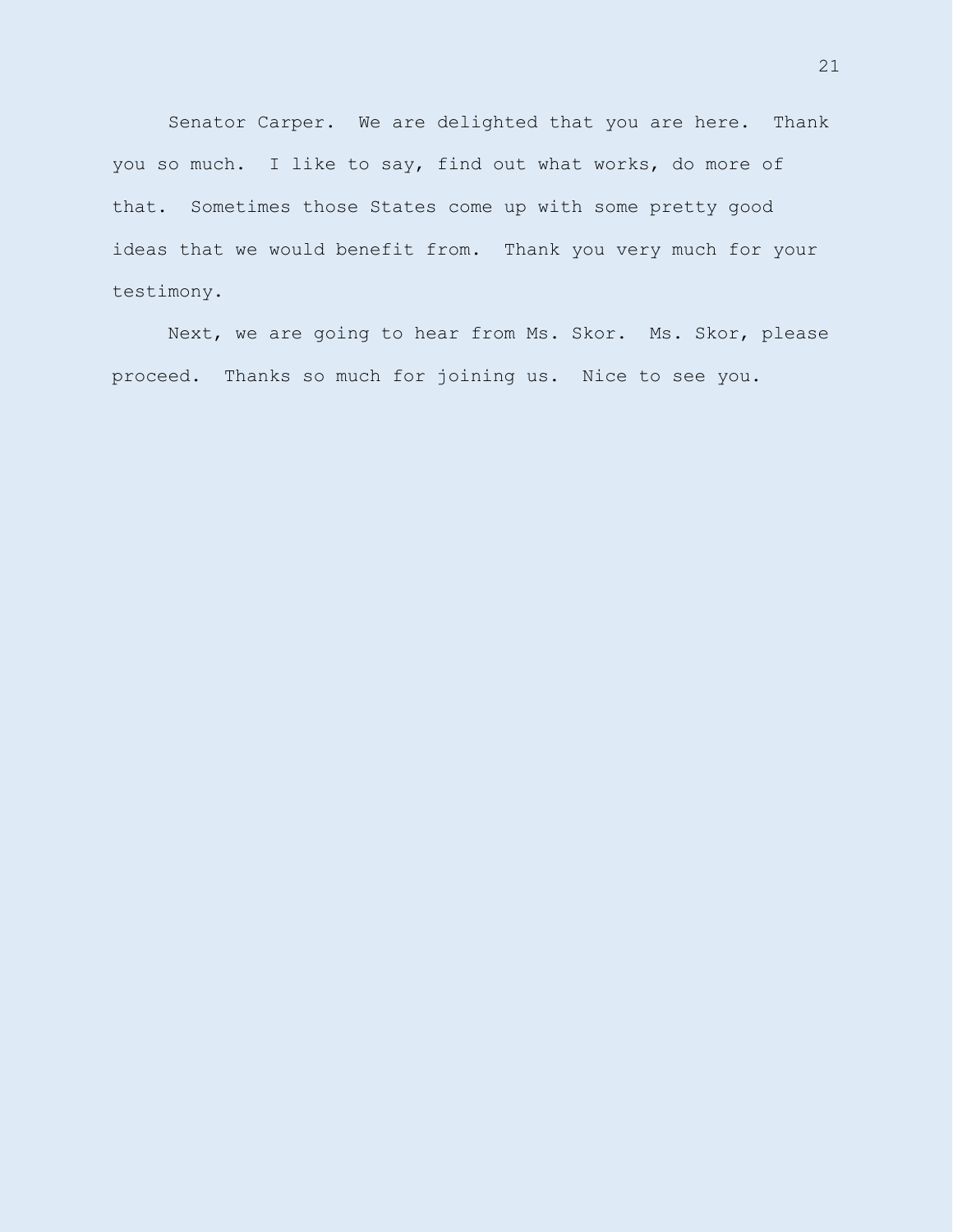Senator Carper. We are delighted that you are here. Thank you so much. I like to say, find out what works, do more of that. Sometimes those States come up with some pretty good ideas that we would benefit from. Thank you very much for your testimony.

Next, we are going to hear from Ms. Skor. Ms. Skor, please proceed. Thanks so much for joining us. Nice to see you.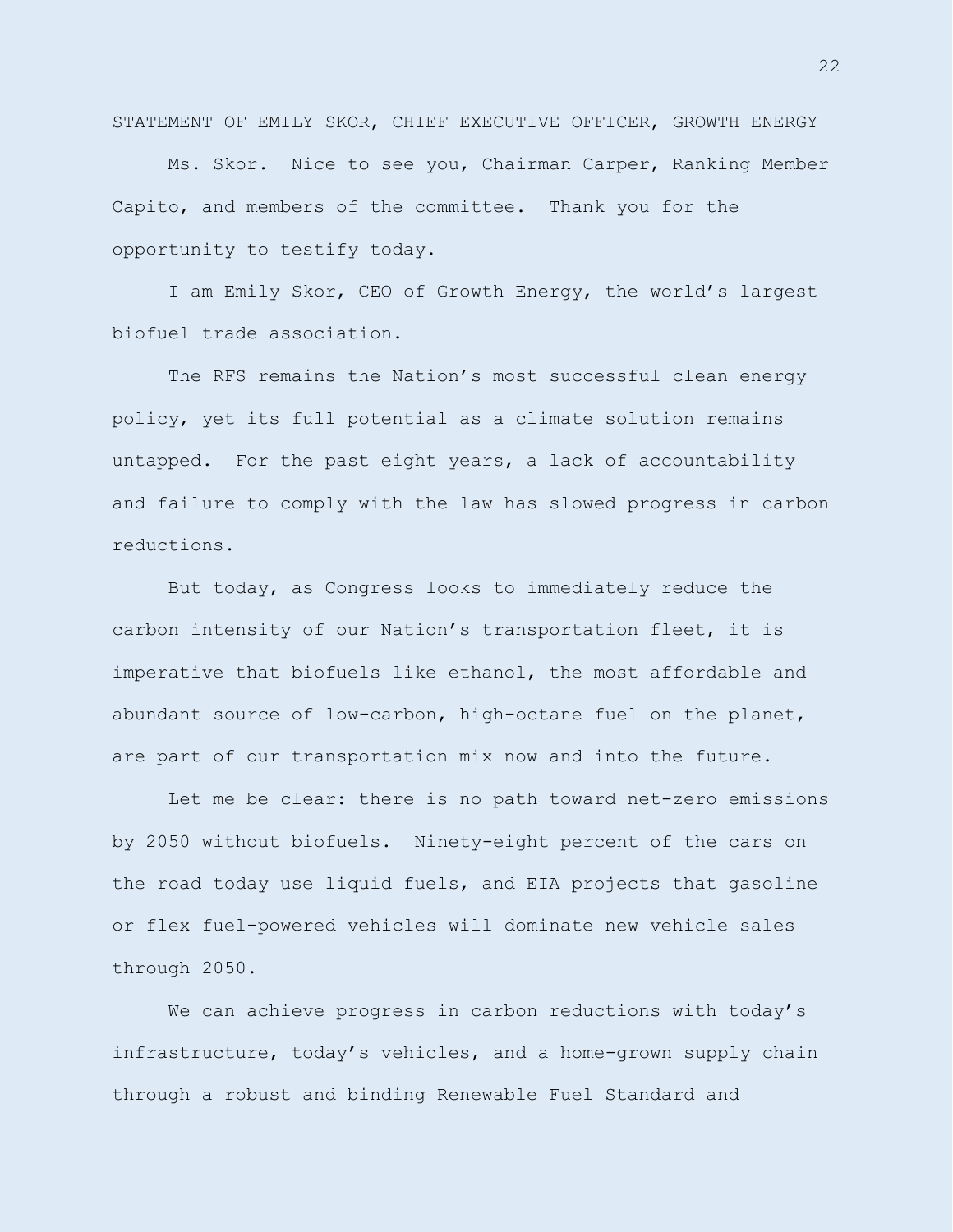STATEMENT OF EMILY SKOR, CHIEF EXECUTIVE OFFICER, GROWTH ENERGY

Ms. Skor. Nice to see you, Chairman Carper, Ranking Member Capito, and members of the committee. Thank you for the opportunity to testify today.

I am Emily Skor, CEO of Growth Energy, the world's largest biofuel trade association.

The RFS remains the Nation's most successful clean energy policy, yet its full potential as a climate solution remains untapped. For the past eight years, a lack of accountability and failure to comply with the law has slowed progress in carbon reductions.

But today, as Congress looks to immediately reduce the carbon intensity of our Nation's transportation fleet, it is imperative that biofuels like ethanol, the most affordable and abundant source of low-carbon, high-octane fuel on the planet, are part of our transportation mix now and into the future.

Let me be clear: there is no path toward net-zero emissions by 2050 without biofuels. Ninety-eight percent of the cars on the road today use liquid fuels, and EIA projects that gasoline or flex fuel-powered vehicles will dominate new vehicle sales through 2050.

We can achieve progress in carbon reductions with today's infrastructure, today's vehicles, and a home-grown supply chain through a robust and binding Renewable Fuel Standard and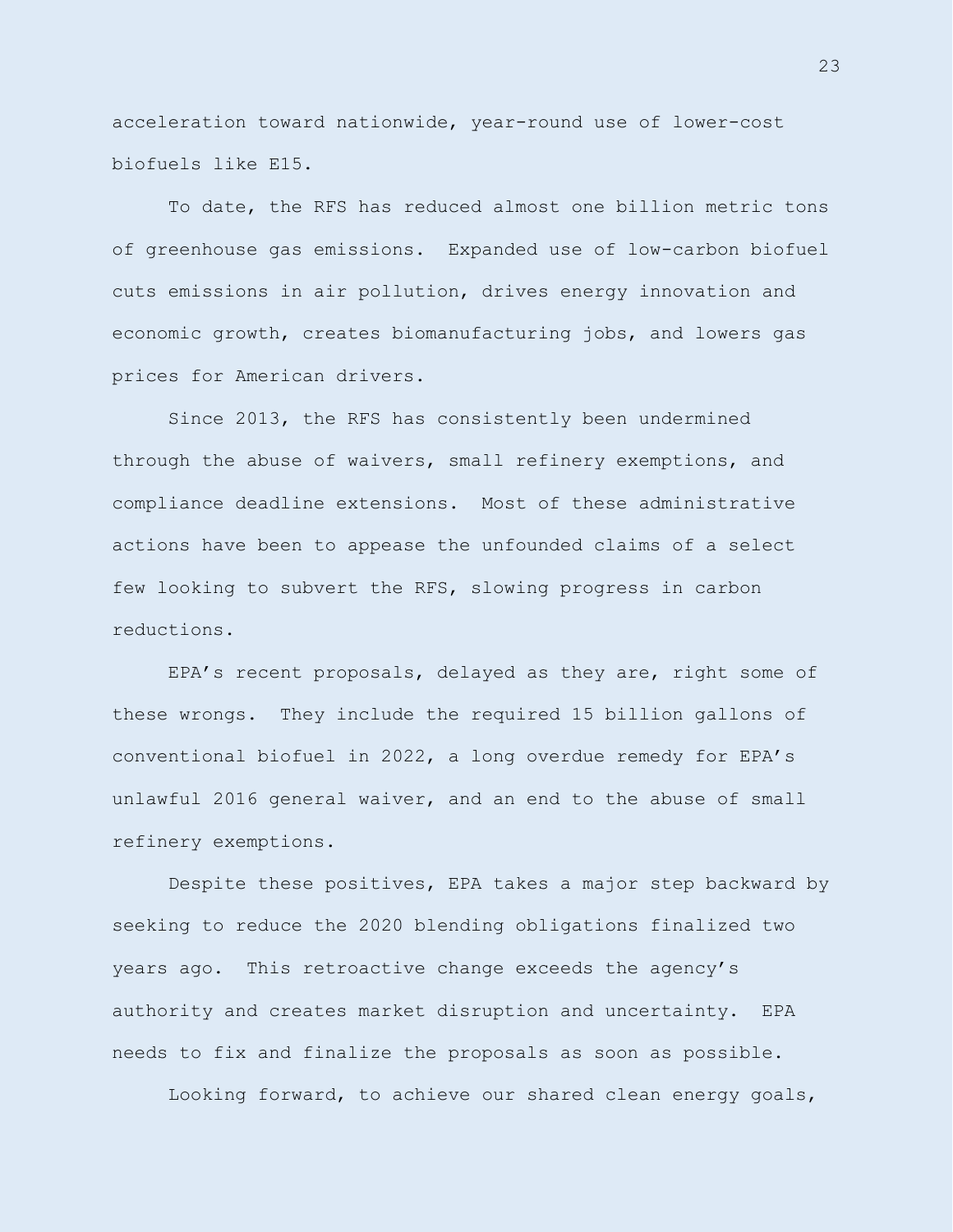acceleration toward nationwide, year-round use of lower-cost biofuels like E15.

To date, the RFS has reduced almost one billion metric tons of greenhouse gas emissions. Expanded use of low-carbon biofuel cuts emissions in air pollution, drives energy innovation and economic growth, creates biomanufacturing jobs, and lowers gas prices for American drivers.

Since 2013, the RFS has consistently been undermined through the abuse of waivers, small refinery exemptions, and compliance deadline extensions. Most of these administrative actions have been to appease the unfounded claims of a select few looking to subvert the RFS, slowing progress in carbon reductions.

EPA's recent proposals, delayed as they are, right some of these wrongs. They include the required 15 billion gallons of conventional biofuel in 2022, a long overdue remedy for EPA's unlawful 2016 general waiver, and an end to the abuse of small refinery exemptions.

Despite these positives, EPA takes a major step backward by seeking to reduce the 2020 blending obligations finalized two years ago. This retroactive change exceeds the agency's authority and creates market disruption and uncertainty. EPA needs to fix and finalize the proposals as soon as possible.

Looking forward, to achieve our shared clean energy goals,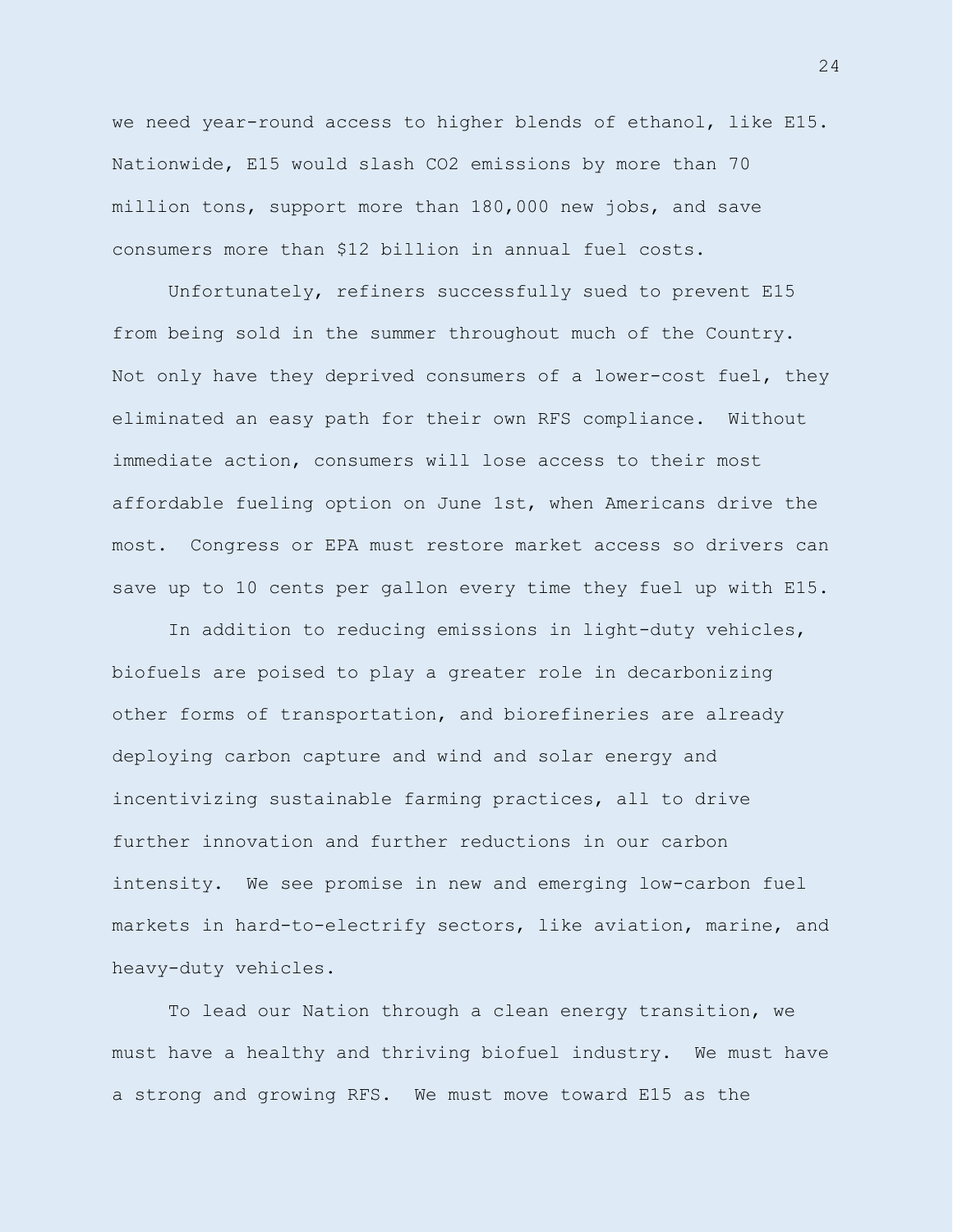we need year-round access to higher blends of ethanol, like E15. Nationwide, E15 would slash CO2 emissions by more than 70 million tons, support more than 180,000 new jobs, and save consumers more than \$12 billion in annual fuel costs.

Unfortunately, refiners successfully sued to prevent E15 from being sold in the summer throughout much of the Country. Not only have they deprived consumers of a lower-cost fuel, they eliminated an easy path for their own RFS compliance. Without immediate action, consumers will lose access to their most affordable fueling option on June 1st, when Americans drive the most. Congress or EPA must restore market access so drivers can save up to 10 cents per gallon every time they fuel up with E15.

In addition to reducing emissions in light-duty vehicles, biofuels are poised to play a greater role in decarbonizing other forms of transportation, and biorefineries are already deploying carbon capture and wind and solar energy and incentivizing sustainable farming practices, all to drive further innovation and further reductions in our carbon intensity. We see promise in new and emerging low-carbon fuel markets in hard-to-electrify sectors, like aviation, marine, and heavy-duty vehicles.

To lead our Nation through a clean energy transition, we must have a healthy and thriving biofuel industry. We must have a strong and growing RFS. We must move toward E15 as the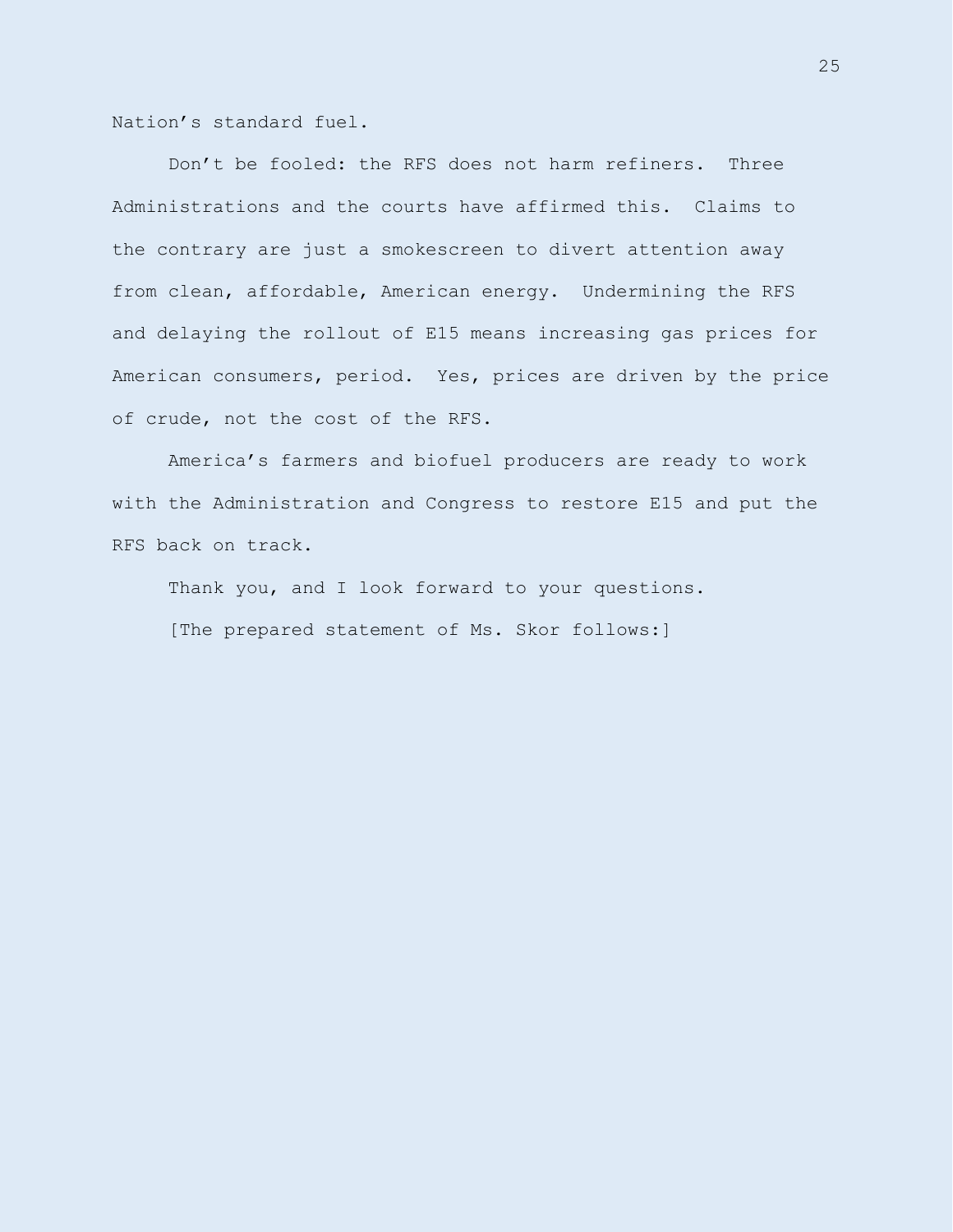Nation's standard fuel.

Don't be fooled: the RFS does not harm refiners. Three Administrations and the courts have affirmed this. Claims to the contrary are just a smokescreen to divert attention away from clean, affordable, American energy. Undermining the RFS and delaying the rollout of E15 means increasing gas prices for American consumers, period. Yes, prices are driven by the price of crude, not the cost of the RFS.

America's farmers and biofuel producers are ready to work with the Administration and Congress to restore E15 and put the RFS back on track.

Thank you, and I look forward to your questions. [The prepared statement of Ms. Skor follows:]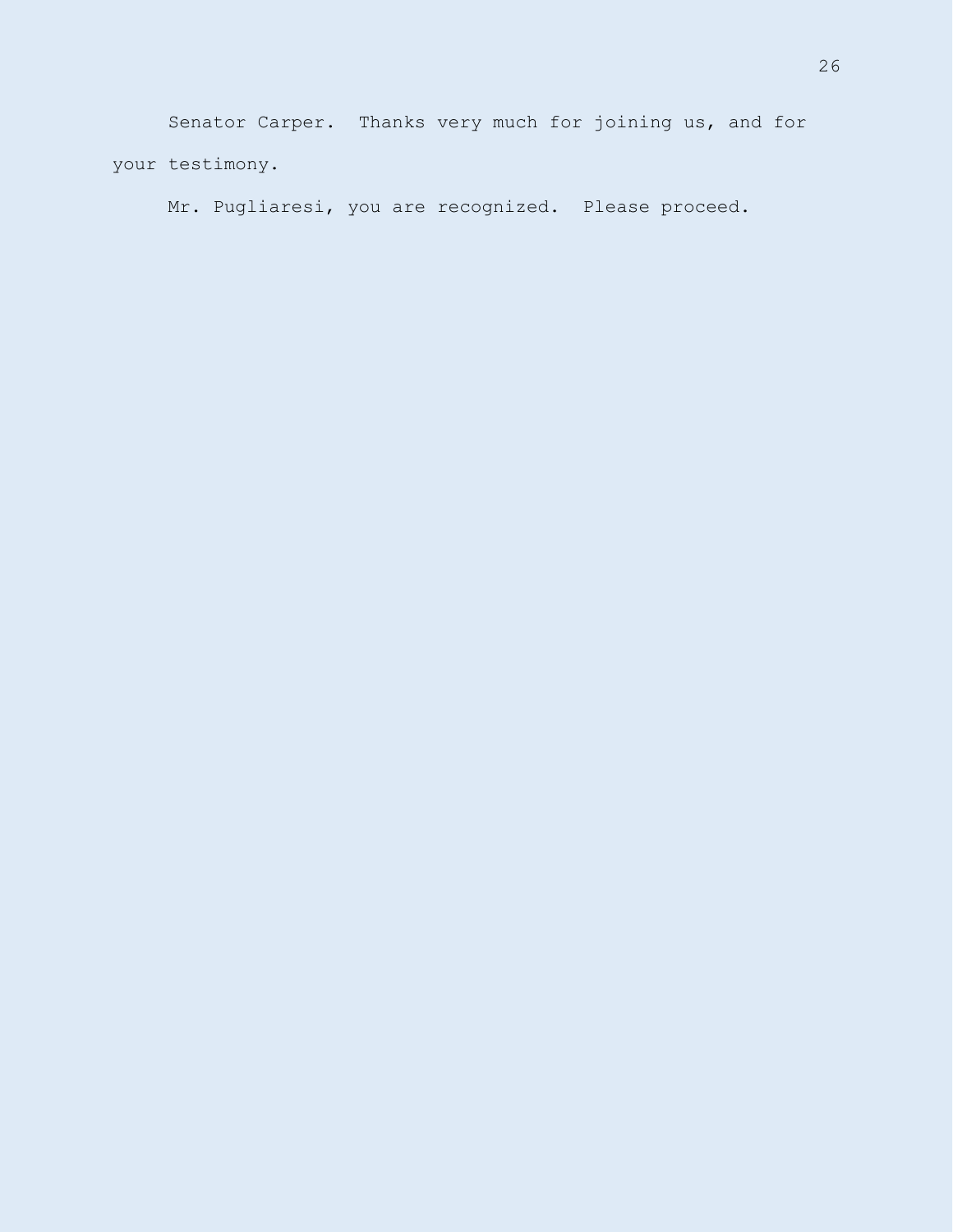Senator Carper. Thanks very much for joining us, and for your testimony.

Mr. Pugliaresi, you are recognized. Please proceed.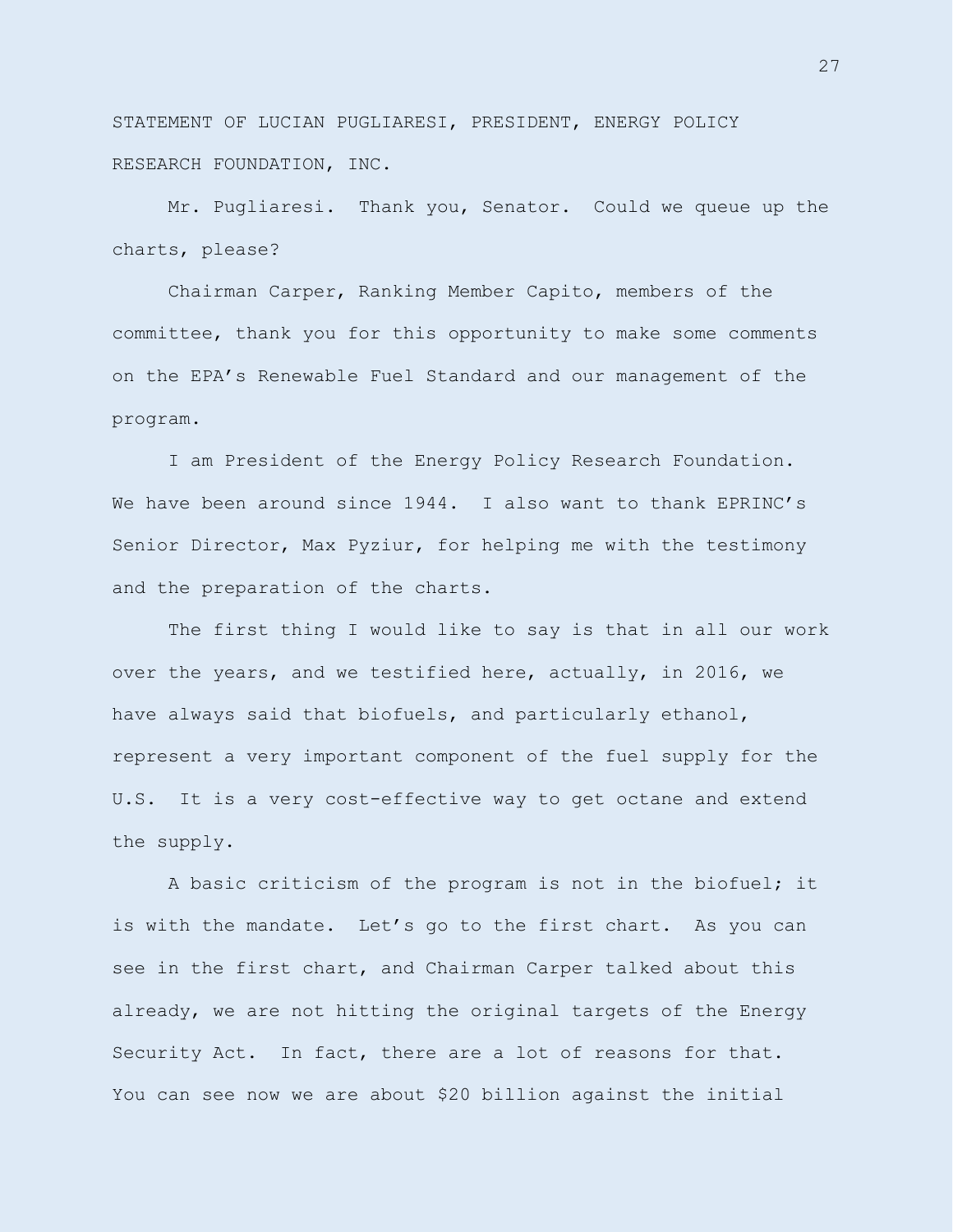STATEMENT OF LUCIAN PUGLIARESI, PRESIDENT, ENERGY POLICY RESEARCH FOUNDATION, INC.

Mr. Pugliaresi. Thank you, Senator. Could we queue up the charts, please?

Chairman Carper, Ranking Member Capito, members of the committee, thank you for this opportunity to make some comments on the EPA's Renewable Fuel Standard and our management of the program.

I am President of the Energy Policy Research Foundation. We have been around since 1944. I also want to thank EPRINC's Senior Director, Max Pyziur, for helping me with the testimony and the preparation of the charts.

The first thing I would like to say is that in all our work over the years, and we testified here, actually, in 2016, we have always said that biofuels, and particularly ethanol, represent a very important component of the fuel supply for the U.S. It is a very cost-effective way to get octane and extend the supply.

A basic criticism of the program is not in the biofuel; it is with the mandate. Let's go to the first chart. As you can see in the first chart, and Chairman Carper talked about this already, we are not hitting the original targets of the Energy Security Act. In fact, there are a lot of reasons for that. You can see now we are about \$20 billion against the initial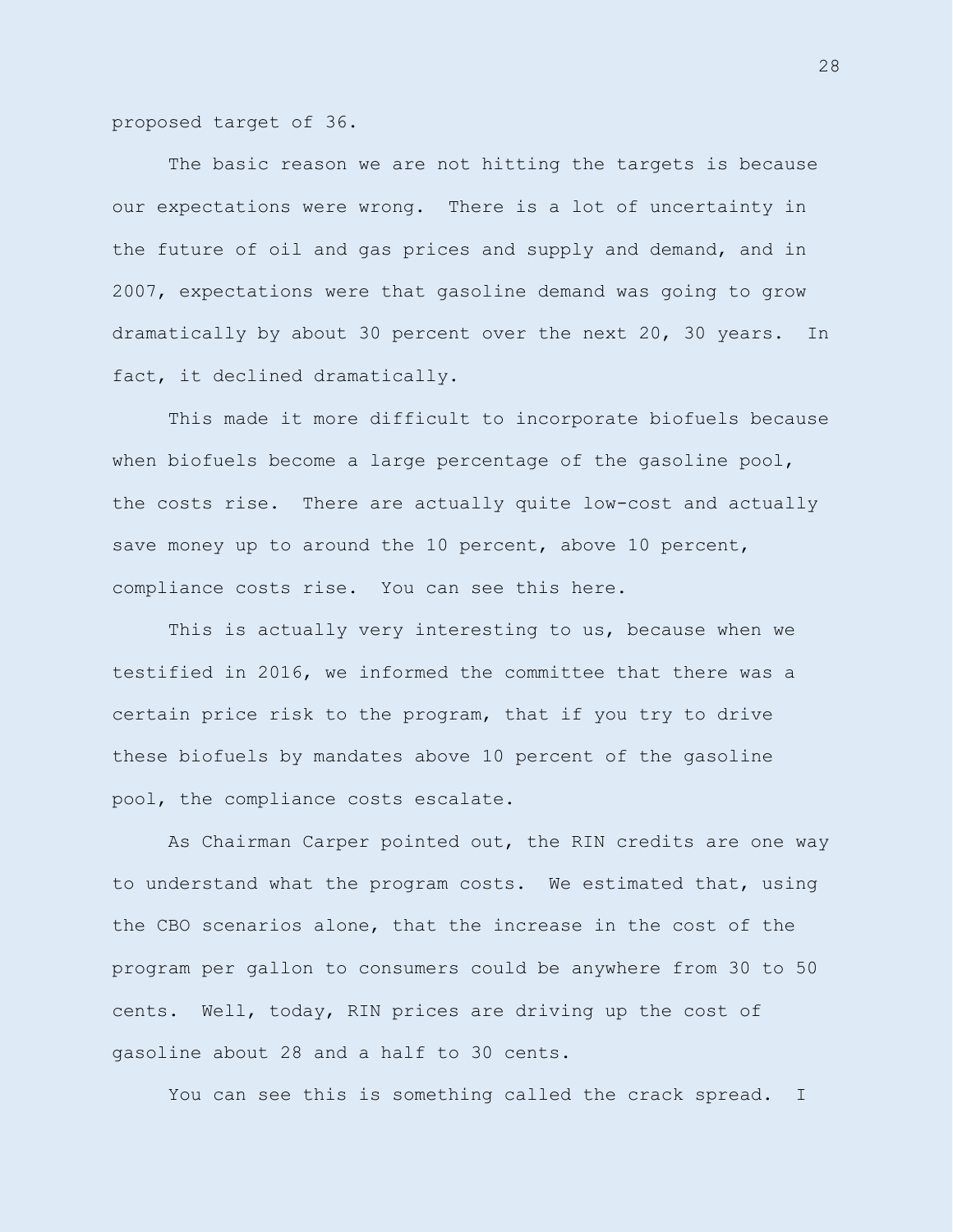proposed target of 36.

The basic reason we are not hitting the targets is because our expectations were wrong. There is a lot of uncertainty in the future of oil and gas prices and supply and demand, and in 2007, expectations were that gasoline demand was going to grow dramatically by about 30 percent over the next 20, 30 years. In fact, it declined dramatically.

This made it more difficult to incorporate biofuels because when biofuels become a large percentage of the gasoline pool, the costs rise. There are actually quite low-cost and actually save money up to around the 10 percent, above 10 percent, compliance costs rise. You can see this here.

This is actually very interesting to us, because when we testified in 2016, we informed the committee that there was a certain price risk to the program, that if you try to drive these biofuels by mandates above 10 percent of the gasoline pool, the compliance costs escalate.

As Chairman Carper pointed out, the RIN credits are one way to understand what the program costs. We estimated that, using the CBO scenarios alone, that the increase in the cost of the program per gallon to consumers could be anywhere from 30 to 50 cents. Well, today, RIN prices are driving up the cost of gasoline about 28 and a half to 30 cents.

You can see this is something called the crack spread. I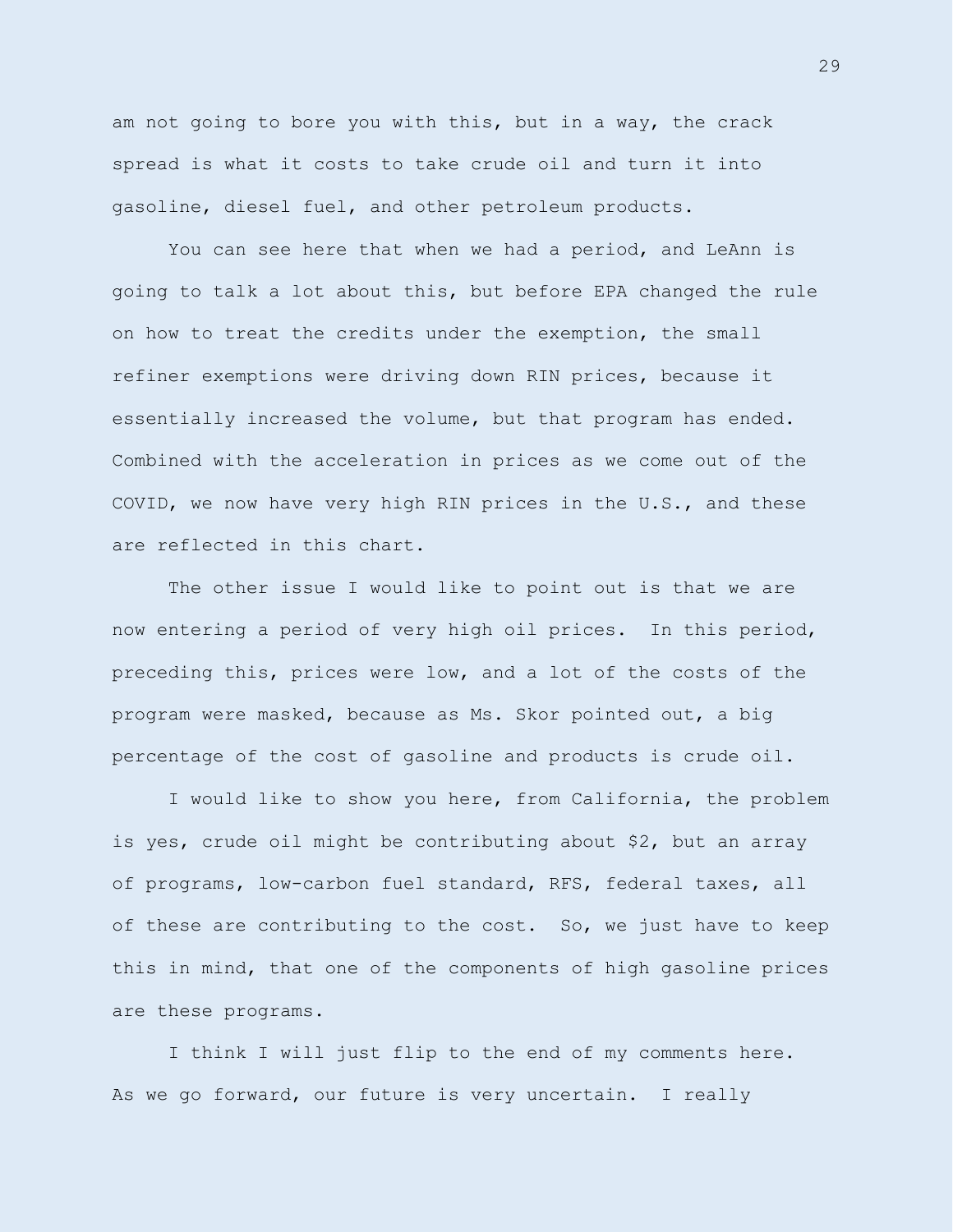am not going to bore you with this, but in a way, the crack spread is what it costs to take crude oil and turn it into gasoline, diesel fuel, and other petroleum products.

You can see here that when we had a period, and LeAnn is going to talk a lot about this, but before EPA changed the rule on how to treat the credits under the exemption, the small refiner exemptions were driving down RIN prices, because it essentially increased the volume, but that program has ended. Combined with the acceleration in prices as we come out of the COVID, we now have very high RIN prices in the U.S., and these are reflected in this chart.

The other issue I would like to point out is that we are now entering a period of very high oil prices. In this period, preceding this, prices were low, and a lot of the costs of the program were masked, because as Ms. Skor pointed out, a big percentage of the cost of gasoline and products is crude oil.

I would like to show you here, from California, the problem is yes, crude oil might be contributing about \$2, but an array of programs, low-carbon fuel standard, RFS, federal taxes, all of these are contributing to the cost. So, we just have to keep this in mind, that one of the components of high gasoline prices are these programs.

I think I will just flip to the end of my comments here. As we go forward, our future is very uncertain. I really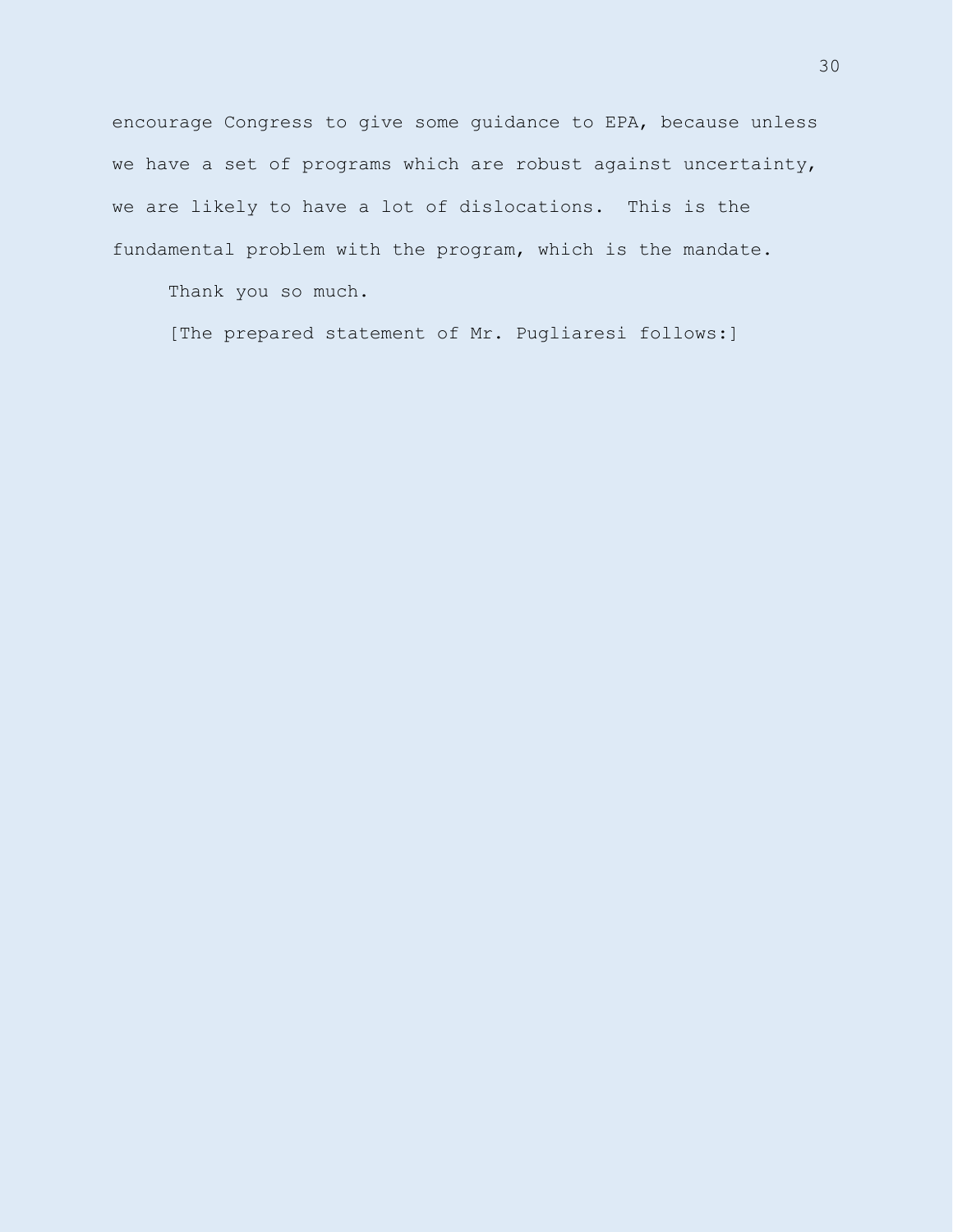encourage Congress to give some guidance to EPA, because unless we have a set of programs which are robust against uncertainty, we are likely to have a lot of dislocations. This is the fundamental problem with the program, which is the mandate.

Thank you so much.

[The prepared statement of Mr. Pugliaresi follows:]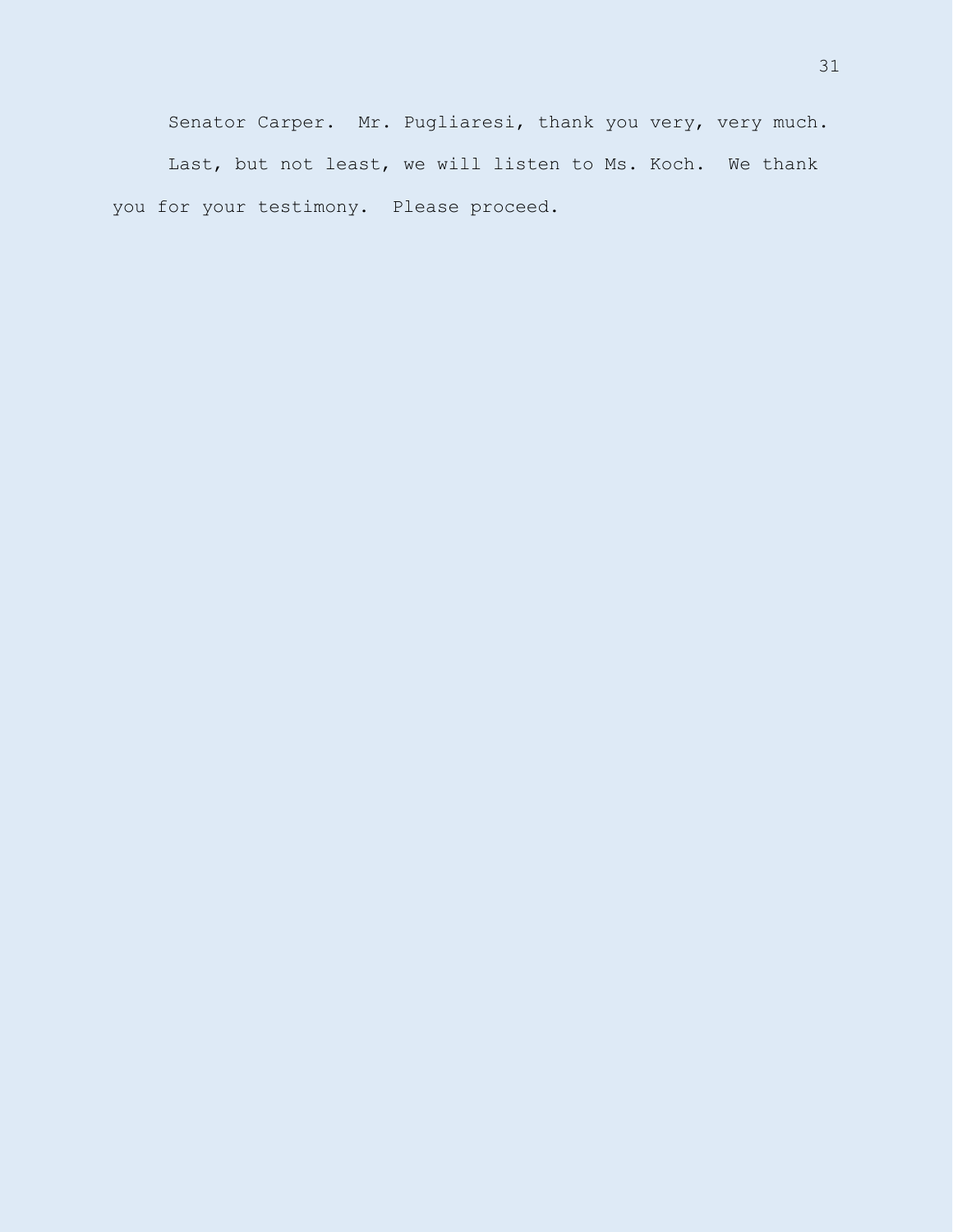Senator Carper. Mr. Pugliaresi, thank you very, very much. Last, but not least, we will listen to Ms. Koch. We thank you for your testimony. Please proceed.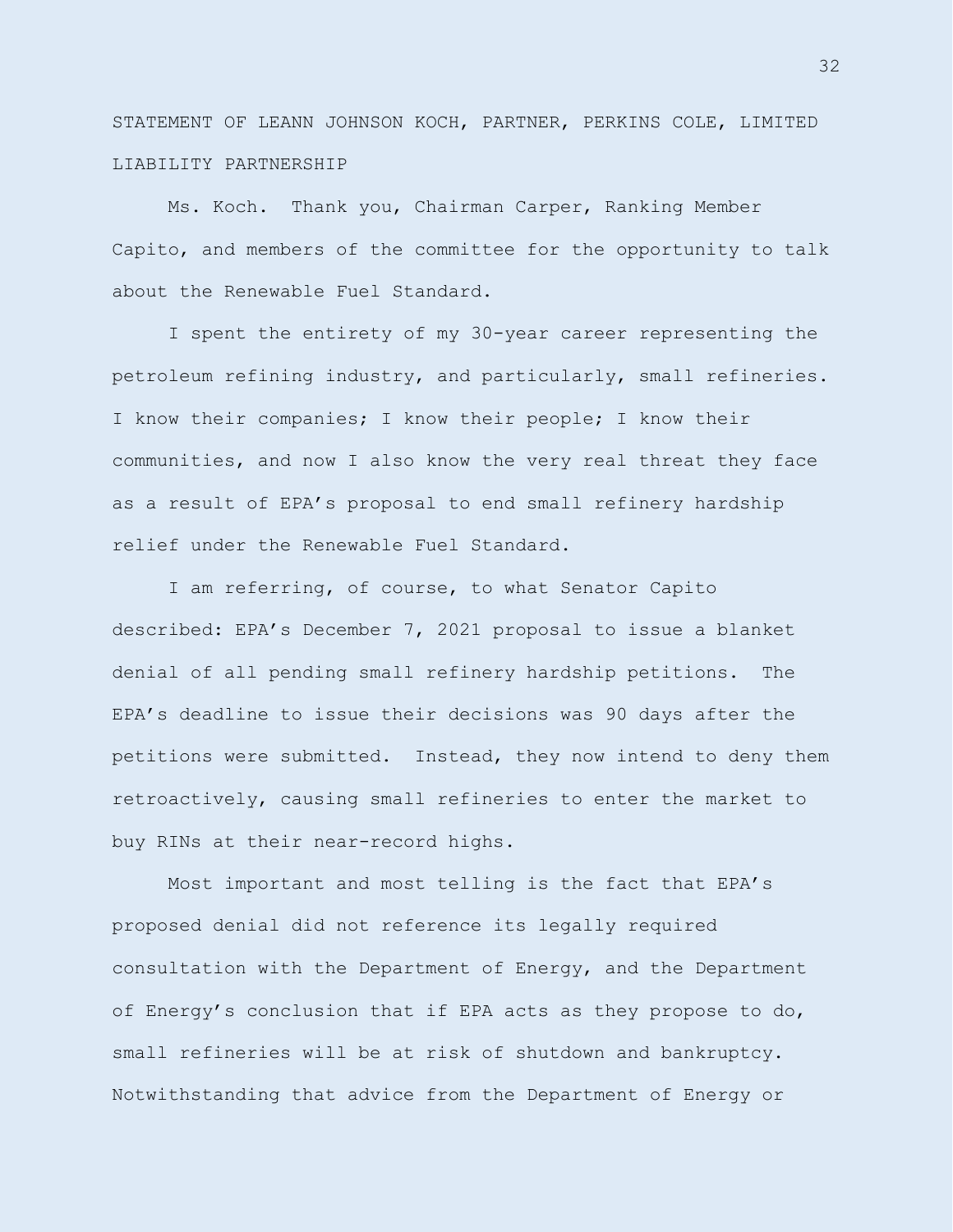STATEMENT OF LEANN JOHNSON KOCH, PARTNER, PERKINS COLE, LIMITED LIABILITY PARTNERSHIP

Ms. Koch. Thank you, Chairman Carper, Ranking Member Capito, and members of the committee for the opportunity to talk about the Renewable Fuel Standard.

I spent the entirety of my 30-year career representing the petroleum refining industry, and particularly, small refineries. I know their companies; I know their people; I know their communities, and now I also know the very real threat they face as a result of EPA's proposal to end small refinery hardship relief under the Renewable Fuel Standard.

I am referring, of course, to what Senator Capito described: EPA's December 7, 2021 proposal to issue a blanket denial of all pending small refinery hardship petitions. The EPA's deadline to issue their decisions was 90 days after the petitions were submitted. Instead, they now intend to deny them retroactively, causing small refineries to enter the market to buy RINs at their near-record highs.

Most important and most telling is the fact that EPA's proposed denial did not reference its legally required consultation with the Department of Energy, and the Department of Energy's conclusion that if EPA acts as they propose to do, small refineries will be at risk of shutdown and bankruptcy. Notwithstanding that advice from the Department of Energy or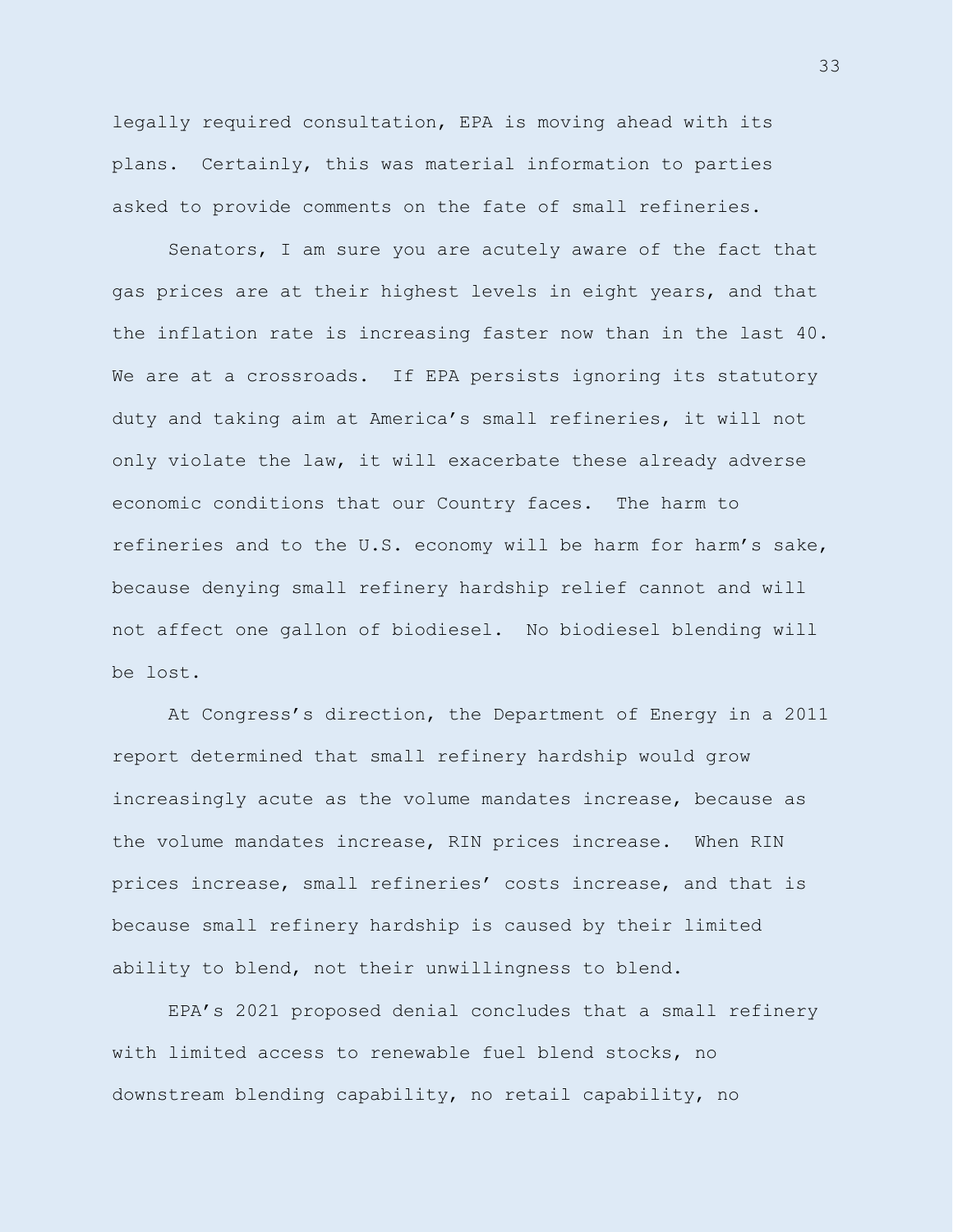legally required consultation, EPA is moving ahead with its plans. Certainly, this was material information to parties asked to provide comments on the fate of small refineries.

Senators, I am sure you are acutely aware of the fact that gas prices are at their highest levels in eight years, and that the inflation rate is increasing faster now than in the last 40. We are at a crossroads. If EPA persists ignoring its statutory duty and taking aim at America's small refineries, it will not only violate the law, it will exacerbate these already adverse economic conditions that our Country faces. The harm to refineries and to the U.S. economy will be harm for harm's sake, because denying small refinery hardship relief cannot and will not affect one gallon of biodiesel. No biodiesel blending will be lost.

At Congress's direction, the Department of Energy in a 2011 report determined that small refinery hardship would grow increasingly acute as the volume mandates increase, because as the volume mandates increase, RIN prices increase. When RIN prices increase, small refineries' costs increase, and that is because small refinery hardship is caused by their limited ability to blend, not their unwillingness to blend.

EPA's 2021 proposed denial concludes that a small refinery with limited access to renewable fuel blend stocks, no downstream blending capability, no retail capability, no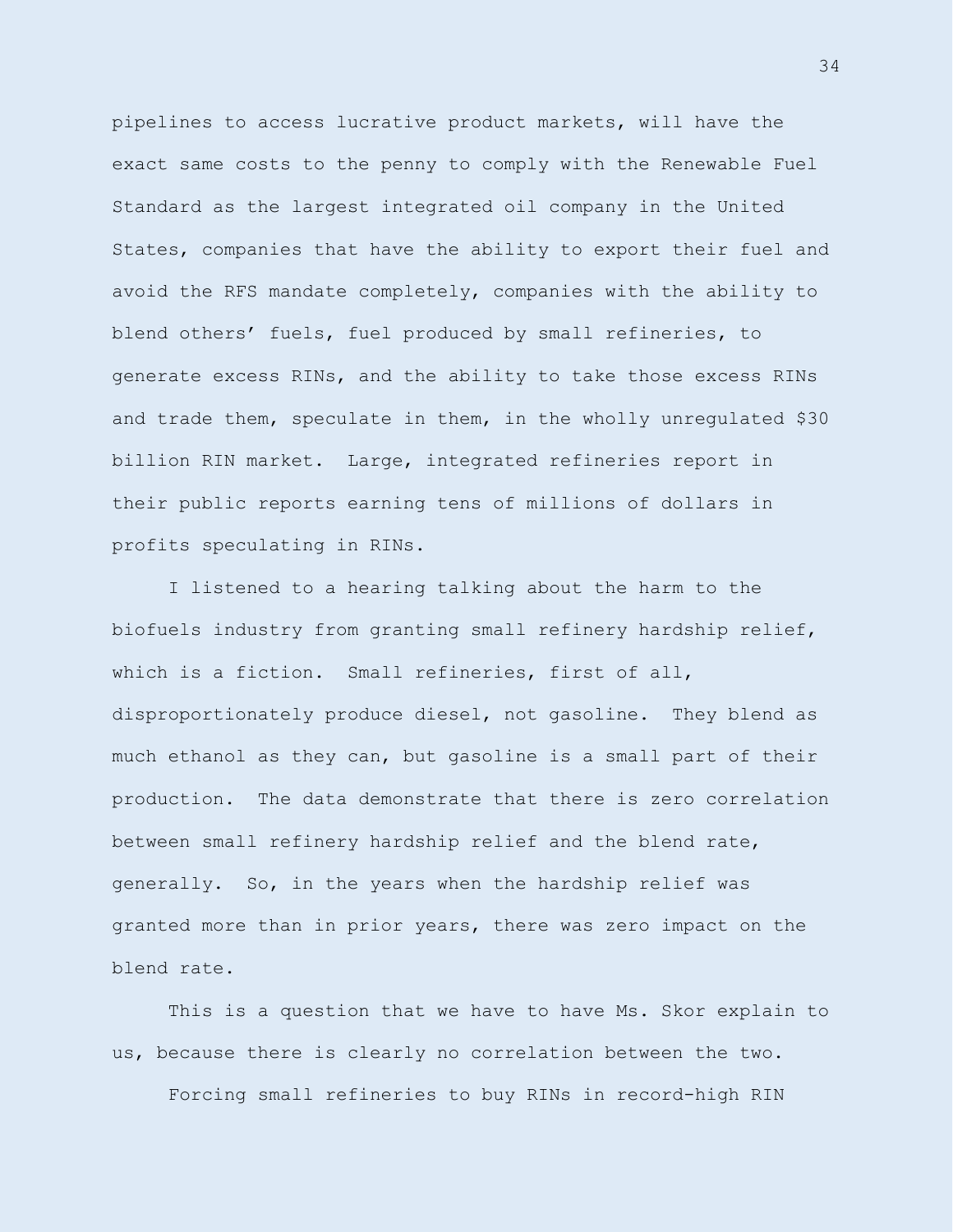pipelines to access lucrative product markets, will have the exact same costs to the penny to comply with the Renewable Fuel Standard as the largest integrated oil company in the United States, companies that have the ability to export their fuel and avoid the RFS mandate completely, companies with the ability to blend others' fuels, fuel produced by small refineries, to generate excess RINs, and the ability to take those excess RINs and trade them, speculate in them, in the wholly unregulated \$30 billion RIN market. Large, integrated refineries report in their public reports earning tens of millions of dollars in profits speculating in RINs.

I listened to a hearing talking about the harm to the biofuels industry from granting small refinery hardship relief, which is a fiction. Small refineries, first of all, disproportionately produce diesel, not gasoline. They blend as much ethanol as they can, but gasoline is a small part of their production. The data demonstrate that there is zero correlation between small refinery hardship relief and the blend rate, generally. So, in the years when the hardship relief was granted more than in prior years, there was zero impact on the blend rate.

This is a question that we have to have Ms. Skor explain to us, because there is clearly no correlation between the two.

Forcing small refineries to buy RINs in record-high RIN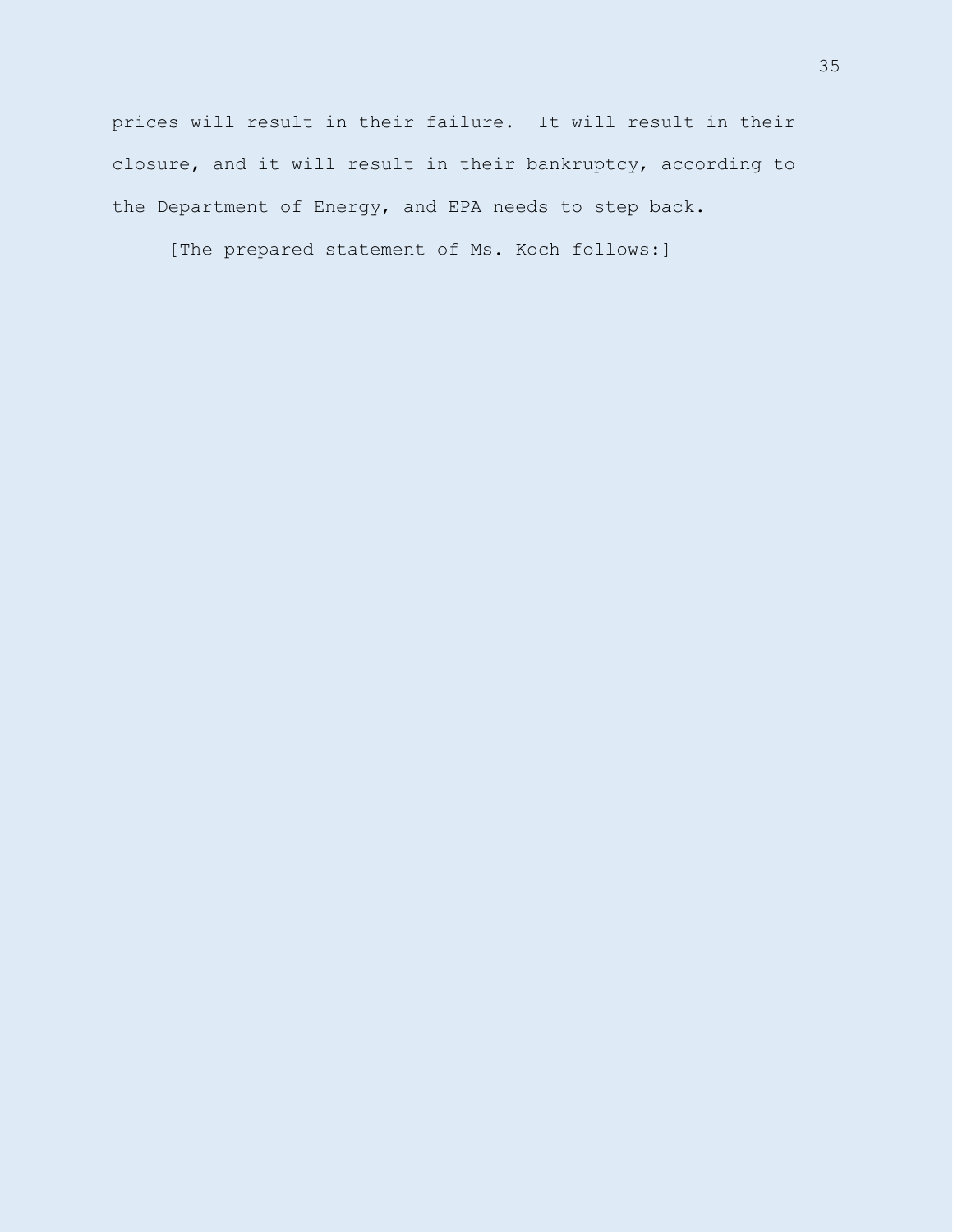prices will result in their failure. It will result in their closure, and it will result in their bankruptcy, according to the Department of Energy, and EPA needs to step back.

[The prepared statement of Ms. Koch follows:]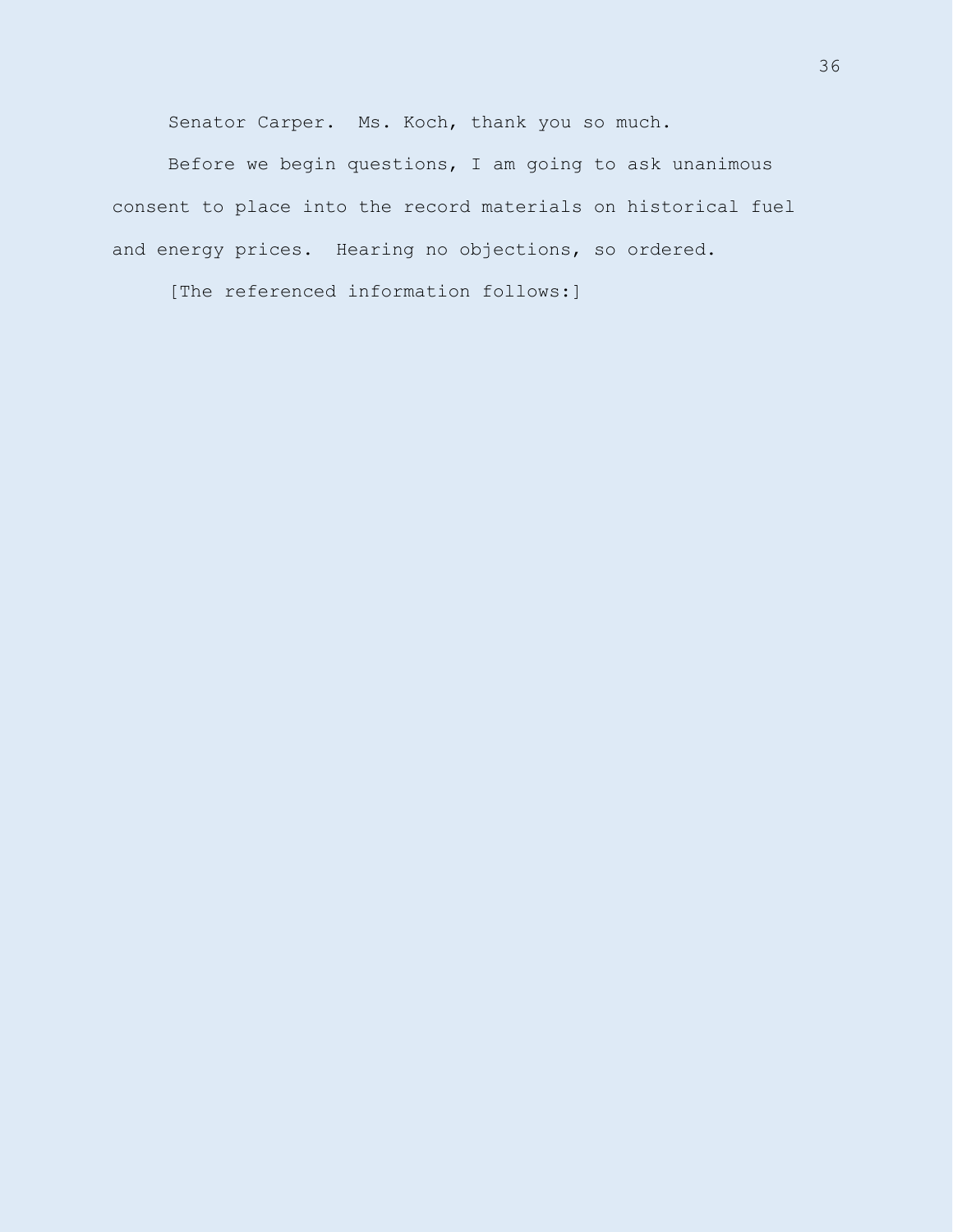Senator Carper. Ms. Koch, thank you so much.

Before we begin questions, I am going to ask unanimous consent to place into the record materials on historical fuel and energy prices. Hearing no objections, so ordered.

[The referenced information follows:]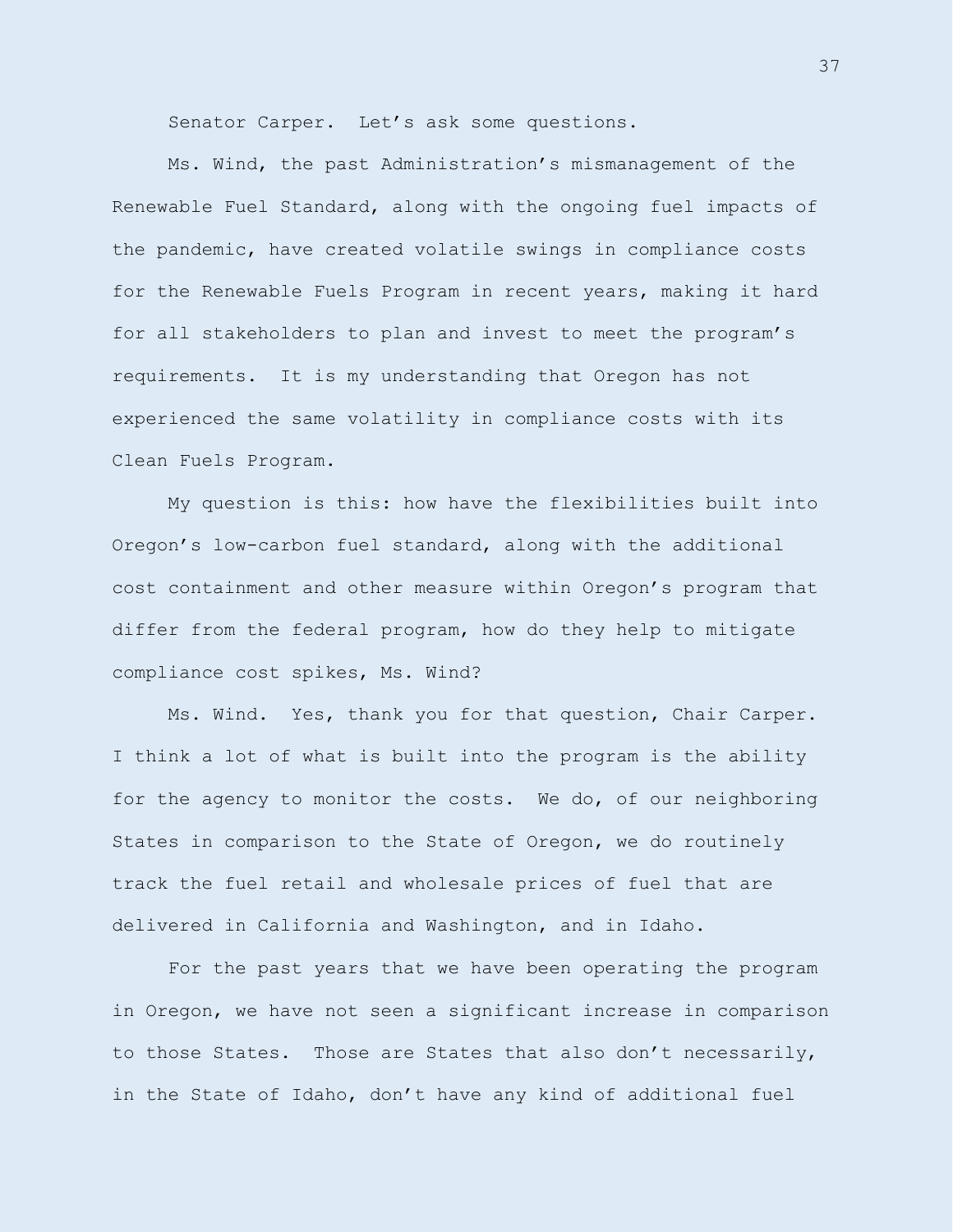Senator Carper. Let's ask some questions.

Ms. Wind, the past Administration's mismanagement of the Renewable Fuel Standard, along with the ongoing fuel impacts of the pandemic, have created volatile swings in compliance costs for the Renewable Fuels Program in recent years, making it hard for all stakeholders to plan and invest to meet the program's requirements. It is my understanding that Oregon has not experienced the same volatility in compliance costs with its Clean Fuels Program.

My question is this: how have the flexibilities built into Oregon's low-carbon fuel standard, along with the additional cost containment and other measure within Oregon's program that differ from the federal program, how do they help to mitigate compliance cost spikes, Ms. Wind?

Ms. Wind. Yes, thank you for that question, Chair Carper. I think a lot of what is built into the program is the ability for the agency to monitor the costs. We do, of our neighboring States in comparison to the State of Oregon, we do routinely track the fuel retail and wholesale prices of fuel that are delivered in California and Washington, and in Idaho.

For the past years that we have been operating the program in Oregon, we have not seen a significant increase in comparison to those States. Those are States that also don't necessarily, in the State of Idaho, don't have any kind of additional fuel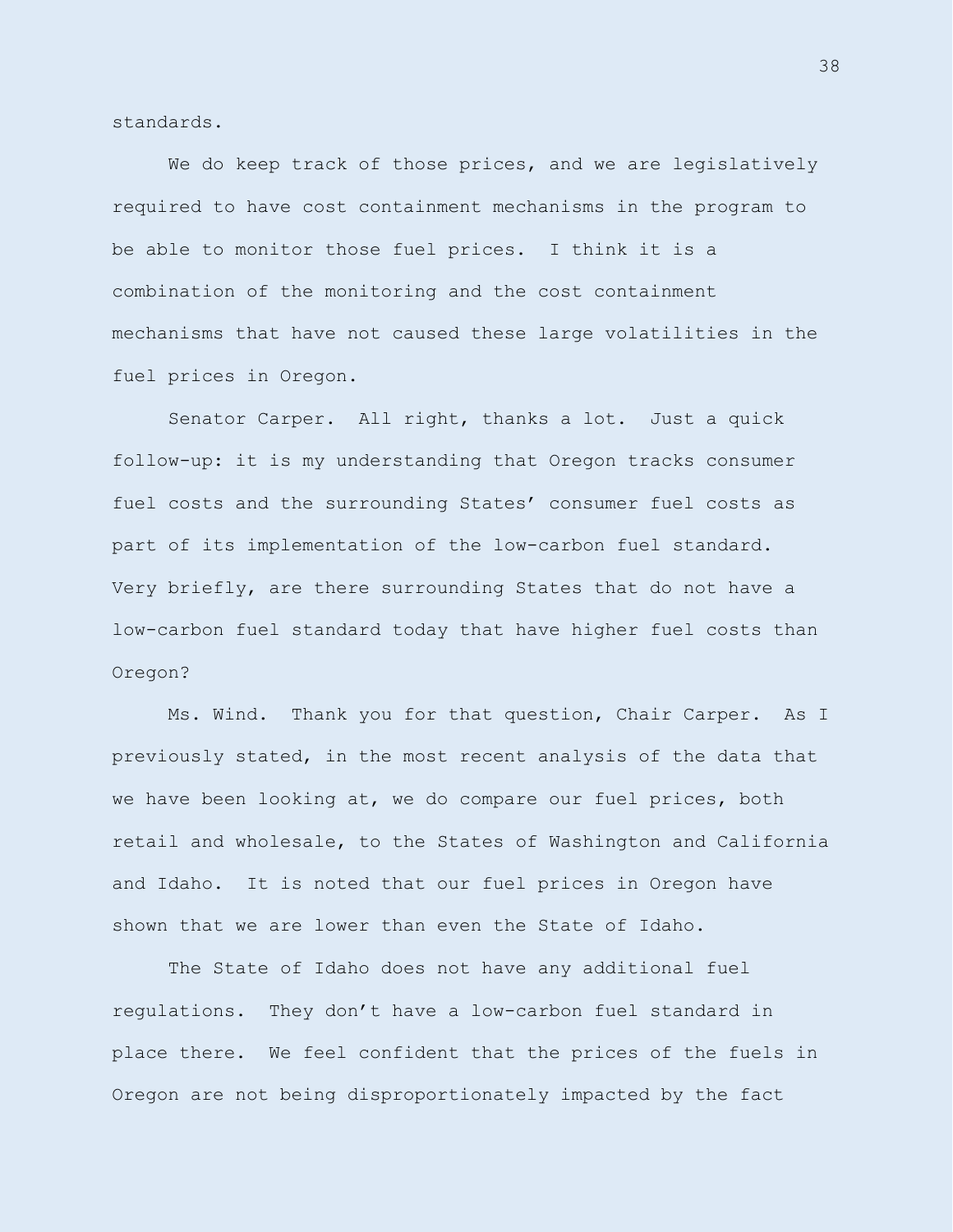standards.

We do keep track of those prices, and we are legislatively required to have cost containment mechanisms in the program to be able to monitor those fuel prices. I think it is a combination of the monitoring and the cost containment mechanisms that have not caused these large volatilities in the fuel prices in Oregon.

Senator Carper. All right, thanks a lot. Just a quick follow-up: it is my understanding that Oregon tracks consumer fuel costs and the surrounding States' consumer fuel costs as part of its implementation of the low-carbon fuel standard. Very briefly, are there surrounding States that do not have a low-carbon fuel standard today that have higher fuel costs than Oregon?

Ms. Wind. Thank you for that question, Chair Carper. As I previously stated, in the most recent analysis of the data that we have been looking at, we do compare our fuel prices, both retail and wholesale, to the States of Washington and California and Idaho. It is noted that our fuel prices in Oregon have shown that we are lower than even the State of Idaho.

The State of Idaho does not have any additional fuel regulations. They don't have a low-carbon fuel standard in place there. We feel confident that the prices of the fuels in Oregon are not being disproportionately impacted by the fact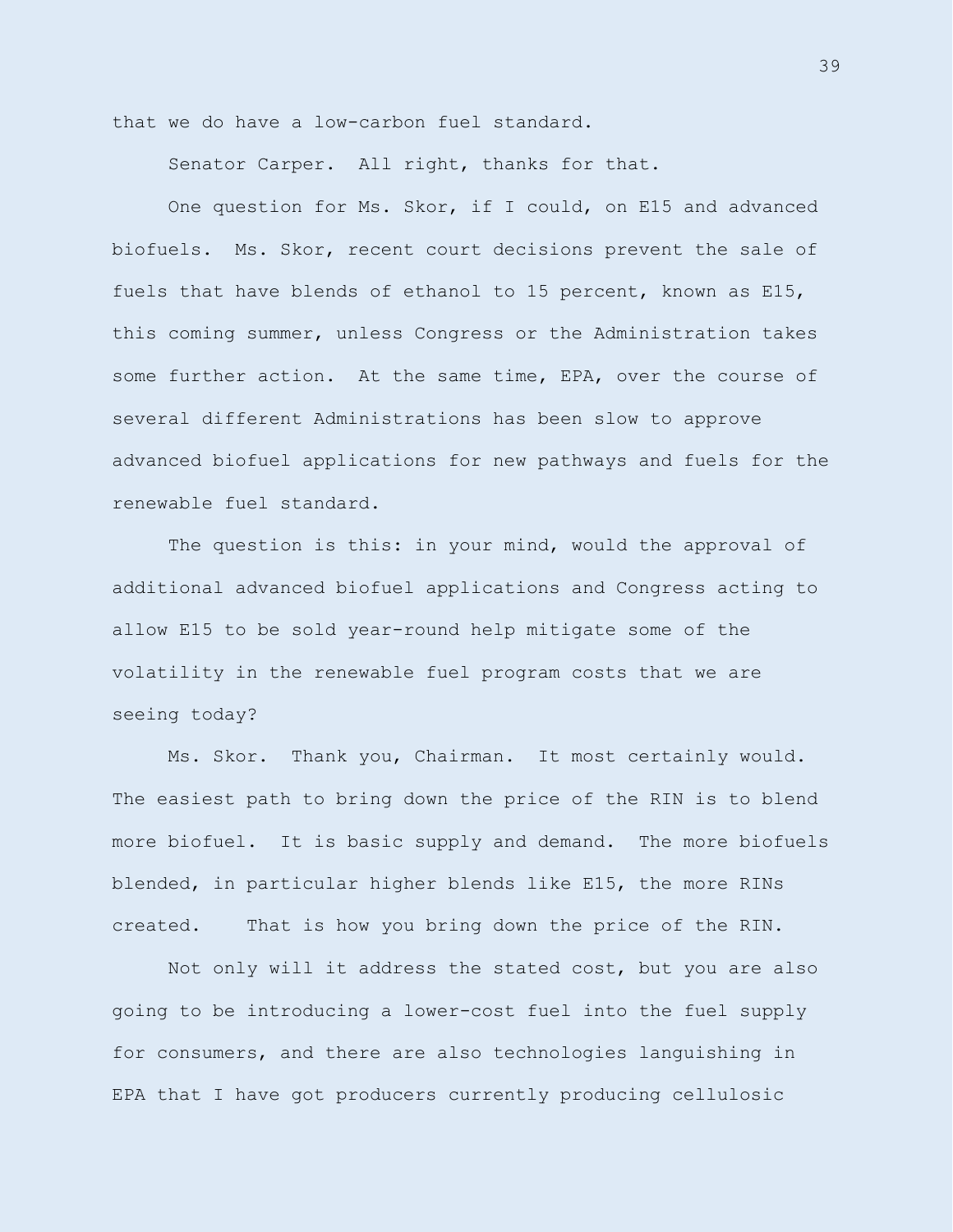that we do have a low-carbon fuel standard.

Senator Carper. All right, thanks for that.

One question for Ms. Skor, if I could, on E15 and advanced biofuels. Ms. Skor, recent court decisions prevent the sale of fuels that have blends of ethanol to 15 percent, known as E15, this coming summer, unless Congress or the Administration takes some further action. At the same time, EPA, over the course of several different Administrations has been slow to approve advanced biofuel applications for new pathways and fuels for the renewable fuel standard.

The question is this: in your mind, would the approval of additional advanced biofuel applications and Congress acting to allow E15 to be sold year-round help mitigate some of the volatility in the renewable fuel program costs that we are seeing today?

Ms. Skor. Thank you, Chairman. It most certainly would. The easiest path to bring down the price of the RIN is to blend more biofuel. It is basic supply and demand. The more biofuels blended, in particular higher blends like E15, the more RINs created. That is how you bring down the price of the RIN.

Not only will it address the stated cost, but you are also going to be introducing a lower-cost fuel into the fuel supply for consumers, and there are also technologies languishing in EPA that I have got producers currently producing cellulosic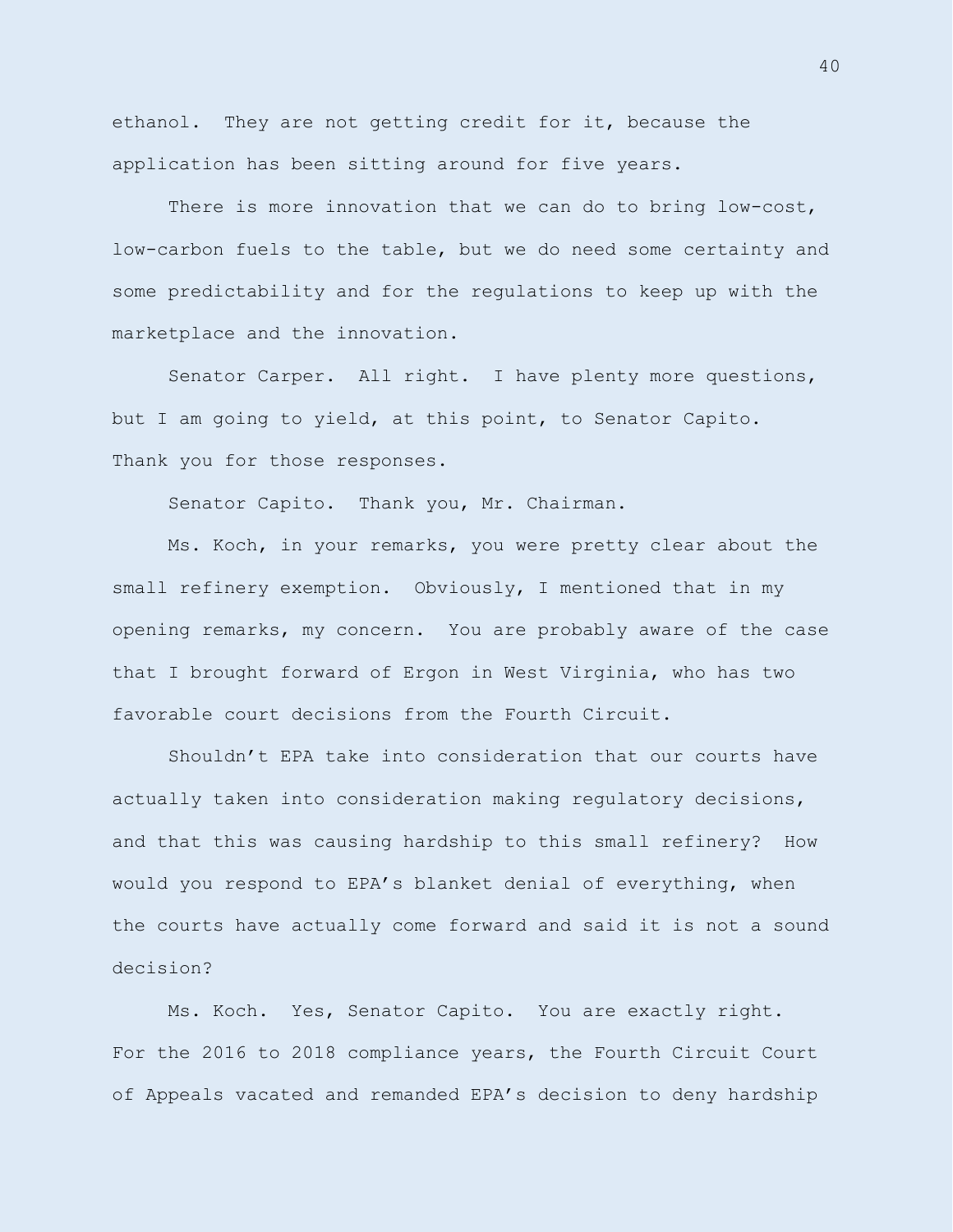ethanol. They are not getting credit for it, because the application has been sitting around for five years.

There is more innovation that we can do to bring low-cost, low-carbon fuels to the table, but we do need some certainty and some predictability and for the regulations to keep up with the marketplace and the innovation.

Senator Carper. All right. I have plenty more questions, but I am going to yield, at this point, to Senator Capito. Thank you for those responses.

Senator Capito. Thank you, Mr. Chairman.

Ms. Koch, in your remarks, you were pretty clear about the small refinery exemption. Obviously, I mentioned that in my opening remarks, my concern. You are probably aware of the case that I brought forward of Ergon in West Virginia, who has two favorable court decisions from the Fourth Circuit.

Shouldn't EPA take into consideration that our courts have actually taken into consideration making regulatory decisions, and that this was causing hardship to this small refinery? How would you respond to EPA's blanket denial of everything, when the courts have actually come forward and said it is not a sound decision?

Ms. Koch. Yes, Senator Capito. You are exactly right. For the 2016 to 2018 compliance years, the Fourth Circuit Court of Appeals vacated and remanded EPA's decision to deny hardship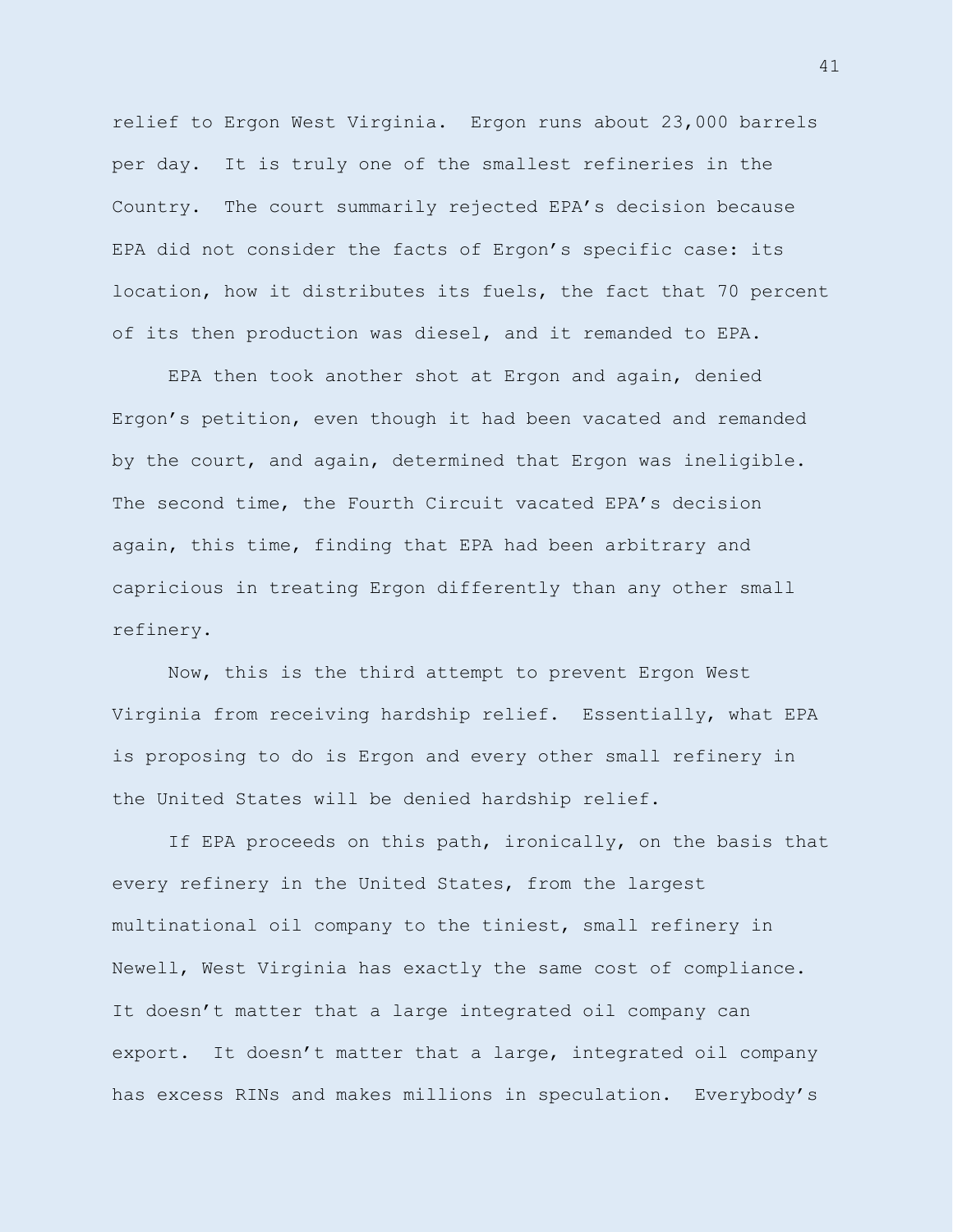relief to Ergon West Virginia. Ergon runs about 23,000 barrels per day. It is truly one of the smallest refineries in the Country. The court summarily rejected EPA's decision because EPA did not consider the facts of Ergon's specific case: its location, how it distributes its fuels, the fact that 70 percent of its then production was diesel, and it remanded to EPA.

EPA then took another shot at Ergon and again, denied Ergon's petition, even though it had been vacated and remanded by the court, and again, determined that Ergon was ineligible. The second time, the Fourth Circuit vacated EPA's decision again, this time, finding that EPA had been arbitrary and capricious in treating Ergon differently than any other small refinery.

Now, this is the third attempt to prevent Ergon West Virginia from receiving hardship relief. Essentially, what EPA is proposing to do is Ergon and every other small refinery in the United States will be denied hardship relief.

If EPA proceeds on this path, ironically, on the basis that every refinery in the United States, from the largest multinational oil company to the tiniest, small refinery in Newell, West Virginia has exactly the same cost of compliance. It doesn't matter that a large integrated oil company can export. It doesn't matter that a large, integrated oil company has excess RINs and makes millions in speculation. Everybody's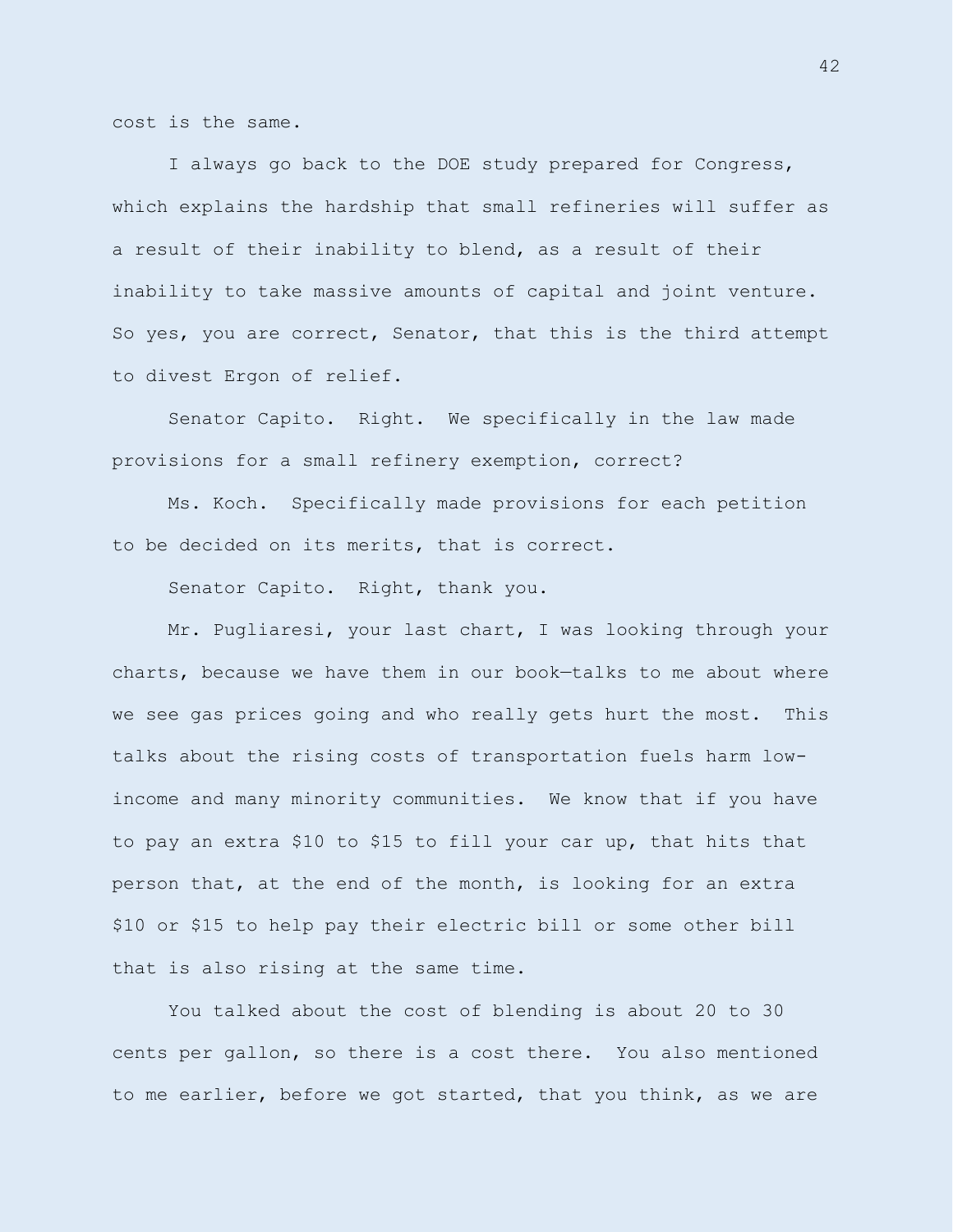cost is the same.

I always go back to the DOE study prepared for Congress, which explains the hardship that small refineries will suffer as a result of their inability to blend, as a result of their inability to take massive amounts of capital and joint venture. So yes, you are correct, Senator, that this is the third attempt to divest Ergon of relief.

Senator Capito. Right. We specifically in the law made provisions for a small refinery exemption, correct?

Ms. Koch. Specifically made provisions for each petition to be decided on its merits, that is correct.

Senator Capito. Right, thank you.

Mr. Pugliaresi, your last chart, I was looking through your charts, because we have them in our book—talks to me about where we see gas prices going and who really gets hurt the most. This talks about the rising costs of transportation fuels harm lowincome and many minority communities. We know that if you have to pay an extra \$10 to \$15 to fill your car up, that hits that person that, at the end of the month, is looking for an extra \$10 or \$15 to help pay their electric bill or some other bill that is also rising at the same time.

You talked about the cost of blending is about 20 to 30 cents per gallon, so there is a cost there. You also mentioned to me earlier, before we got started, that you think, as we are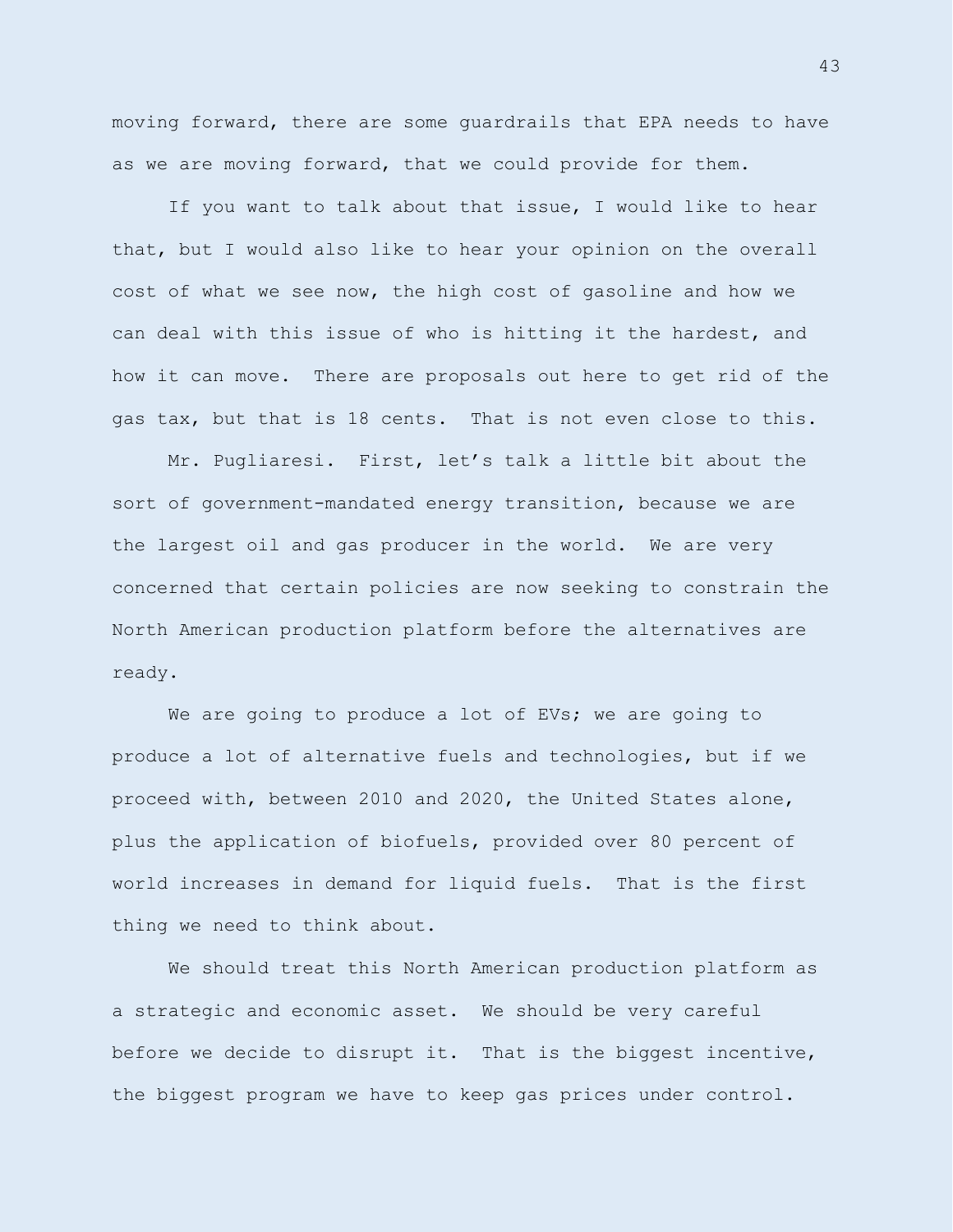moving forward, there are some guardrails that EPA needs to have as we are moving forward, that we could provide for them.

If you want to talk about that issue, I would like to hear that, but I would also like to hear your opinion on the overall cost of what we see now, the high cost of gasoline and how we can deal with this issue of who is hitting it the hardest, and how it can move. There are proposals out here to get rid of the gas tax, but that is 18 cents. That is not even close to this.

Mr. Pugliaresi. First, let's talk a little bit about the sort of government-mandated energy transition, because we are the largest oil and gas producer in the world. We are very concerned that certain policies are now seeking to constrain the North American production platform before the alternatives are ready.

We are going to produce a lot of EVs; we are going to produce a lot of alternative fuels and technologies, but if we proceed with, between 2010 and 2020, the United States alone, plus the application of biofuels, provided over 80 percent of world increases in demand for liquid fuels. That is the first thing we need to think about.

We should treat this North American production platform as a strategic and economic asset. We should be very careful before we decide to disrupt it. That is the biggest incentive, the biggest program we have to keep gas prices under control.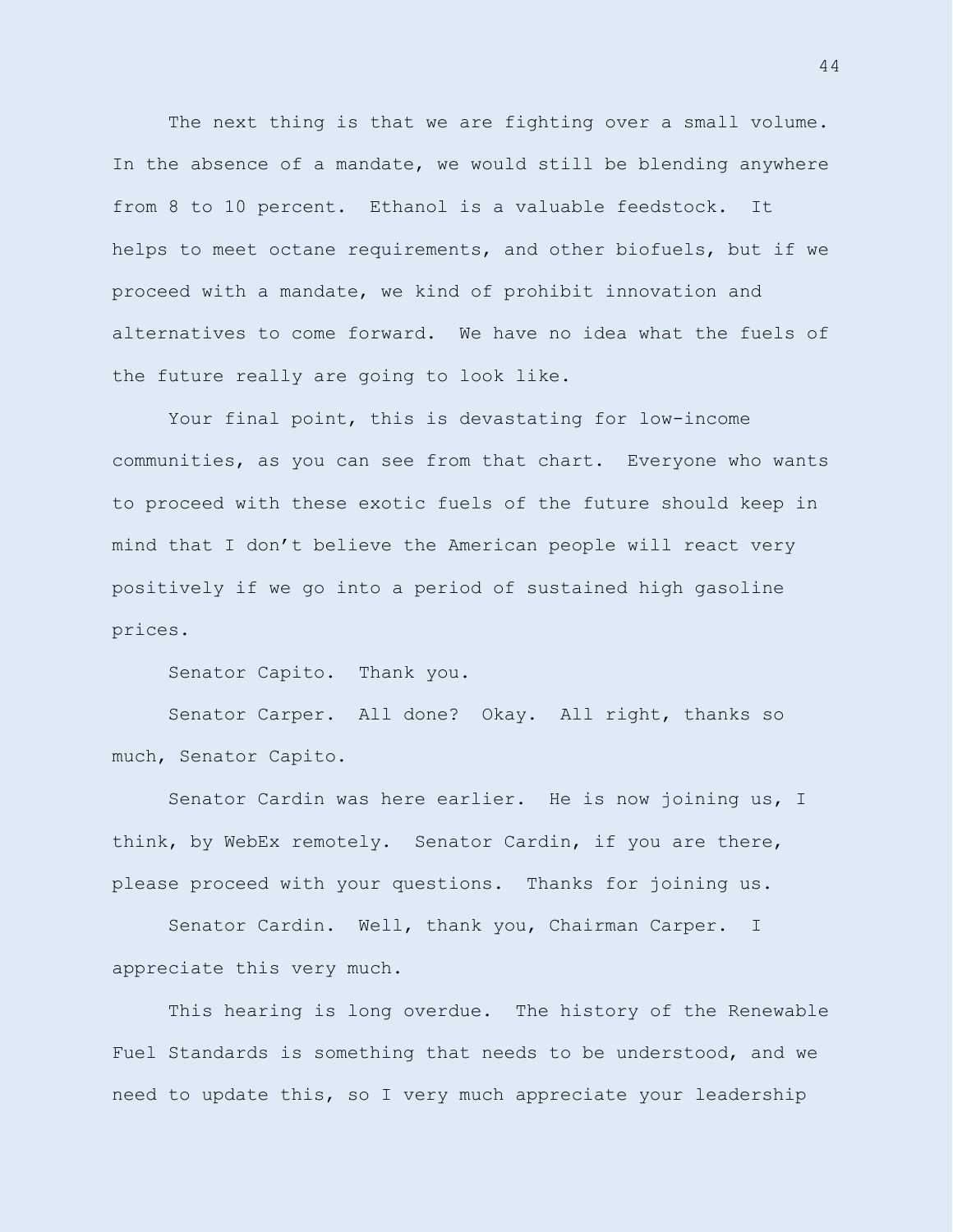The next thing is that we are fighting over a small volume. In the absence of a mandate, we would still be blending anywhere from 8 to 10 percent. Ethanol is a valuable feedstock. It helps to meet octane requirements, and other biofuels, but if we proceed with a mandate, we kind of prohibit innovation and alternatives to come forward. We have no idea what the fuels of the future really are going to look like.

Your final point, this is devastating for low-income communities, as you can see from that chart. Everyone who wants to proceed with these exotic fuels of the future should keep in mind that I don't believe the American people will react very positively if we go into a period of sustained high gasoline prices.

Senator Capito. Thank you.

Senator Carper. All done? Okay. All right, thanks so much, Senator Capito.

Senator Cardin was here earlier. He is now joining us, I think, by WebEx remotely. Senator Cardin, if you are there, please proceed with your questions. Thanks for joining us.

Senator Cardin. Well, thank you, Chairman Carper. I appreciate this very much.

This hearing is long overdue. The history of the Renewable Fuel Standards is something that needs to be understood, and we need to update this, so I very much appreciate your leadership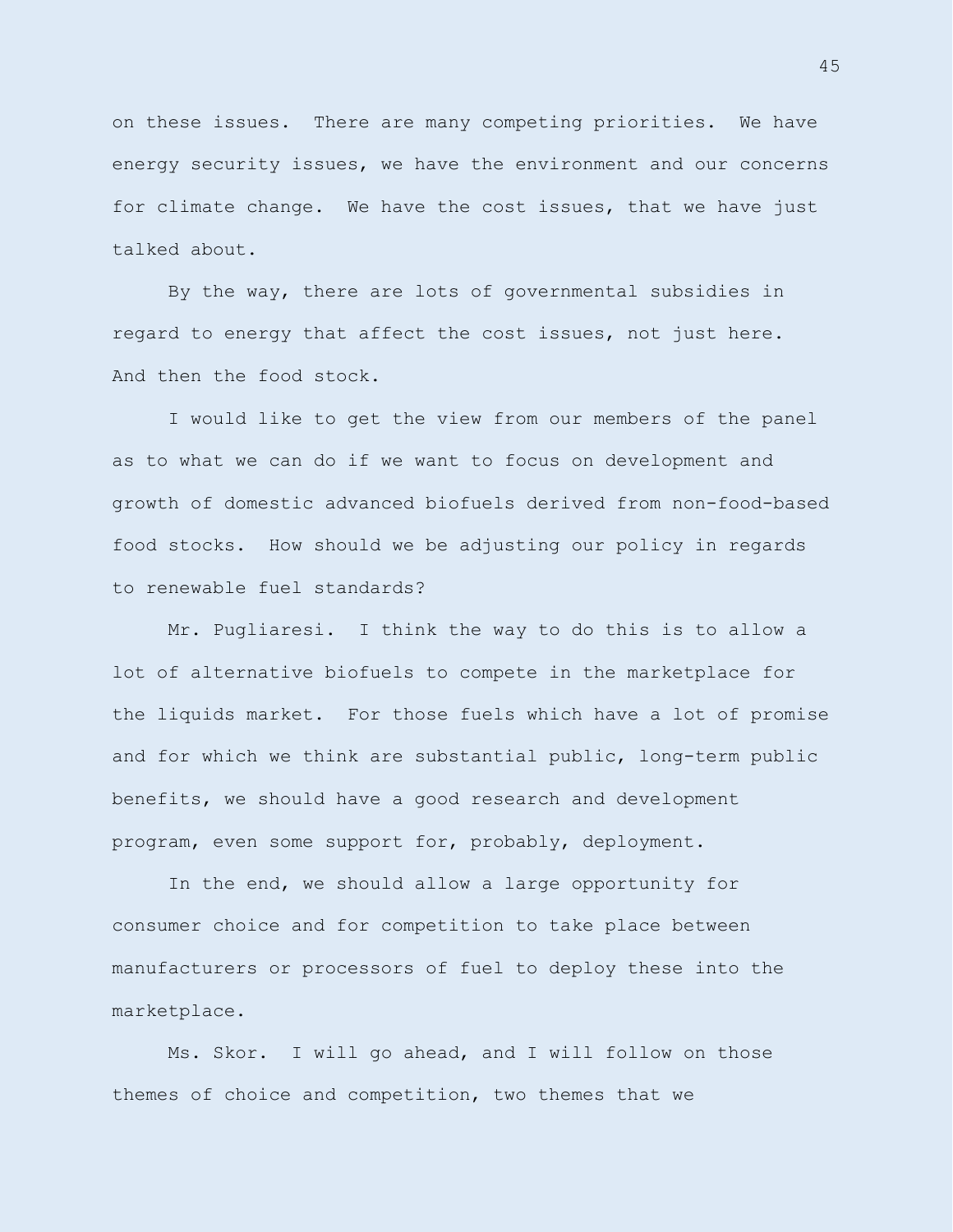on these issues. There are many competing priorities. We have energy security issues, we have the environment and our concerns for climate change. We have the cost issues, that we have just talked about.

By the way, there are lots of governmental subsidies in regard to energy that affect the cost issues, not just here. And then the food stock.

I would like to get the view from our members of the panel as to what we can do if we want to focus on development and growth of domestic advanced biofuels derived from non-food-based food stocks. How should we be adjusting our policy in regards to renewable fuel standards?

Mr. Pugliaresi. I think the way to do this is to allow a lot of alternative biofuels to compete in the marketplace for the liquids market. For those fuels which have a lot of promise and for which we think are substantial public, long-term public benefits, we should have a good research and development program, even some support for, probably, deployment.

In the end, we should allow a large opportunity for consumer choice and for competition to take place between manufacturers or processors of fuel to deploy these into the marketplace.

Ms. Skor. I will go ahead, and I will follow on those themes of choice and competition, two themes that we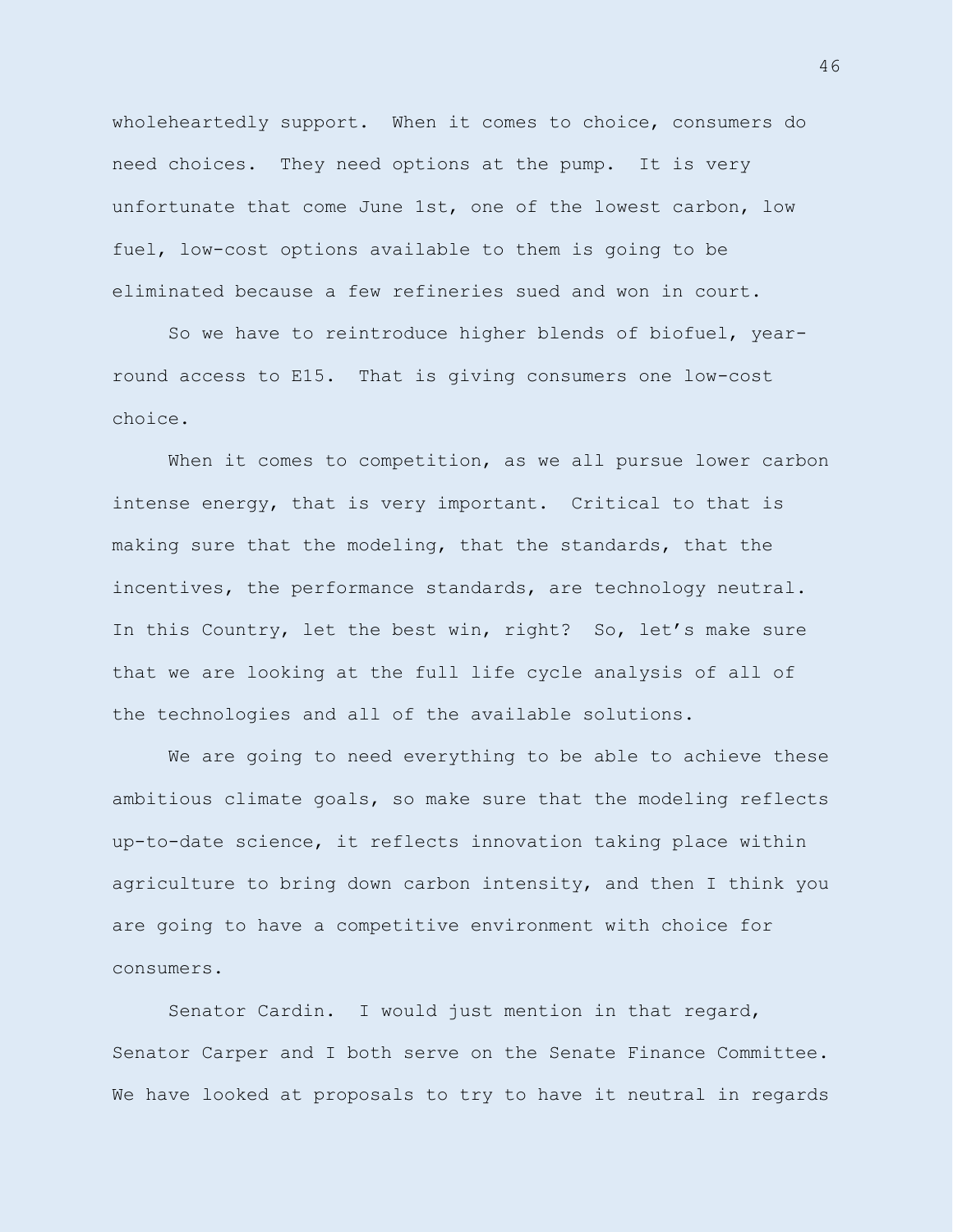wholeheartedly support. When it comes to choice, consumers do need choices. They need options at the pump. It is very unfortunate that come June 1st, one of the lowest carbon, low fuel, low-cost options available to them is going to be eliminated because a few refineries sued and won in court.

So we have to reintroduce higher blends of biofuel, yearround access to E15. That is giving consumers one low-cost choice.

When it comes to competition, as we all pursue lower carbon intense energy, that is very important. Critical to that is making sure that the modeling, that the standards, that the incentives, the performance standards, are technology neutral. In this Country, let the best win, right? So, let's make sure that we are looking at the full life cycle analysis of all of the technologies and all of the available solutions.

We are going to need everything to be able to achieve these ambitious climate goals, so make sure that the modeling reflects up-to-date science, it reflects innovation taking place within agriculture to bring down carbon intensity, and then I think you are going to have a competitive environment with choice for consumers.

Senator Cardin. I would just mention in that regard, Senator Carper and I both serve on the Senate Finance Committee. We have looked at proposals to try to have it neutral in regards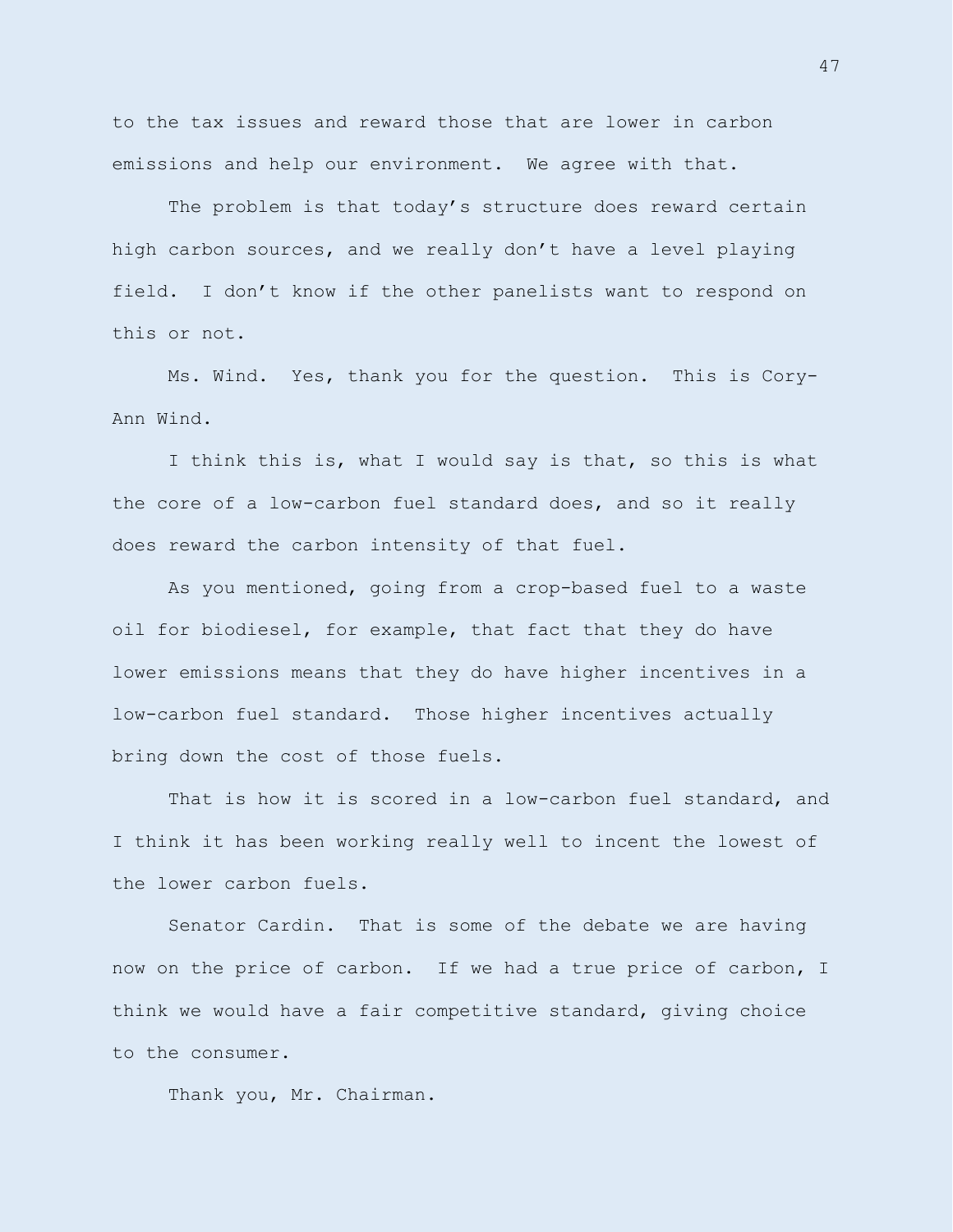to the tax issues and reward those that are lower in carbon emissions and help our environment. We agree with that.

The problem is that today's structure does reward certain high carbon sources, and we really don't have a level playing field. I don't know if the other panelists want to respond on this or not.

Ms. Wind. Yes, thank you for the question. This is Cory-Ann Wind.

I think this is, what I would say is that, so this is what the core of a low-carbon fuel standard does, and so it really does reward the carbon intensity of that fuel.

As you mentioned, going from a crop-based fuel to a waste oil for biodiesel, for example, that fact that they do have lower emissions means that they do have higher incentives in a low-carbon fuel standard. Those higher incentives actually bring down the cost of those fuels.

That is how it is scored in a low-carbon fuel standard, and I think it has been working really well to incent the lowest of the lower carbon fuels.

Senator Cardin. That is some of the debate we are having now on the price of carbon. If we had a true price of carbon, I think we would have a fair competitive standard, giving choice to the consumer.

Thank you, Mr. Chairman.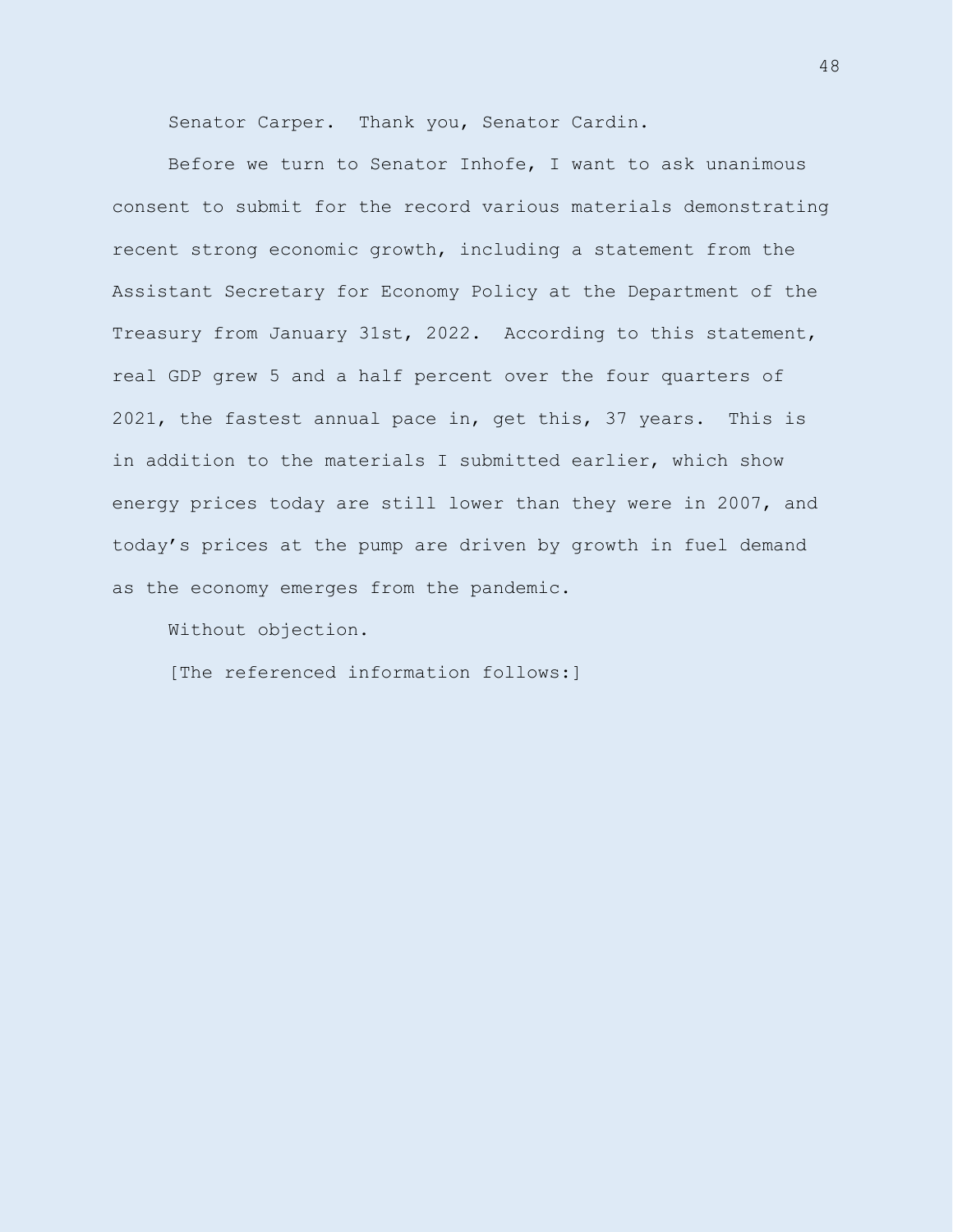Senator Carper. Thank you, Senator Cardin.

Before we turn to Senator Inhofe, I want to ask unanimous consent to submit for the record various materials demonstrating recent strong economic growth, including a statement from the Assistant Secretary for Economy Policy at the Department of the Treasury from January 31st, 2022. According to this statement, real GDP grew 5 and a half percent over the four quarters of 2021, the fastest annual pace in, get this, 37 years. This is in addition to the materials I submitted earlier, which show energy prices today are still lower than they were in 2007, and today's prices at the pump are driven by growth in fuel demand as the economy emerges from the pandemic.

Without objection.

[The referenced information follows:]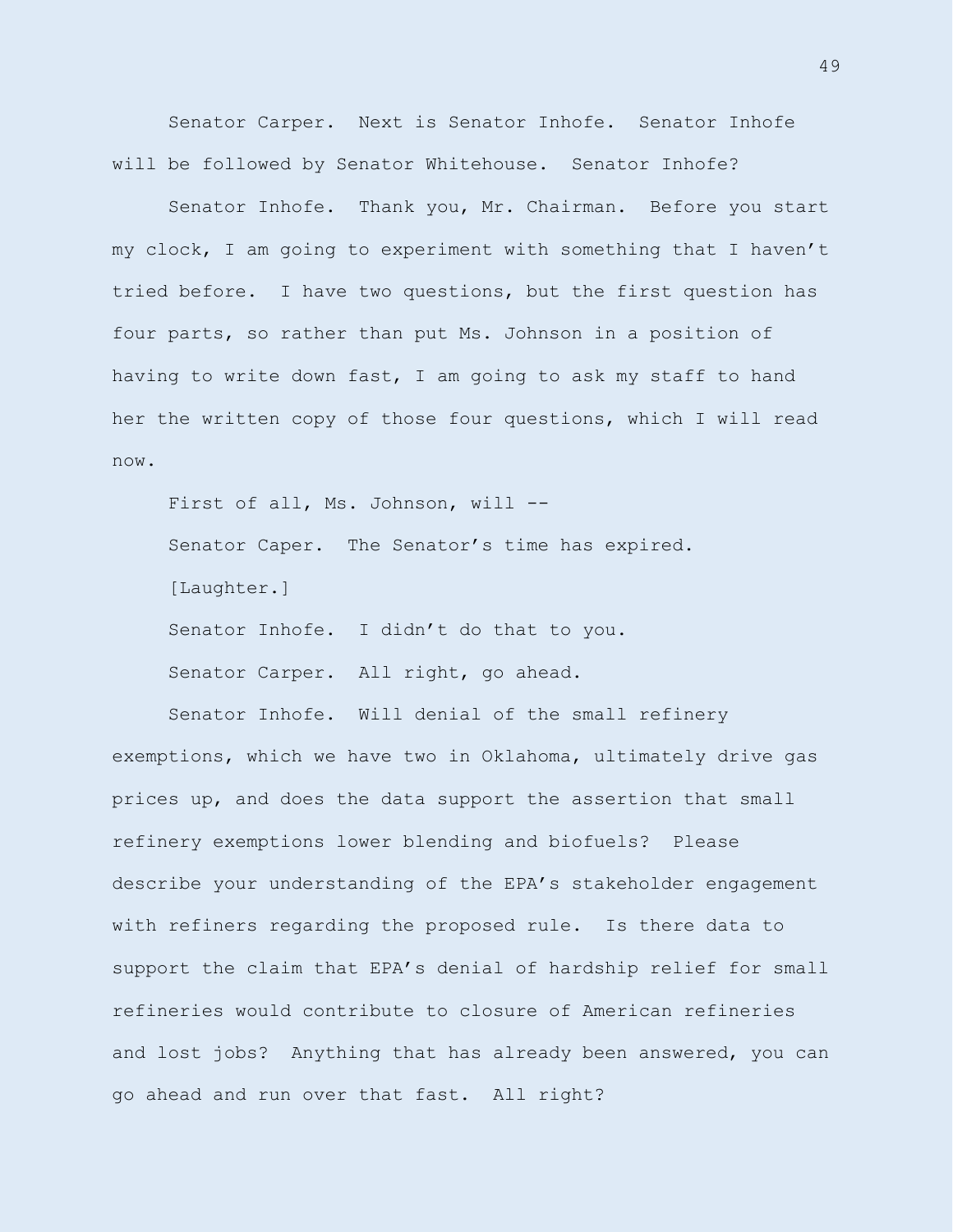Senator Carper. Next is Senator Inhofe. Senator Inhofe will be followed by Senator Whitehouse. Senator Inhofe?

Senator Inhofe. Thank you, Mr. Chairman. Before you start my clock, I am going to experiment with something that I haven't tried before. I have two questions, but the first question has four parts, so rather than put Ms. Johnson in a position of having to write down fast, I am going to ask my staff to hand her the written copy of those four questions, which I will read now.

First of all, Ms. Johnson, will --Senator Caper. The Senator's time has expired. [Laughter.] Senator Inhofe. I didn't do that to you. Senator Carper. All right, go ahead.

Senator Inhofe. Will denial of the small refinery exemptions, which we have two in Oklahoma, ultimately drive gas prices up, and does the data support the assertion that small refinery exemptions lower blending and biofuels? Please describe your understanding of the EPA's stakeholder engagement with refiners regarding the proposed rule. Is there data to support the claim that EPA's denial of hardship relief for small refineries would contribute to closure of American refineries and lost jobs? Anything that has already been answered, you can go ahead and run over that fast. All right?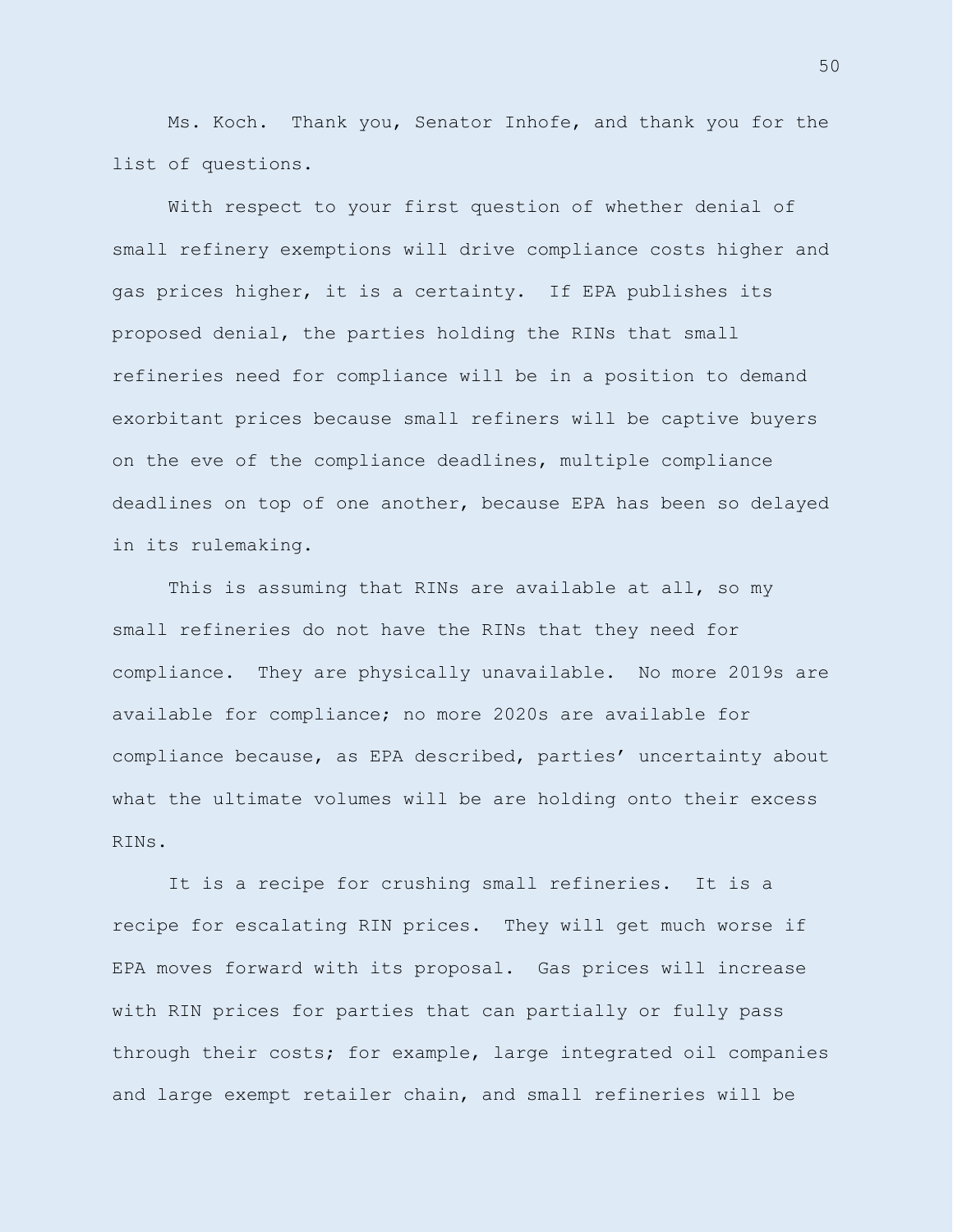Ms. Koch. Thank you, Senator Inhofe, and thank you for the list of questions.

With respect to your first question of whether denial of small refinery exemptions will drive compliance costs higher and gas prices higher, it is a certainty. If EPA publishes its proposed denial, the parties holding the RINs that small refineries need for compliance will be in a position to demand exorbitant prices because small refiners will be captive buyers on the eve of the compliance deadlines, multiple compliance deadlines on top of one another, because EPA has been so delayed in its rulemaking.

This is assuming that RINs are available at all, so my small refineries do not have the RINs that they need for compliance. They are physically unavailable. No more 2019s are available for compliance; no more 2020s are available for compliance because, as EPA described, parties' uncertainty about what the ultimate volumes will be are holding onto their excess RINs.

It is a recipe for crushing small refineries. It is a recipe for escalating RIN prices. They will get much worse if EPA moves forward with its proposal. Gas prices will increase with RIN prices for parties that can partially or fully pass through their costs; for example, large integrated oil companies and large exempt retailer chain, and small refineries will be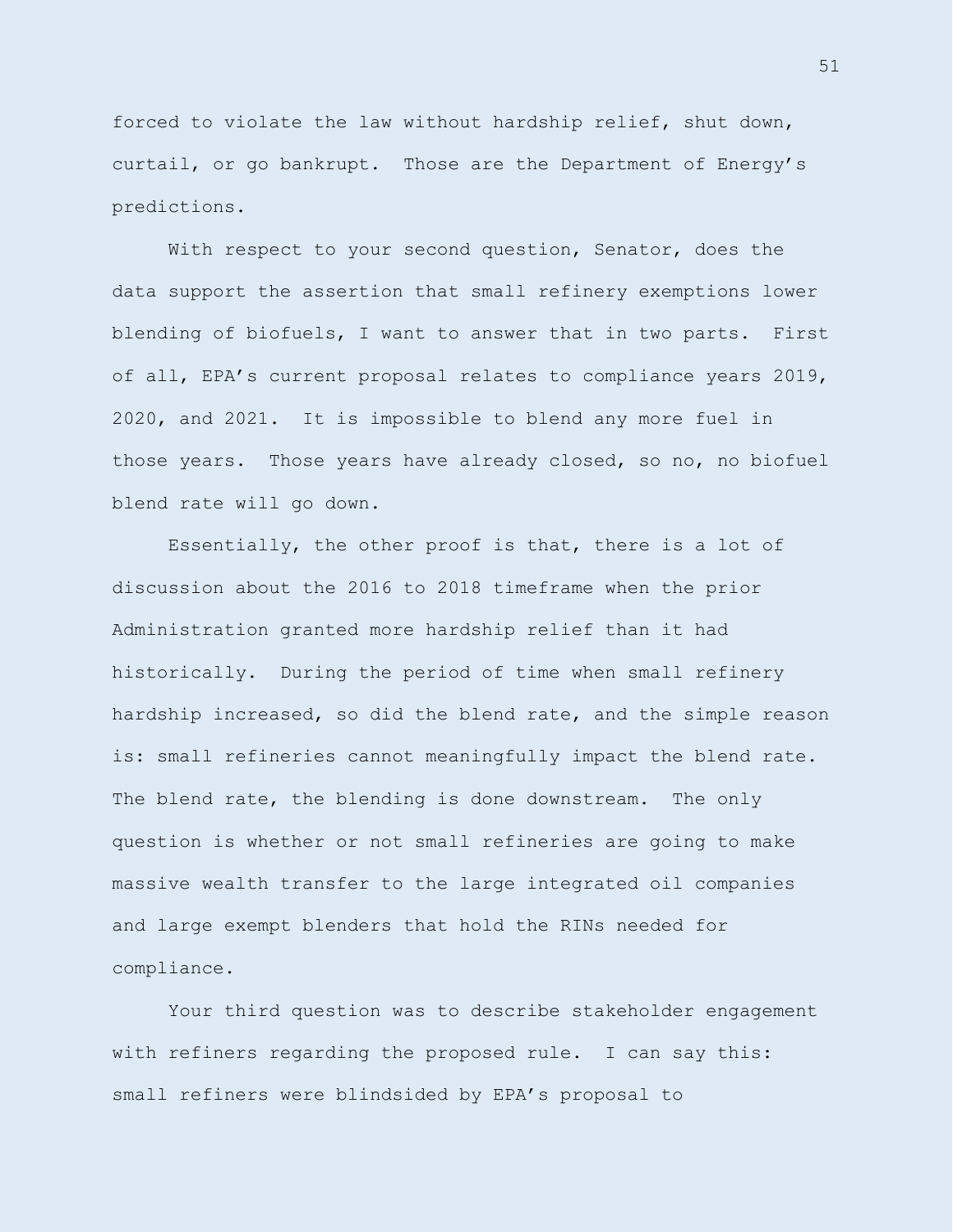forced to violate the law without hardship relief, shut down, curtail, or go bankrupt. Those are the Department of Energy's predictions.

With respect to your second question, Senator, does the data support the assertion that small refinery exemptions lower blending of biofuels, I want to answer that in two parts. First of all, EPA's current proposal relates to compliance years 2019, 2020, and 2021. It is impossible to blend any more fuel in those years. Those years have already closed, so no, no biofuel blend rate will go down.

Essentially, the other proof is that, there is a lot of discussion about the 2016 to 2018 timeframe when the prior Administration granted more hardship relief than it had historically. During the period of time when small refinery hardship increased, so did the blend rate, and the simple reason is: small refineries cannot meaningfully impact the blend rate. The blend rate, the blending is done downstream. The only question is whether or not small refineries are going to make massive wealth transfer to the large integrated oil companies and large exempt blenders that hold the RINs needed for compliance.

Your third question was to describe stakeholder engagement with refiners regarding the proposed rule. I can say this: small refiners were blindsided by EPA's proposal to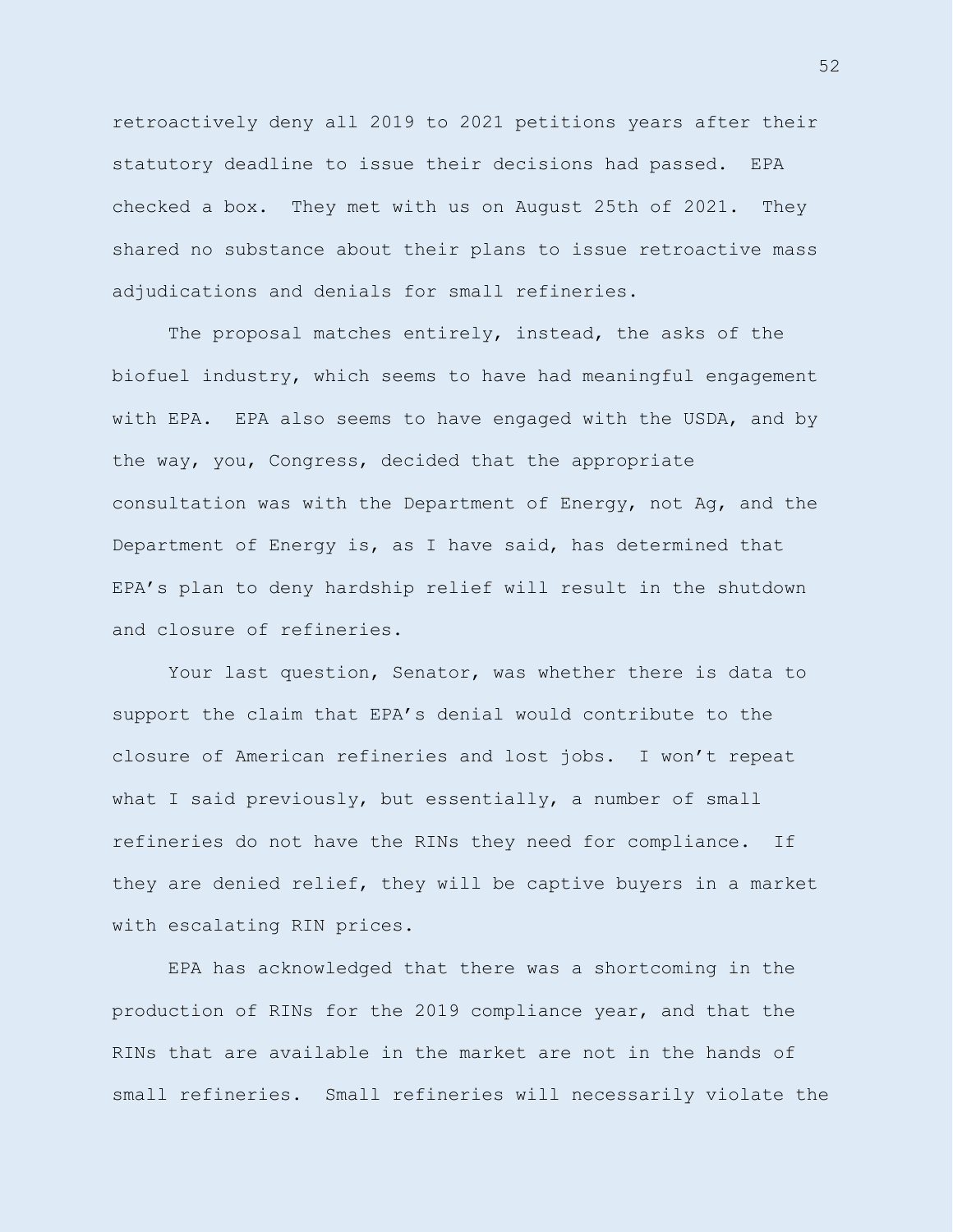retroactively deny all 2019 to 2021 petitions years after their statutory deadline to issue their decisions had passed. EPA checked a box. They met with us on August 25th of 2021. They shared no substance about their plans to issue retroactive mass adjudications and denials for small refineries.

The proposal matches entirely, instead, the asks of the biofuel industry, which seems to have had meaningful engagement with EPA. EPA also seems to have engaged with the USDA, and by the way, you, Congress, decided that the appropriate consultation was with the Department of Energy, not Ag, and the Department of Energy is, as I have said, has determined that EPA's plan to deny hardship relief will result in the shutdown and closure of refineries.

Your last question, Senator, was whether there is data to support the claim that EPA's denial would contribute to the closure of American refineries and lost jobs. I won't repeat what I said previously, but essentially, a number of small refineries do not have the RINs they need for compliance. If they are denied relief, they will be captive buyers in a market with escalating RIN prices.

EPA has acknowledged that there was a shortcoming in the production of RINs for the 2019 compliance year, and that the RINs that are available in the market are not in the hands of small refineries. Small refineries will necessarily violate the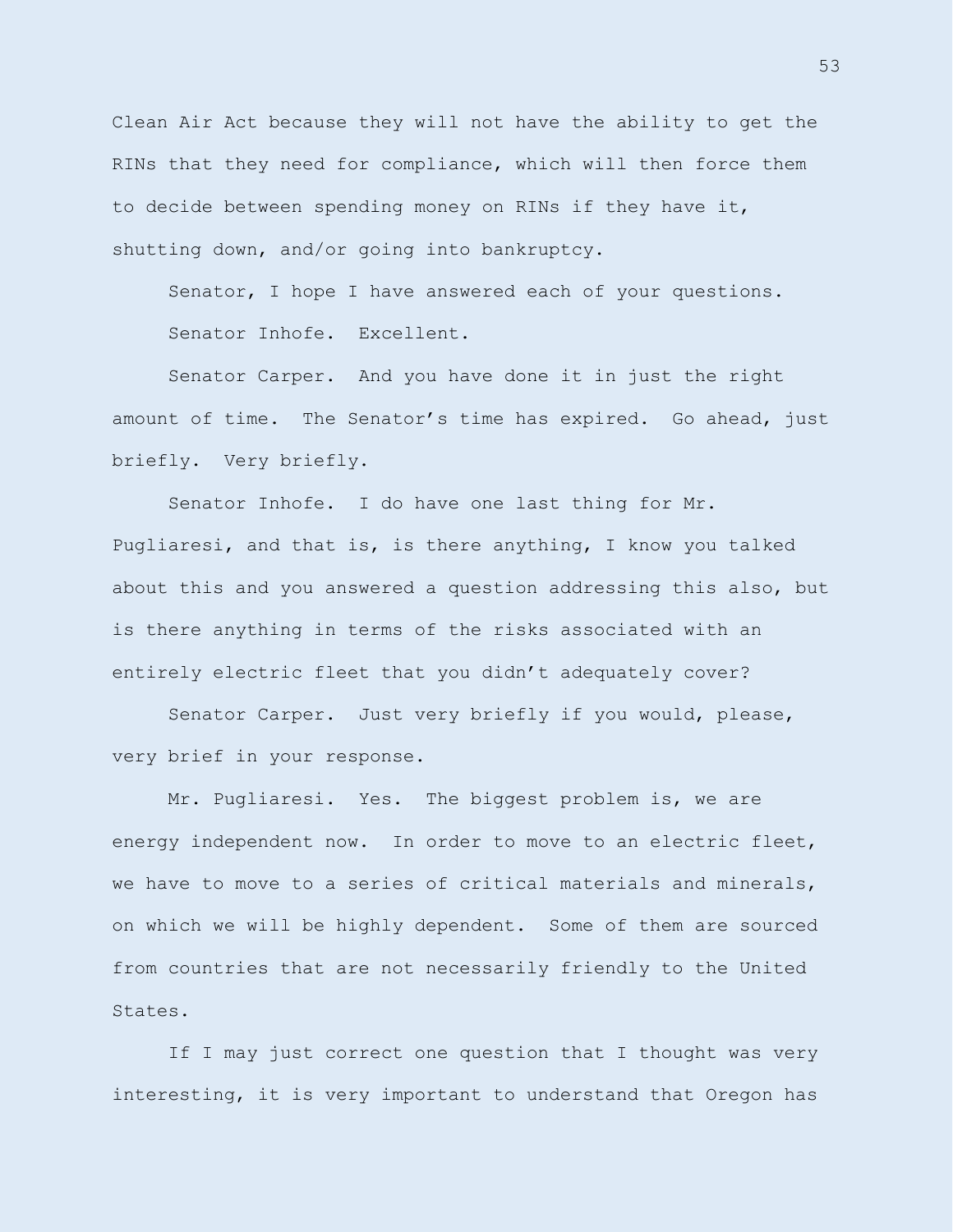Clean Air Act because they will not have the ability to get the RINs that they need for compliance, which will then force them to decide between spending money on RINs if they have it, shutting down, and/or going into bankruptcy.

Senator, I hope I have answered each of your questions. Senator Inhofe. Excellent.

Senator Carper. And you have done it in just the right amount of time. The Senator's time has expired. Go ahead, just briefly. Very briefly.

Senator Inhofe. I do have one last thing for Mr. Pugliaresi, and that is, is there anything, I know you talked about this and you answered a question addressing this also, but is there anything in terms of the risks associated with an entirely electric fleet that you didn't adequately cover?

Senator Carper. Just very briefly if you would, please, very brief in your response.

Mr. Pugliaresi. Yes. The biggest problem is, we are energy independent now. In order to move to an electric fleet, we have to move to a series of critical materials and minerals, on which we will be highly dependent. Some of them are sourced from countries that are not necessarily friendly to the United States.

If I may just correct one question that I thought was very interesting, it is very important to understand that Oregon has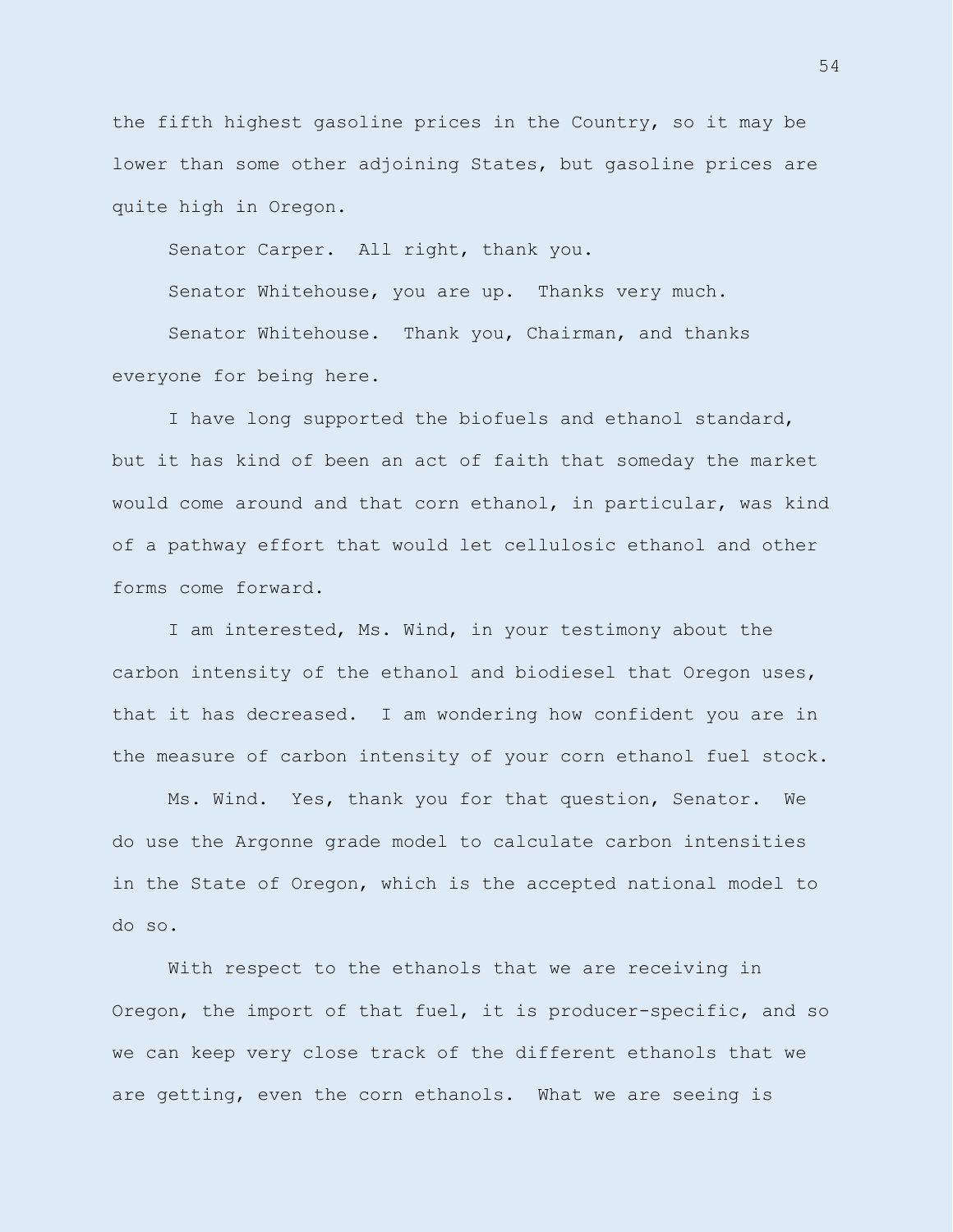the fifth highest gasoline prices in the Country, so it may be lower than some other adjoining States, but gasoline prices are quite high in Oregon.

Senator Carper. All right, thank you.

Senator Whitehouse, you are up. Thanks very much.

Senator Whitehouse. Thank you, Chairman, and thanks everyone for being here.

I have long supported the biofuels and ethanol standard, but it has kind of been an act of faith that someday the market would come around and that corn ethanol, in particular, was kind of a pathway effort that would let cellulosic ethanol and other forms come forward.

I am interested, Ms. Wind, in your testimony about the carbon intensity of the ethanol and biodiesel that Oregon uses, that it has decreased. I am wondering how confident you are in the measure of carbon intensity of your corn ethanol fuel stock.

Ms. Wind. Yes, thank you for that question, Senator. We do use the Argonne grade model to calculate carbon intensities in the State of Oregon, which is the accepted national model to do so.

With respect to the ethanols that we are receiving in Oregon, the import of that fuel, it is producer-specific, and so we can keep very close track of the different ethanols that we are getting, even the corn ethanols. What we are seeing is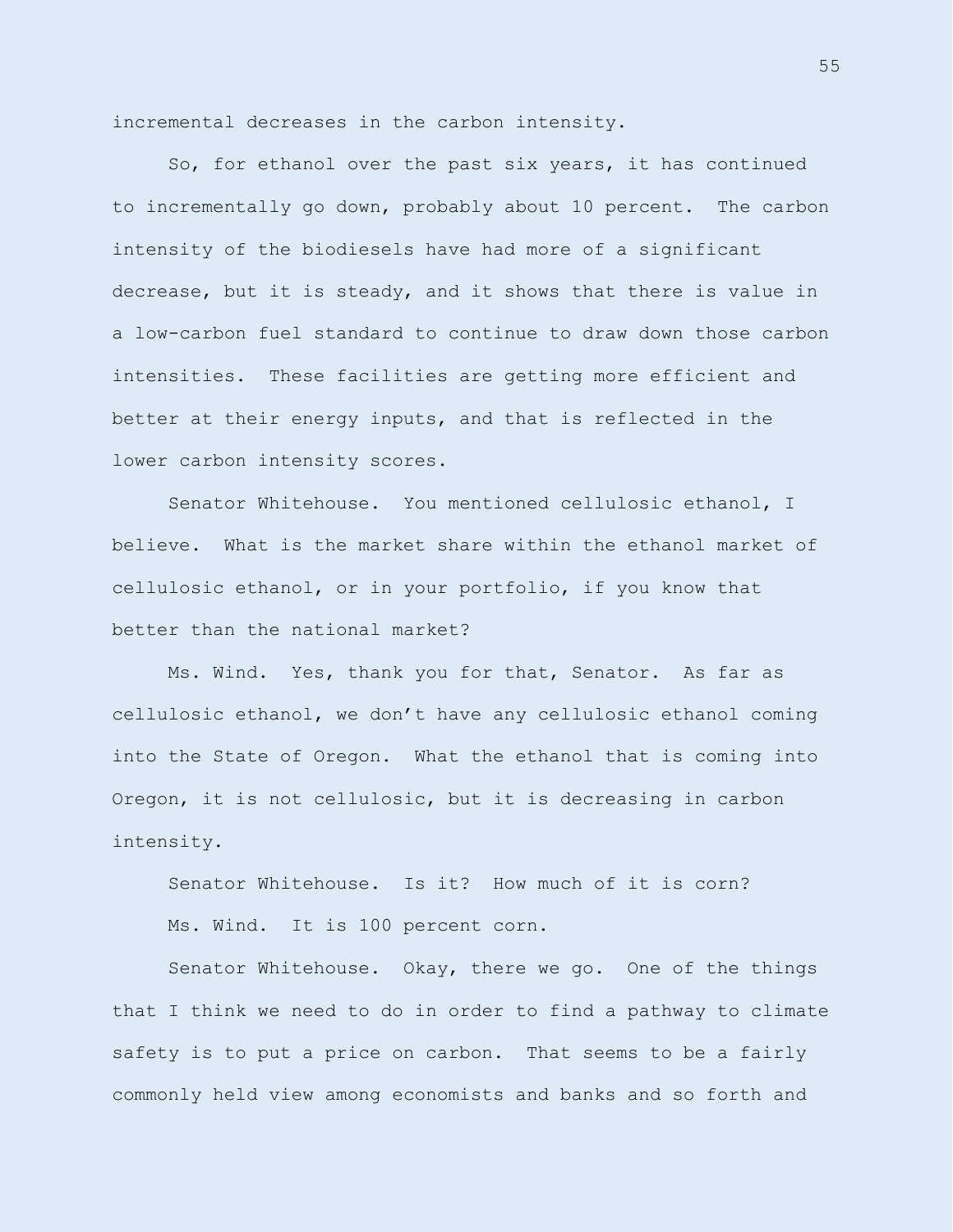incremental decreases in the carbon intensity.

So, for ethanol over the past six years, it has continued to incrementally go down, probably about 10 percent. The carbon intensity of the biodiesels have had more of a significant decrease, but it is steady, and it shows that there is value in a low-carbon fuel standard to continue to draw down those carbon intensities. These facilities are getting more efficient and better at their energy inputs, and that is reflected in the lower carbon intensity scores.

Senator Whitehouse. You mentioned cellulosic ethanol, I believe. What is the market share within the ethanol market of cellulosic ethanol, or in your portfolio, if you know that better than the national market?

Ms. Wind. Yes, thank you for that, Senator. As far as cellulosic ethanol, we don't have any cellulosic ethanol coming into the State of Oregon. What the ethanol that is coming into Oregon, it is not cellulosic, but it is decreasing in carbon intensity.

Senator Whitehouse. Is it? How much of it is corn? Ms. Wind. It is 100 percent corn.

Senator Whitehouse. Okay, there we go. One of the things that I think we need to do in order to find a pathway to climate safety is to put a price on carbon. That seems to be a fairly commonly held view among economists and banks and so forth and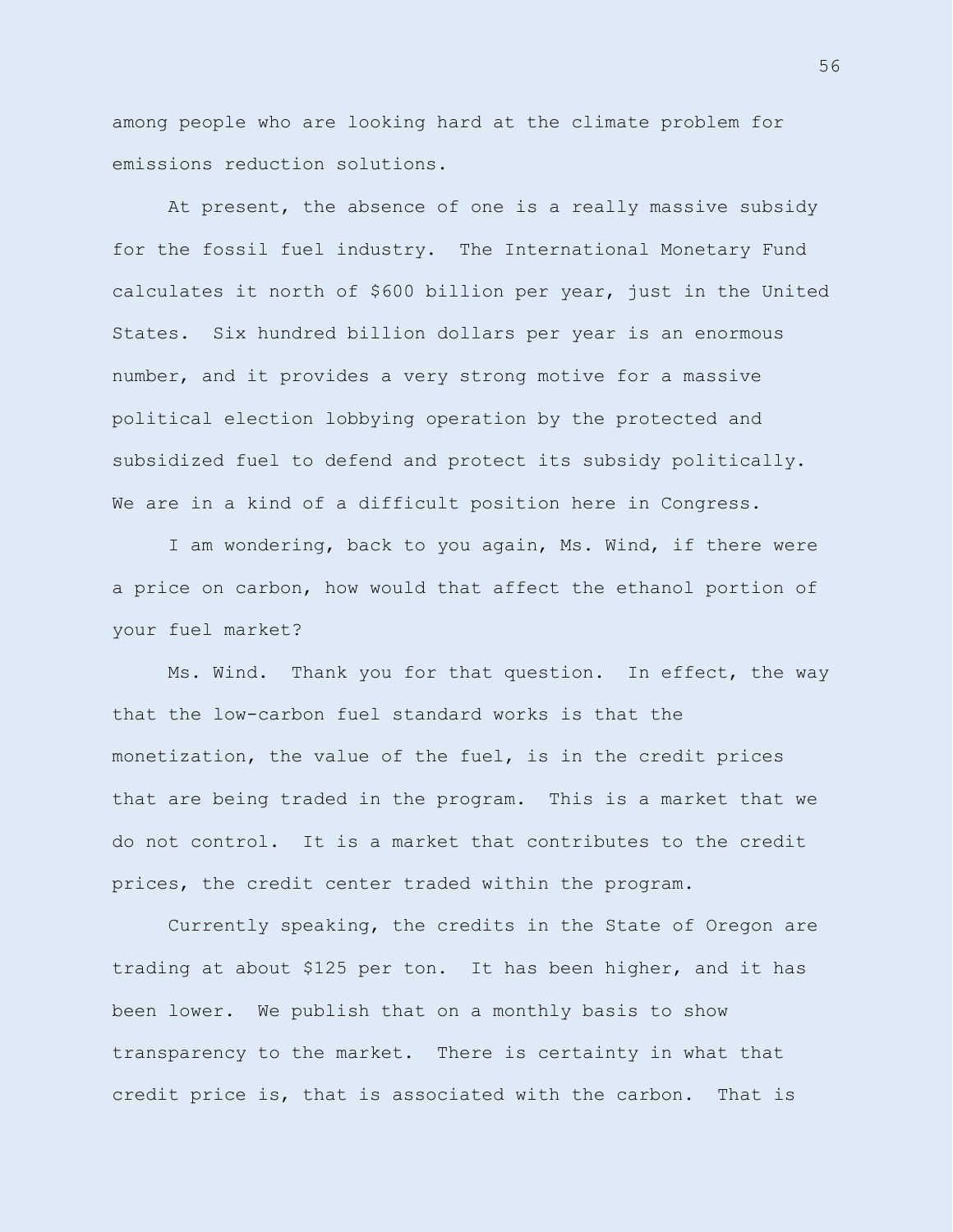among people who are looking hard at the climate problem for emissions reduction solutions.

At present, the absence of one is a really massive subsidy for the fossil fuel industry. The International Monetary Fund calculates it north of \$600 billion per year, just in the United States. Six hundred billion dollars per year is an enormous number, and it provides a very strong motive for a massive political election lobbying operation by the protected and subsidized fuel to defend and protect its subsidy politically. We are in a kind of a difficult position here in Congress.

I am wondering, back to you again, Ms. Wind, if there were a price on carbon, how would that affect the ethanol portion of your fuel market?

Ms. Wind. Thank you for that question. In effect, the way that the low-carbon fuel standard works is that the monetization, the value of the fuel, is in the credit prices that are being traded in the program. This is a market that we do not control. It is a market that contributes to the credit prices, the credit center traded within the program.

Currently speaking, the credits in the State of Oregon are trading at about \$125 per ton. It has been higher, and it has been lower. We publish that on a monthly basis to show transparency to the market. There is certainty in what that credit price is, that is associated with the carbon. That is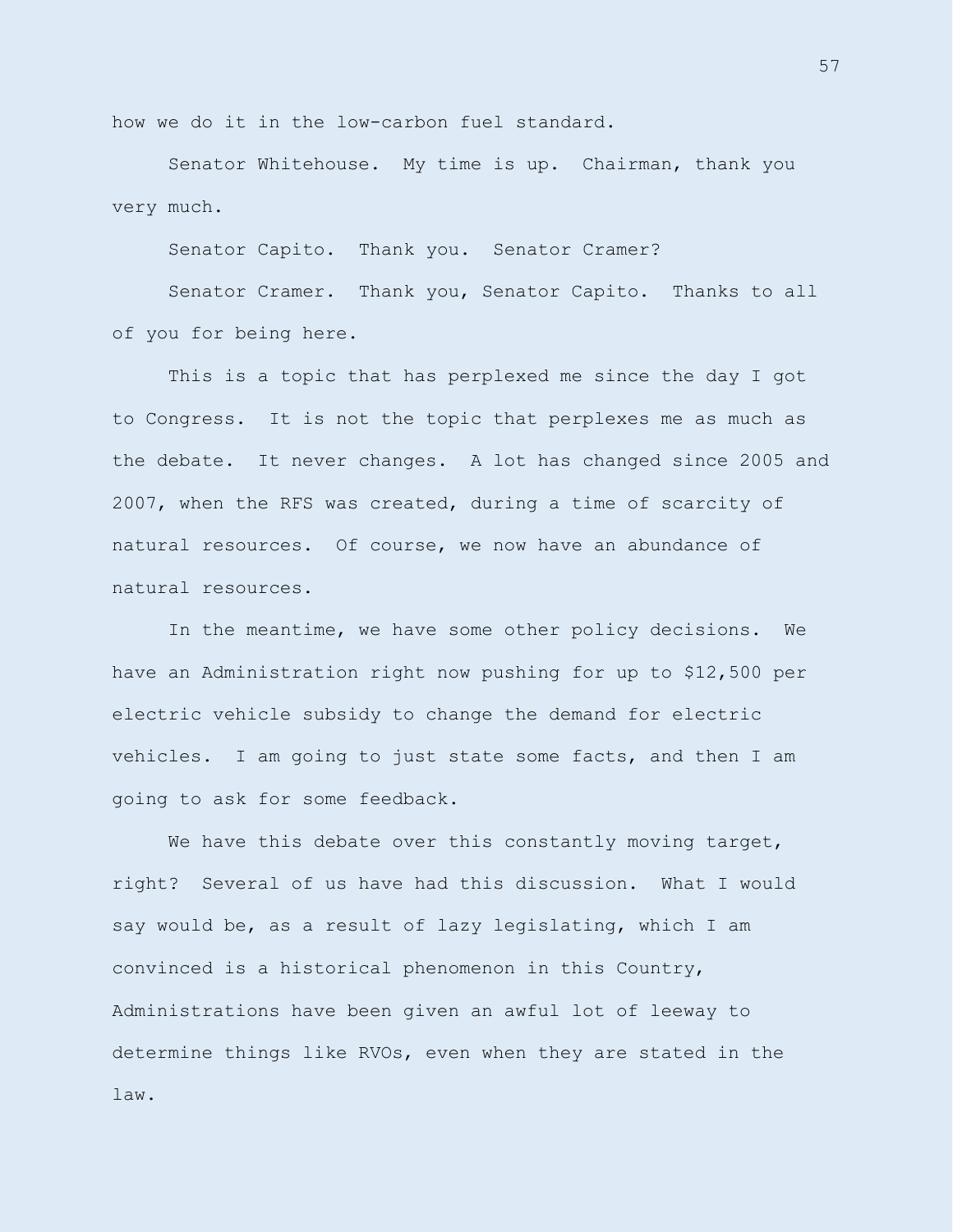how we do it in the low-carbon fuel standard.

Senator Whitehouse. My time is up. Chairman, thank you very much.

Senator Capito. Thank you. Senator Cramer?

Senator Cramer. Thank you, Senator Capito. Thanks to all of you for being here.

This is a topic that has perplexed me since the day I got to Congress. It is not the topic that perplexes me as much as the debate. It never changes. A lot has changed since 2005 and 2007, when the RFS was created, during a time of scarcity of natural resources. Of course, we now have an abundance of natural resources.

In the meantime, we have some other policy decisions. We have an Administration right now pushing for up to \$12,500 per electric vehicle subsidy to change the demand for electric vehicles. I am going to just state some facts, and then I am going to ask for some feedback.

We have this debate over this constantly moving target, right? Several of us have had this discussion. What I would say would be, as a result of lazy legislating, which I am convinced is a historical phenomenon in this Country, Administrations have been given an awful lot of leeway to determine things like RVOs, even when they are stated in the law.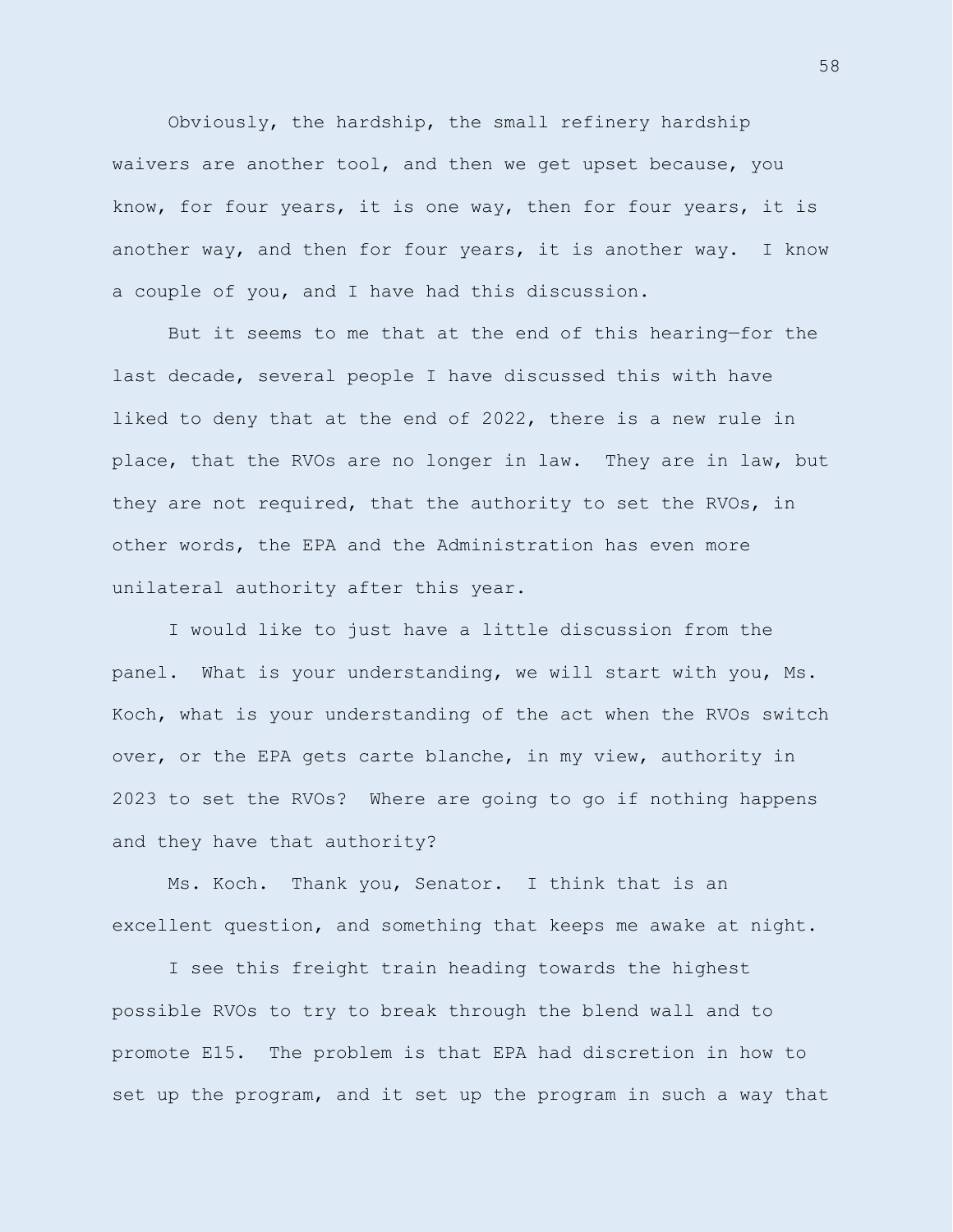Obviously, the hardship, the small refinery hardship waivers are another tool, and then we get upset because, you know, for four years, it is one way, then for four years, it is another way, and then for four years, it is another way. I know a couple of you, and I have had this discussion.

But it seems to me that at the end of this hearing—for the last decade, several people I have discussed this with have liked to deny that at the end of 2022, there is a new rule in place, that the RVOs are no longer in law. They are in law, but they are not required, that the authority to set the RVOs, in other words, the EPA and the Administration has even more unilateral authority after this year.

I would like to just have a little discussion from the panel. What is your understanding, we will start with you, Ms. Koch, what is your understanding of the act when the RVOs switch over, or the EPA gets carte blanche, in my view, authority in 2023 to set the RVOs? Where are going to go if nothing happens and they have that authority?

Ms. Koch. Thank you, Senator. I think that is an excellent question, and something that keeps me awake at night.

I see this freight train heading towards the highest possible RVOs to try to break through the blend wall and to promote E15. The problem is that EPA had discretion in how to set up the program, and it set up the program in such a way that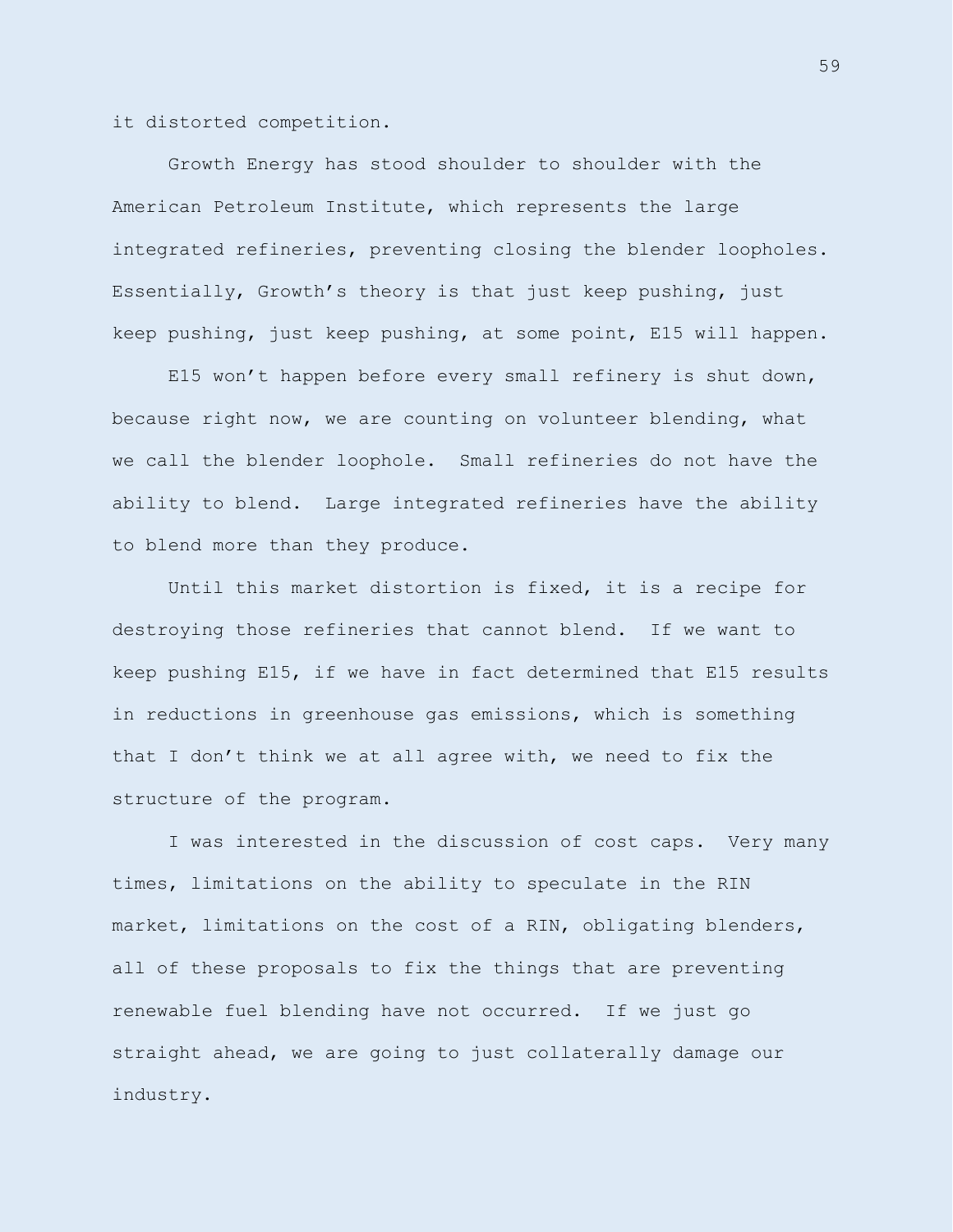it distorted competition.

Growth Energy has stood shoulder to shoulder with the American Petroleum Institute, which represents the large integrated refineries, preventing closing the blender loopholes. Essentially, Growth's theory is that just keep pushing, just keep pushing, just keep pushing, at some point, E15 will happen.

E15 won't happen before every small refinery is shut down, because right now, we are counting on volunteer blending, what we call the blender loophole. Small refineries do not have the ability to blend. Large integrated refineries have the ability to blend more than they produce.

Until this market distortion is fixed, it is a recipe for destroying those refineries that cannot blend. If we want to keep pushing E15, if we have in fact determined that E15 results in reductions in greenhouse gas emissions, which is something that I don't think we at all agree with, we need to fix the structure of the program.

I was interested in the discussion of cost caps. Very many times, limitations on the ability to speculate in the RIN market, limitations on the cost of a RIN, obligating blenders, all of these proposals to fix the things that are preventing renewable fuel blending have not occurred. If we just go straight ahead, we are going to just collaterally damage our industry.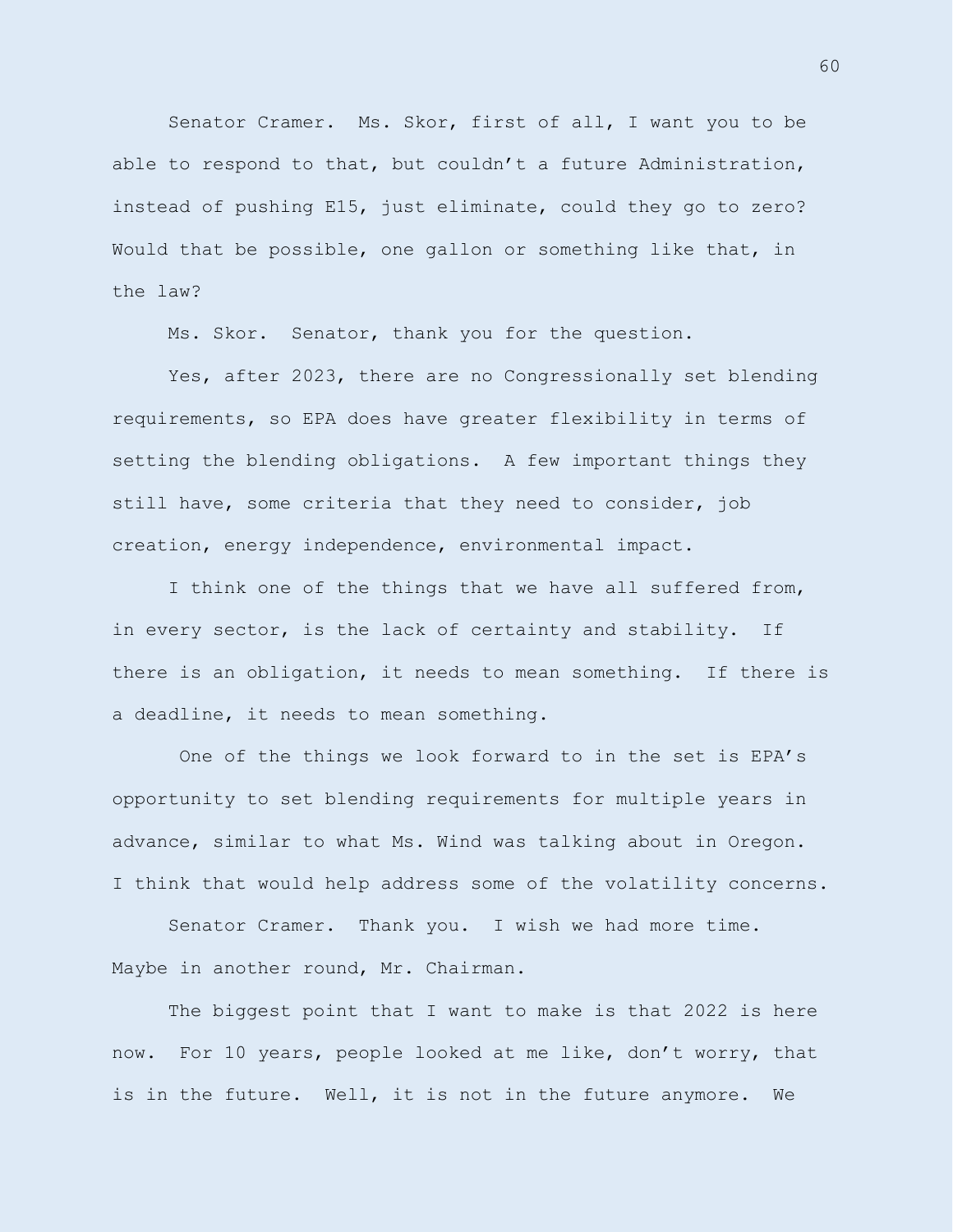Senator Cramer. Ms. Skor, first of all, I want you to be able to respond to that, but couldn't a future Administration, instead of pushing E15, just eliminate, could they go to zero? Would that be possible, one gallon or something like that, in the law?

Ms. Skor. Senator, thank you for the question.

Yes, after 2023, there are no Congressionally set blending requirements, so EPA does have greater flexibility in terms of setting the blending obligations. A few important things they still have, some criteria that they need to consider, job creation, energy independence, environmental impact.

I think one of the things that we have all suffered from, in every sector, is the lack of certainty and stability. If there is an obligation, it needs to mean something. If there is a deadline, it needs to mean something.

One of the things we look forward to in the set is EPA's opportunity to set blending requirements for multiple years in advance, similar to what Ms. Wind was talking about in Oregon. I think that would help address some of the volatility concerns.

Senator Cramer. Thank you. I wish we had more time. Maybe in another round, Mr. Chairman.

The biggest point that I want to make is that 2022 is here now. For 10 years, people looked at me like, don't worry, that is in the future. Well, it is not in the future anymore. We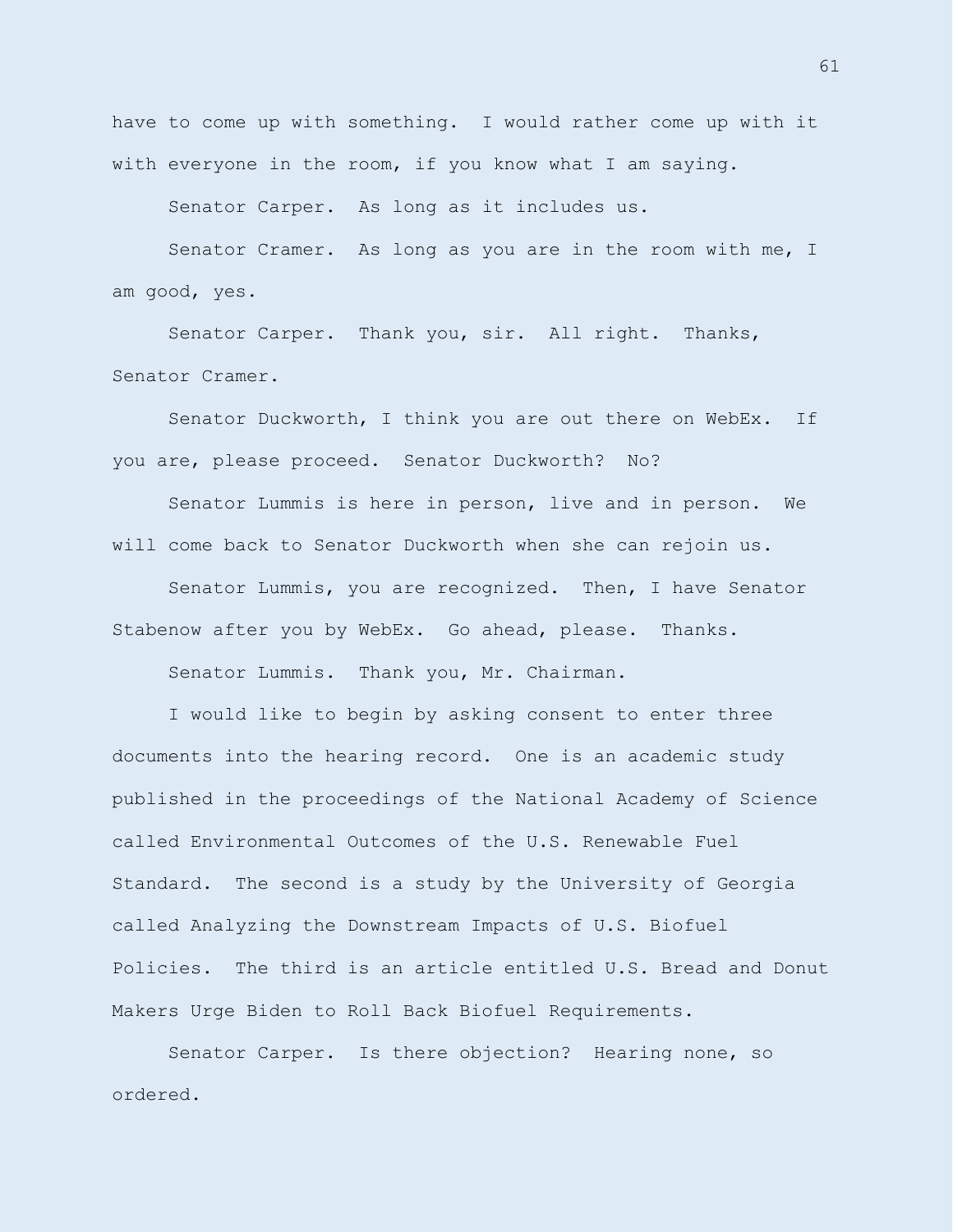have to come up with something. I would rather come up with it with everyone in the room, if you know what I am saying.

Senator Carper. As long as it includes us.

Senator Cramer. As long as you are in the room with me, I am good, yes.

Senator Carper. Thank you, sir. All right. Thanks, Senator Cramer.

Senator Duckworth, I think you are out there on WebEx. If you are, please proceed. Senator Duckworth? No?

Senator Lummis is here in person, live and in person. We will come back to Senator Duckworth when she can rejoin us.

Senator Lummis, you are recognized. Then, I have Senator Stabenow after you by WebEx. Go ahead, please. Thanks.

Senator Lummis. Thank you, Mr. Chairman.

I would like to begin by asking consent to enter three documents into the hearing record. One is an academic study published in the proceedings of the National Academy of Science called Environmental Outcomes of the U.S. Renewable Fuel Standard. The second is a study by the University of Georgia called Analyzing the Downstream Impacts of U.S. Biofuel Policies. The third is an article entitled U.S. Bread and Donut Makers Urge Biden to Roll Back Biofuel Requirements.

Senator Carper. Is there objection? Hearing none, so ordered.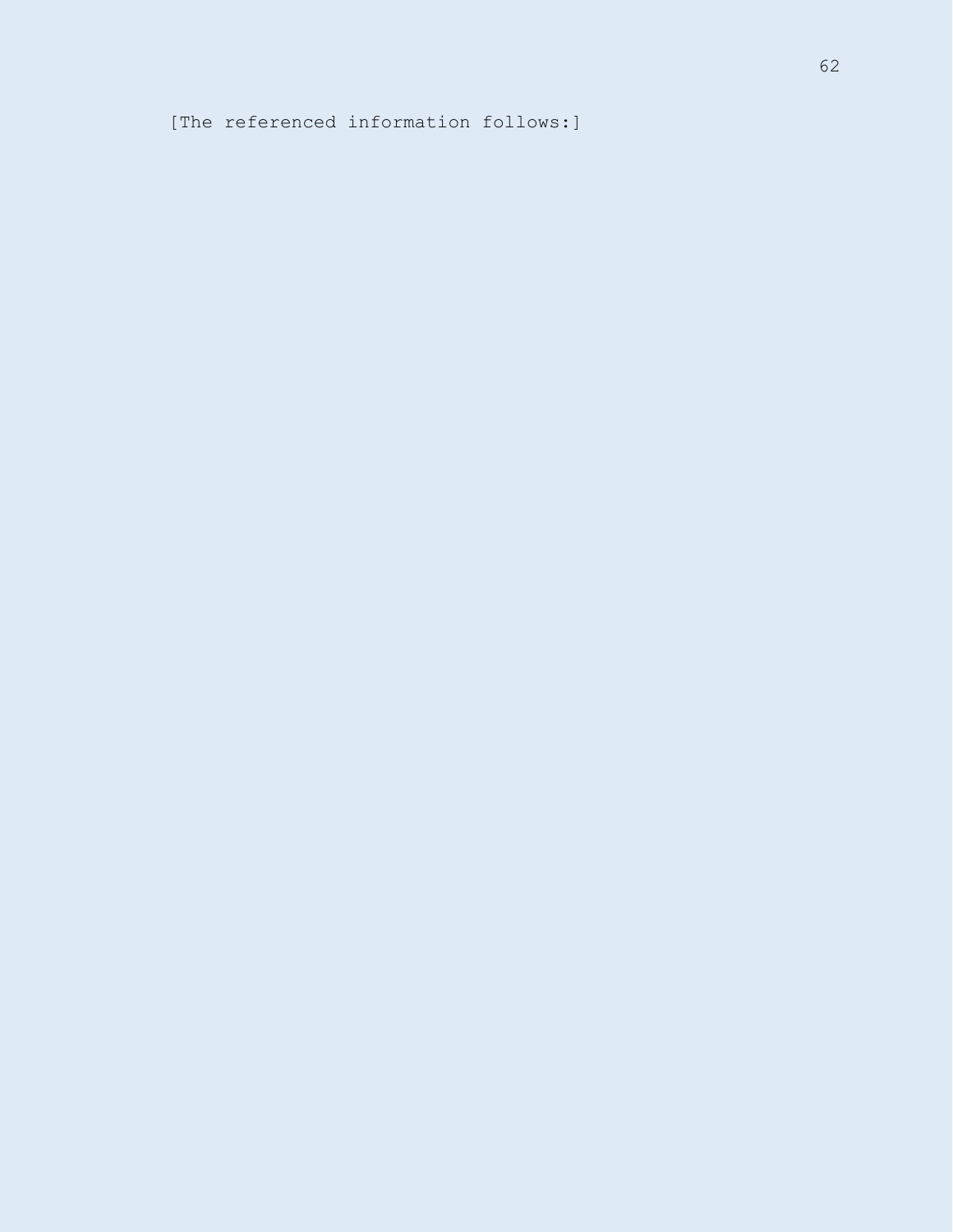[The referenced information follows:]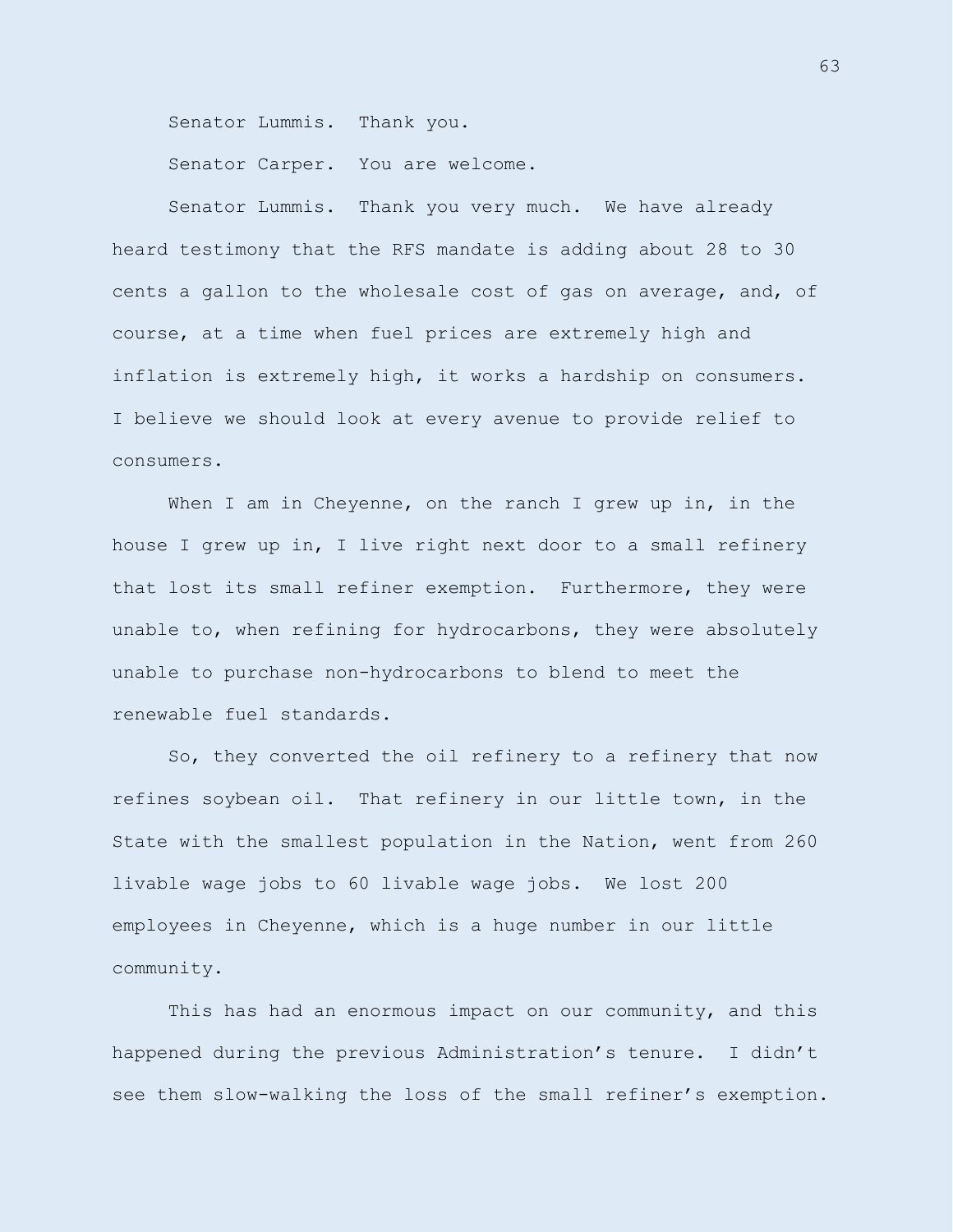Senator Lummis. Thank you.

Senator Carper. You are welcome.

Senator Lummis. Thank you very much. We have already heard testimony that the RFS mandate is adding about 28 to 30 cents a gallon to the wholesale cost of gas on average, and, of course, at a time when fuel prices are extremely high and inflation is extremely high, it works a hardship on consumers. I believe we should look at every avenue to provide relief to consumers.

When I am in Cheyenne, on the ranch I grew up in, in the house I grew up in, I live right next door to a small refinery that lost its small refiner exemption. Furthermore, they were unable to, when refining for hydrocarbons, they were absolutely unable to purchase non-hydrocarbons to blend to meet the renewable fuel standards.

So, they converted the oil refinery to a refinery that now refines soybean oil. That refinery in our little town, in the State with the smallest population in the Nation, went from 260 livable wage jobs to 60 livable wage jobs. We lost 200 employees in Cheyenne, which is a huge number in our little community.

This has had an enormous impact on our community, and this happened during the previous Administration's tenure. I didn't see them slow-walking the loss of the small refiner's exemption.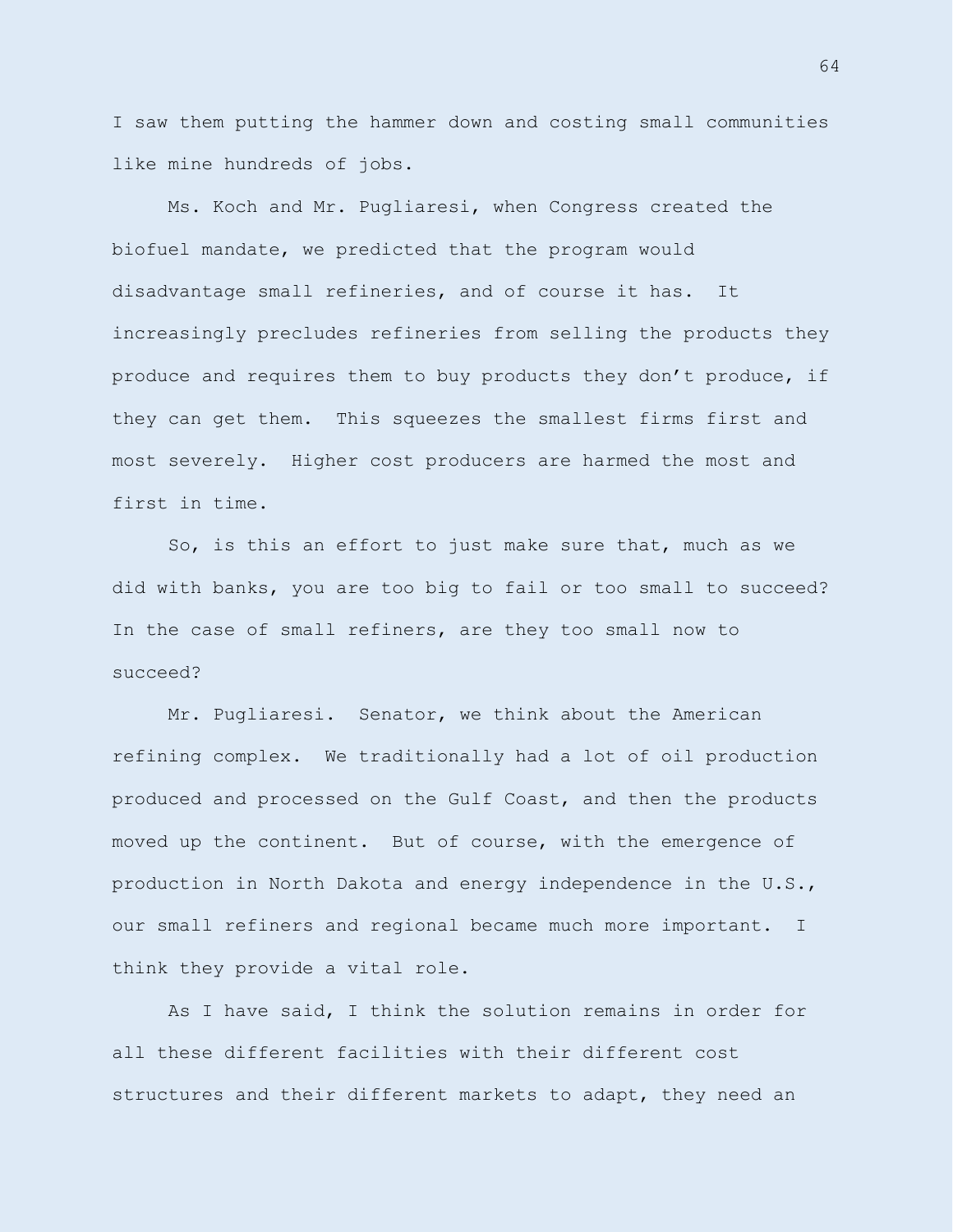I saw them putting the hammer down and costing small communities like mine hundreds of jobs.

Ms. Koch and Mr. Pugliaresi, when Congress created the biofuel mandate, we predicted that the program would disadvantage small refineries, and of course it has. It increasingly precludes refineries from selling the products they produce and requires them to buy products they don't produce, if they can get them. This squeezes the smallest firms first and most severely. Higher cost producers are harmed the most and first in time.

So, is this an effort to just make sure that, much as we did with banks, you are too big to fail or too small to succeed? In the case of small refiners, are they too small now to succeed?

Mr. Pugliaresi. Senator, we think about the American refining complex. We traditionally had a lot of oil production produced and processed on the Gulf Coast, and then the products moved up the continent. But of course, with the emergence of production in North Dakota and energy independence in the U.S., our small refiners and regional became much more important. I think they provide a vital role.

As I have said, I think the solution remains in order for all these different facilities with their different cost structures and their different markets to adapt, they need an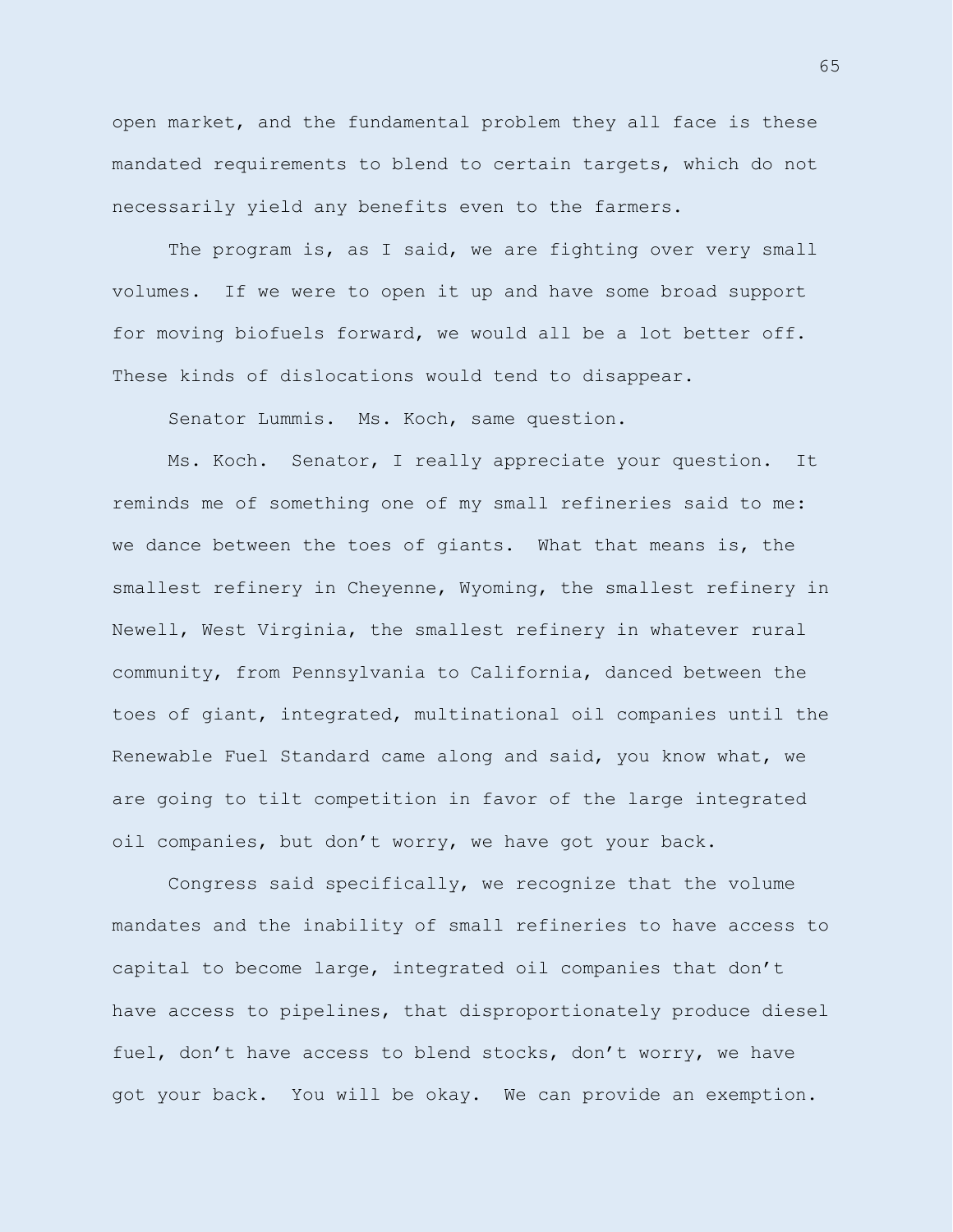open market, and the fundamental problem they all face is these mandated requirements to blend to certain targets, which do not necessarily yield any benefits even to the farmers.

The program is, as I said, we are fighting over very small volumes. If we were to open it up and have some broad support for moving biofuels forward, we would all be a lot better off. These kinds of dislocations would tend to disappear.

Senator Lummis. Ms. Koch, same question.

Ms. Koch. Senator, I really appreciate your question. It reminds me of something one of my small refineries said to me: we dance between the toes of giants. What that means is, the smallest refinery in Cheyenne, Wyoming, the smallest refinery in Newell, West Virginia, the smallest refinery in whatever rural community, from Pennsylvania to California, danced between the toes of giant, integrated, multinational oil companies until the Renewable Fuel Standard came along and said, you know what, we are going to tilt competition in favor of the large integrated oil companies, but don't worry, we have got your back.

Congress said specifically, we recognize that the volume mandates and the inability of small refineries to have access to capital to become large, integrated oil companies that don't have access to pipelines, that disproportionately produce diesel fuel, don't have access to blend stocks, don't worry, we have got your back. You will be okay. We can provide an exemption.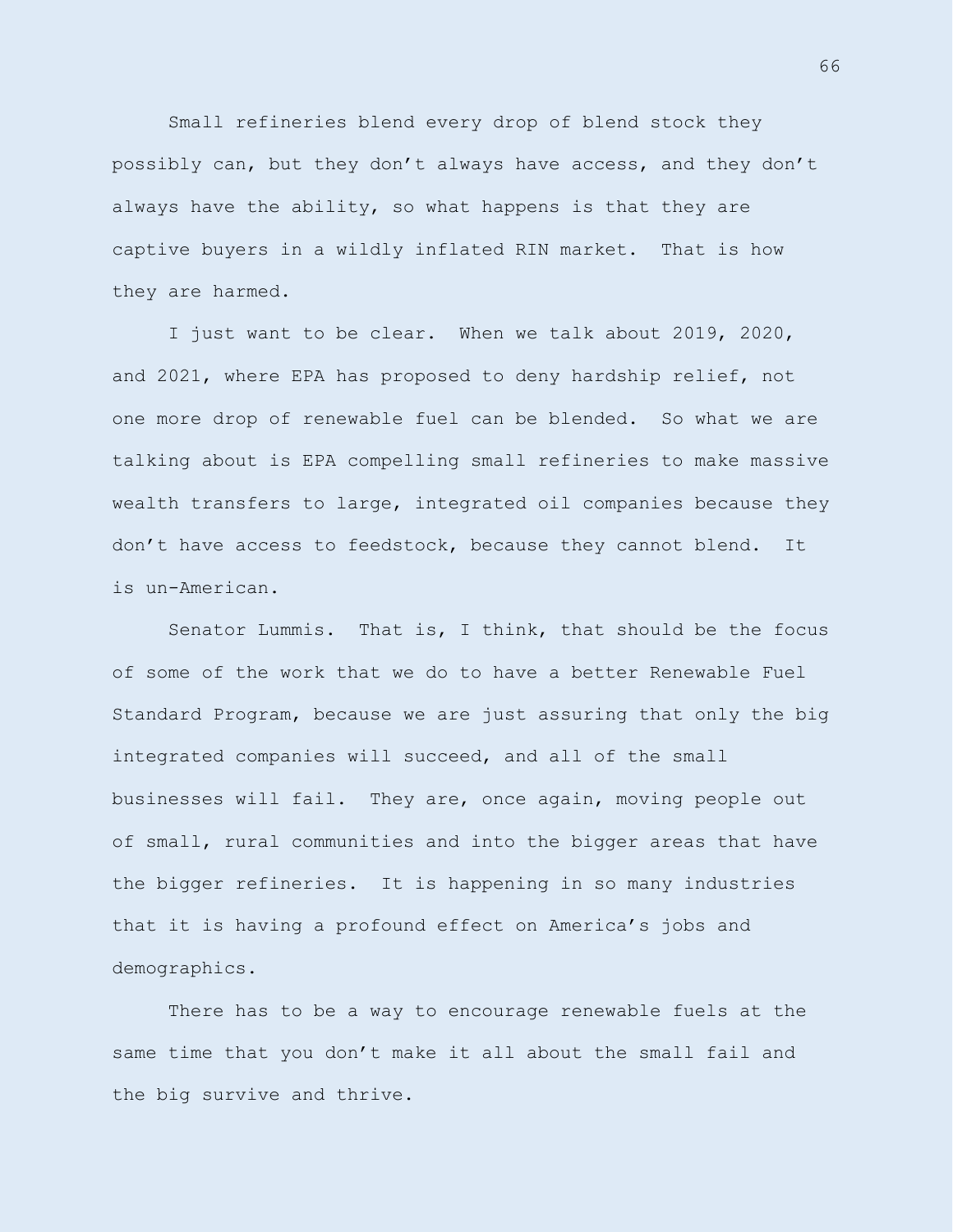Small refineries blend every drop of blend stock they possibly can, but they don't always have access, and they don't always have the ability, so what happens is that they are captive buyers in a wildly inflated RIN market. That is how they are harmed.

I just want to be clear. When we talk about 2019, 2020, and 2021, where EPA has proposed to deny hardship relief, not one more drop of renewable fuel can be blended. So what we are talking about is EPA compelling small refineries to make massive wealth transfers to large, integrated oil companies because they don't have access to feedstock, because they cannot blend. It is un-American.

Senator Lummis. That is, I think, that should be the focus of some of the work that we do to have a better Renewable Fuel Standard Program, because we are just assuring that only the big integrated companies will succeed, and all of the small businesses will fail. They are, once again, moving people out of small, rural communities and into the bigger areas that have the bigger refineries. It is happening in so many industries that it is having a profound effect on America's jobs and demographics.

There has to be a way to encourage renewable fuels at the same time that you don't make it all about the small fail and the big survive and thrive.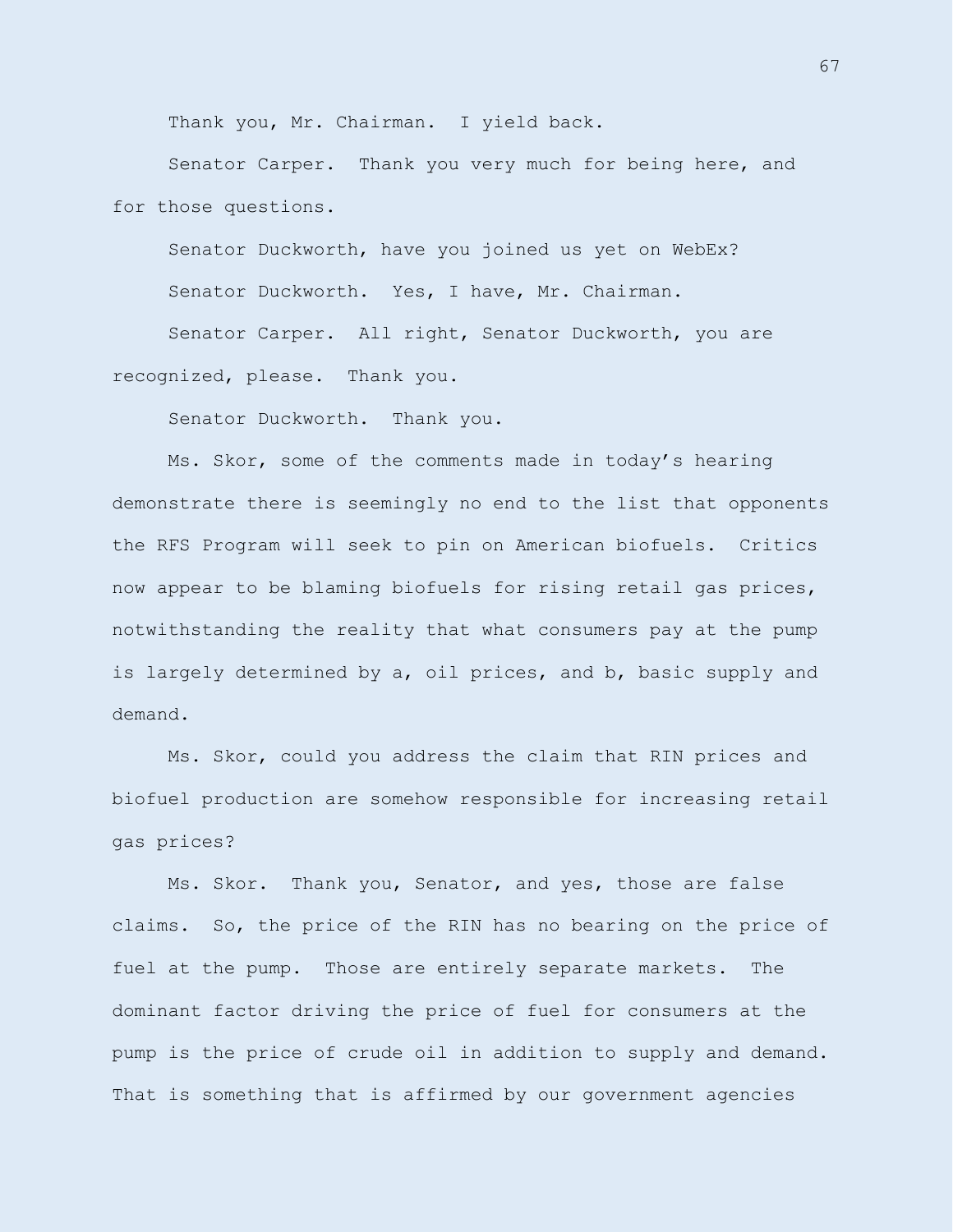Thank you, Mr. Chairman. I yield back.

Senator Carper. Thank you very much for being here, and for those questions.

Senator Duckworth, have you joined us yet on WebEx?

Senator Duckworth. Yes, I have, Mr. Chairman.

Senator Carper. All right, Senator Duckworth, you are recognized, please. Thank you.

Senator Duckworth. Thank you.

Ms. Skor, some of the comments made in today's hearing demonstrate there is seemingly no end to the list that opponents the RFS Program will seek to pin on American biofuels. Critics now appear to be blaming biofuels for rising retail gas prices, notwithstanding the reality that what consumers pay at the pump is largely determined by a, oil prices, and b, basic supply and demand.

Ms. Skor, could you address the claim that RIN prices and biofuel production are somehow responsible for increasing retail gas prices?

Ms. Skor. Thank you, Senator, and yes, those are false claims. So, the price of the RIN has no bearing on the price of fuel at the pump. Those are entirely separate markets. The dominant factor driving the price of fuel for consumers at the pump is the price of crude oil in addition to supply and demand. That is something that is affirmed by our government agencies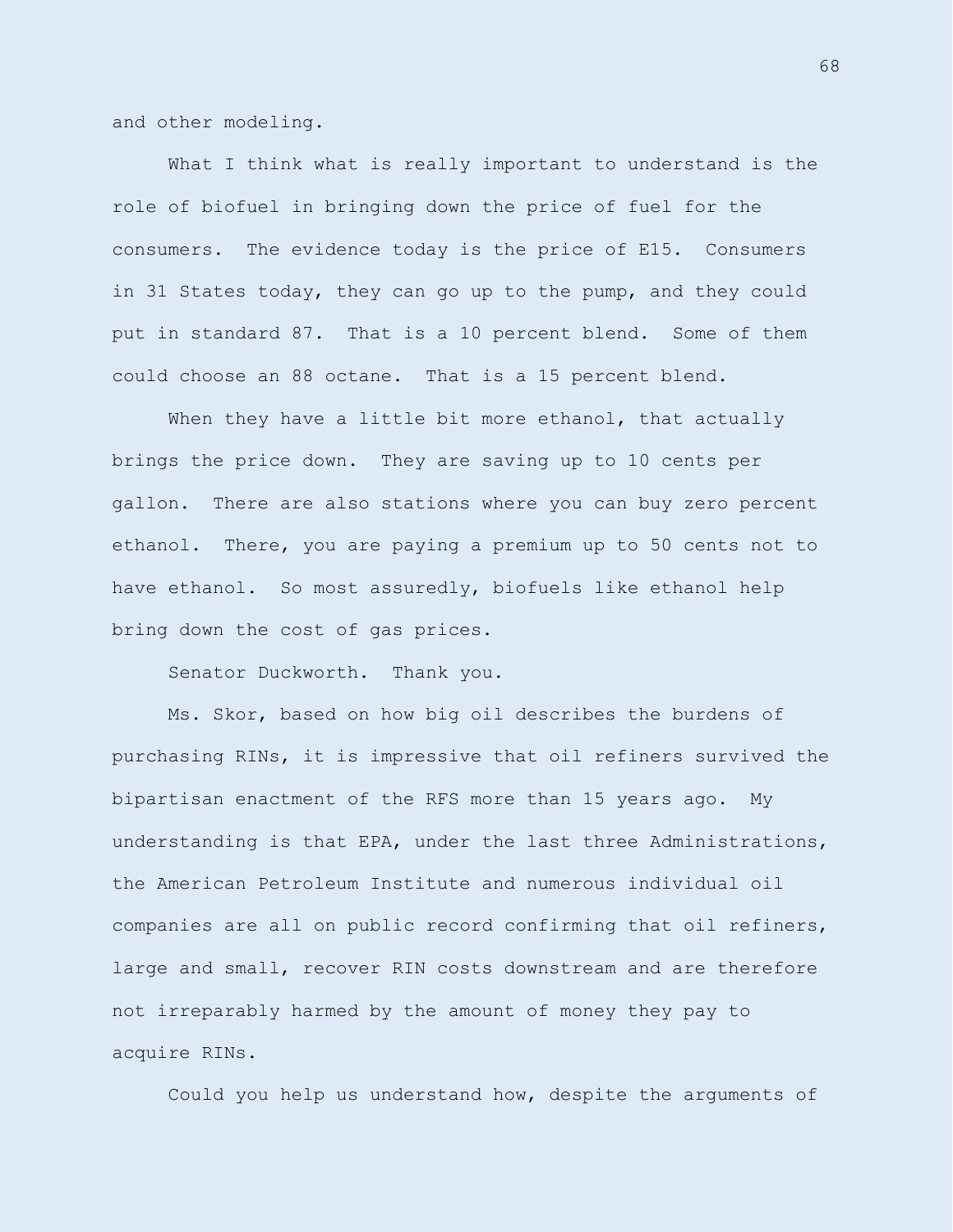and other modeling.

What I think what is really important to understand is the role of biofuel in bringing down the price of fuel for the consumers. The evidence today is the price of E15. Consumers in 31 States today, they can go up to the pump, and they could put in standard 87. That is a 10 percent blend. Some of them could choose an 88 octane. That is a 15 percent blend.

When they have a little bit more ethanol, that actually brings the price down. They are saving up to 10 cents per gallon. There are also stations where you can buy zero percent ethanol. There, you are paying a premium up to 50 cents not to have ethanol. So most assuredly, biofuels like ethanol help bring down the cost of gas prices.

Senator Duckworth. Thank you.

Ms. Skor, based on how big oil describes the burdens of purchasing RINs, it is impressive that oil refiners survived the bipartisan enactment of the RFS more than 15 years ago. My understanding is that EPA, under the last three Administrations, the American Petroleum Institute and numerous individual oil companies are all on public record confirming that oil refiners, large and small, recover RIN costs downstream and are therefore not irreparably harmed by the amount of money they pay to acquire RINs.

Could you help us understand how, despite the arguments of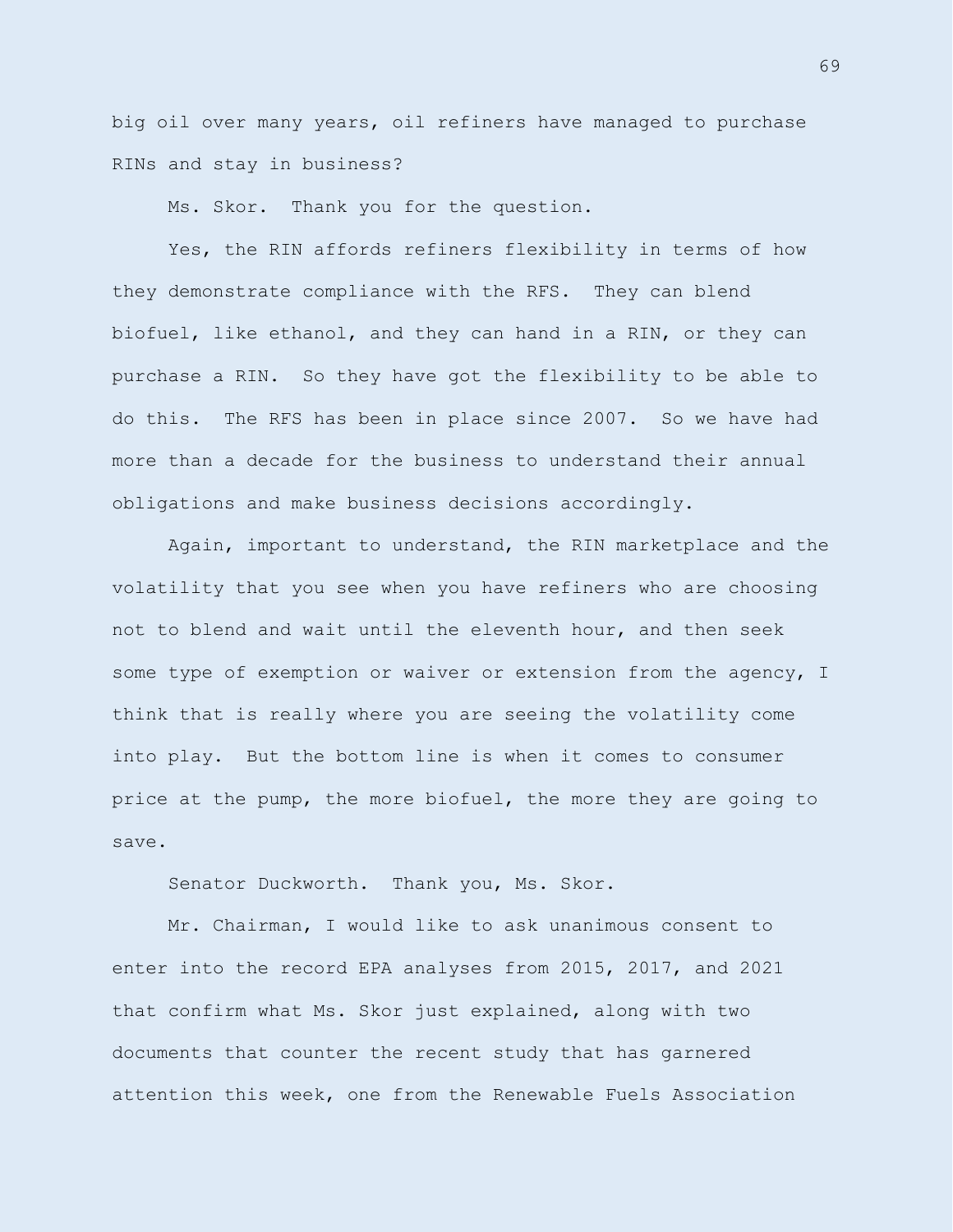big oil over many years, oil refiners have managed to purchase RINs and stay in business?

Ms. Skor. Thank you for the question.

Yes, the RIN affords refiners flexibility in terms of how they demonstrate compliance with the RFS. They can blend biofuel, like ethanol, and they can hand in a RIN, or they can purchase a RIN. So they have got the flexibility to be able to do this. The RFS has been in place since 2007. So we have had more than a decade for the business to understand their annual obligations and make business decisions accordingly.

Again, important to understand, the RIN marketplace and the volatility that you see when you have refiners who are choosing not to blend and wait until the eleventh hour, and then seek some type of exemption or waiver or extension from the agency, I think that is really where you are seeing the volatility come into play. But the bottom line is when it comes to consumer price at the pump, the more biofuel, the more they are going to save.

Senator Duckworth. Thank you, Ms. Skor.

Mr. Chairman, I would like to ask unanimous consent to enter into the record EPA analyses from 2015, 2017, and 2021 that confirm what Ms. Skor just explained, along with two documents that counter the recent study that has garnered attention this week, one from the Renewable Fuels Association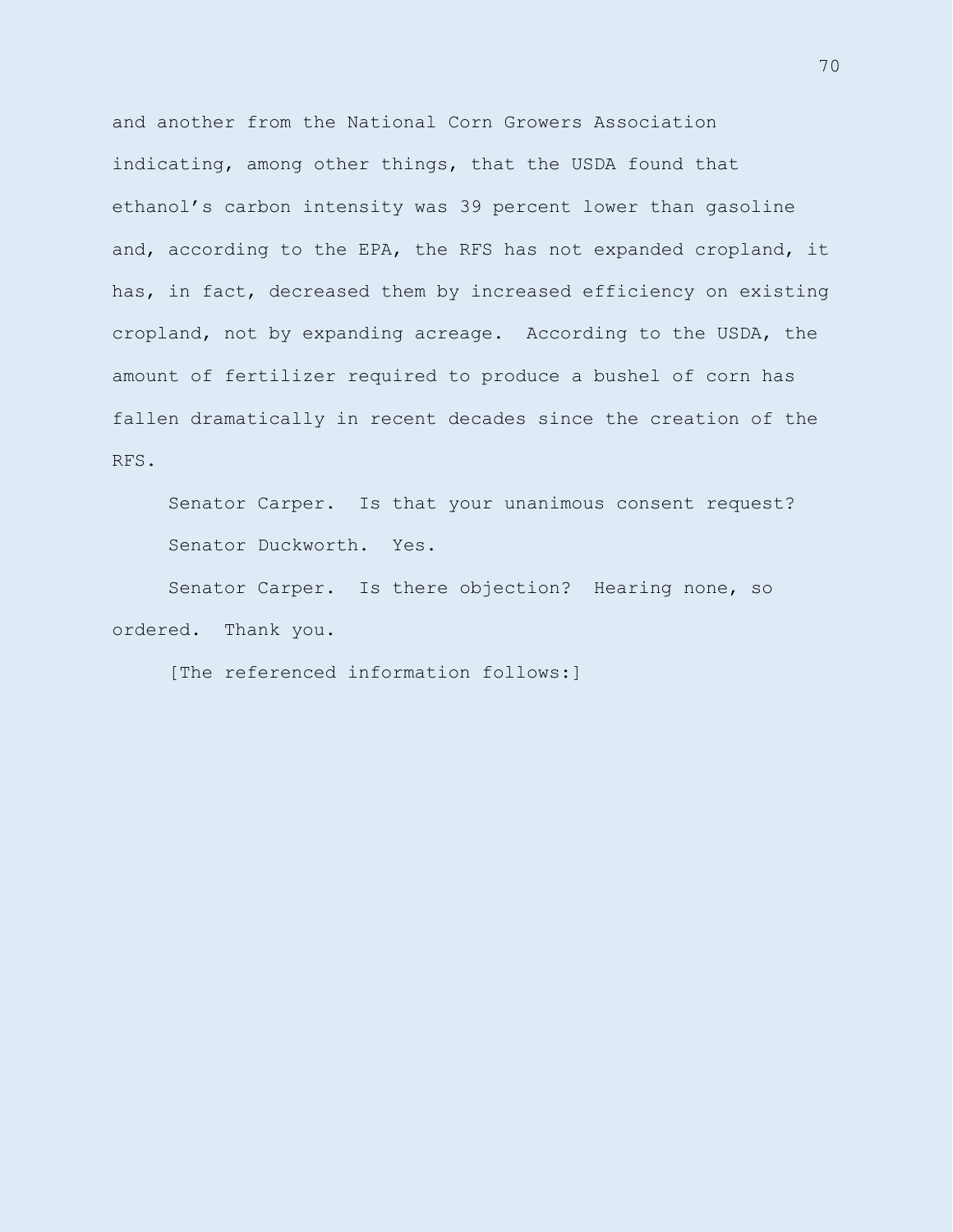and another from the National Corn Growers Association indicating, among other things, that the USDA found that ethanol's carbon intensity was 39 percent lower than gasoline and, according to the EPA, the RFS has not expanded cropland, it has, in fact, decreased them by increased efficiency on existing cropland, not by expanding acreage. According to the USDA, the amount of fertilizer required to produce a bushel of corn has fallen dramatically in recent decades since the creation of the RFS.

Senator Carper. Is that your unanimous consent request? Senator Duckworth. Yes.

Senator Carper. Is there objection? Hearing none, so ordered. Thank you.

[The referenced information follows:]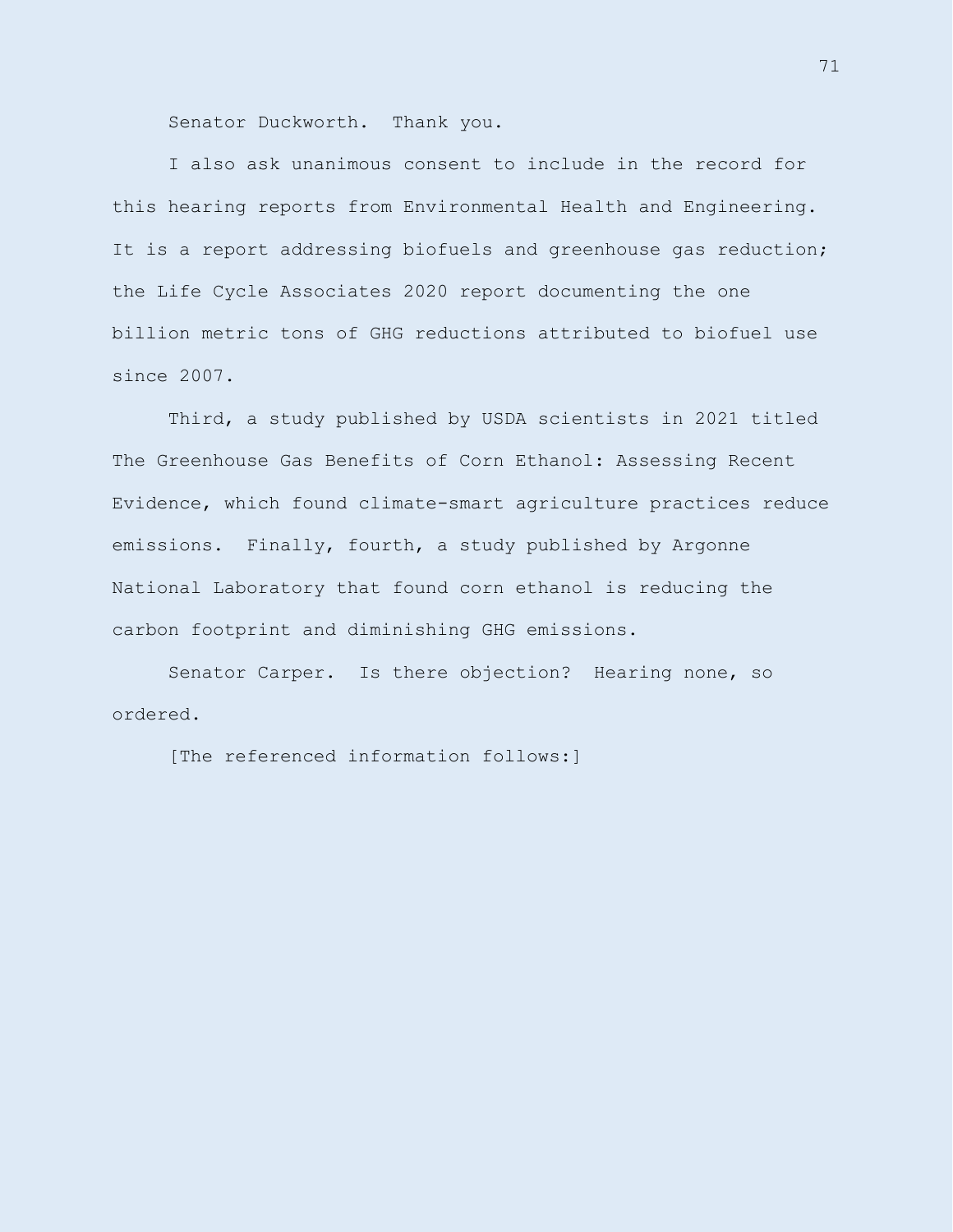Senator Duckworth. Thank you.

I also ask unanimous consent to include in the record for this hearing reports from Environmental Health and Engineering. It is a report addressing biofuels and greenhouse gas reduction; the Life Cycle Associates 2020 report documenting the one billion metric tons of GHG reductions attributed to biofuel use since 2007.

Third, a study published by USDA scientists in 2021 titled The Greenhouse Gas Benefits of Corn Ethanol: Assessing Recent Evidence, which found climate-smart agriculture practices reduce emissions. Finally, fourth, a study published by Argonne National Laboratory that found corn ethanol is reducing the carbon footprint and diminishing GHG emissions.

Senator Carper. Is there objection? Hearing none, so ordered.

[The referenced information follows:]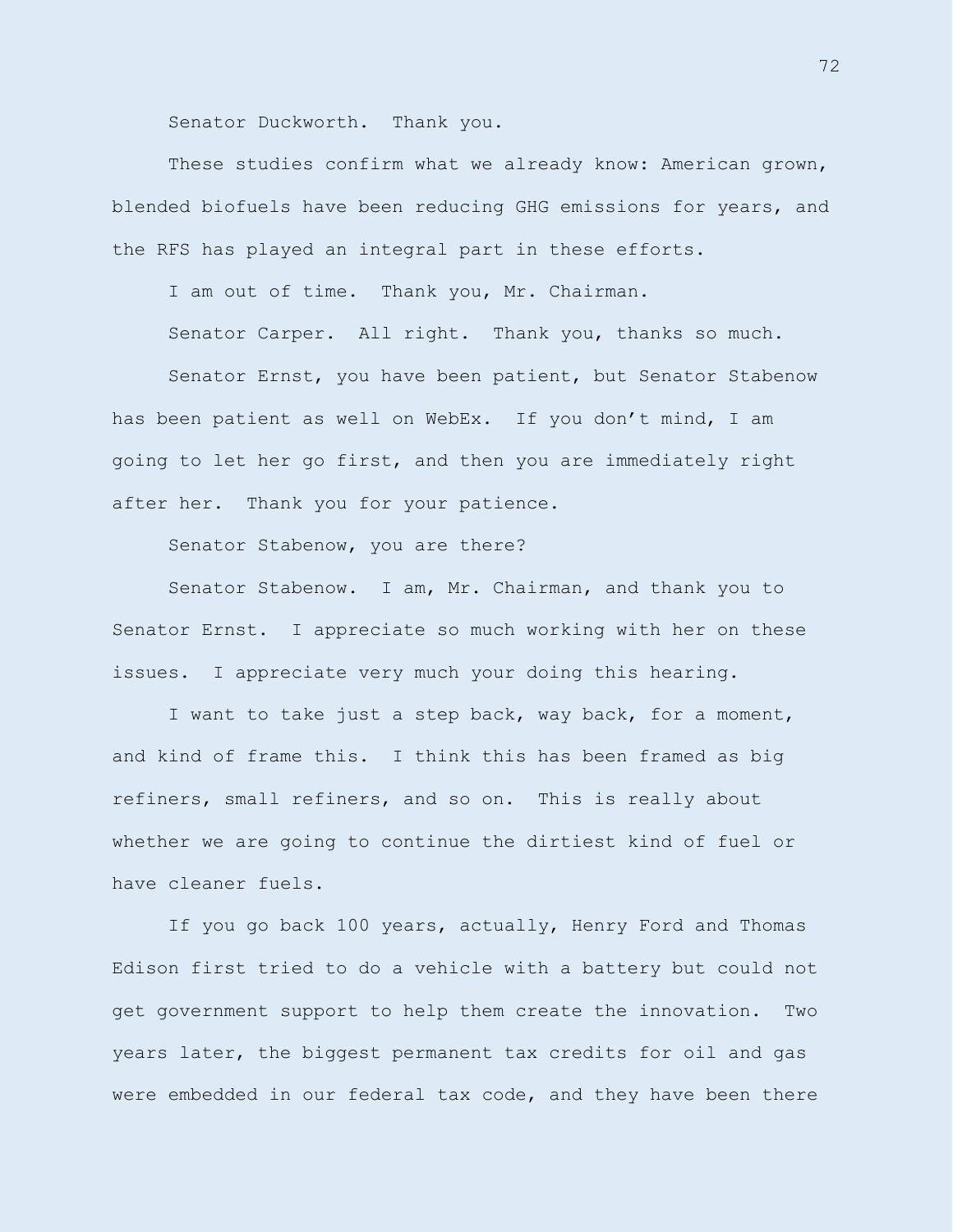Senator Duckworth. Thank you.

These studies confirm what we already know: American grown, blended biofuels have been reducing GHG emissions for years, and the RFS has played an integral part in these efforts.

I am out of time. Thank you, Mr. Chairman.

Senator Carper. All right. Thank you, thanks so much.

Senator Ernst, you have been patient, but Senator Stabenow has been patient as well on WebEx. If you don't mind, I am going to let her go first, and then you are immediately right after her. Thank you for your patience.

Senator Stabenow, you are there?

Senator Stabenow. I am, Mr. Chairman, and thank you to Senator Ernst. I appreciate so much working with her on these issues. I appreciate very much your doing this hearing.

I want to take just a step back, way back, for a moment, and kind of frame this. I think this has been framed as big refiners, small refiners, and so on. This is really about whether we are going to continue the dirtiest kind of fuel or have cleaner fuels.

If you go back 100 years, actually, Henry Ford and Thomas Edison first tried to do a vehicle with a battery but could not get government support to help them create the innovation. Two years later, the biggest permanent tax credits for oil and gas were embedded in our federal tax code, and they have been there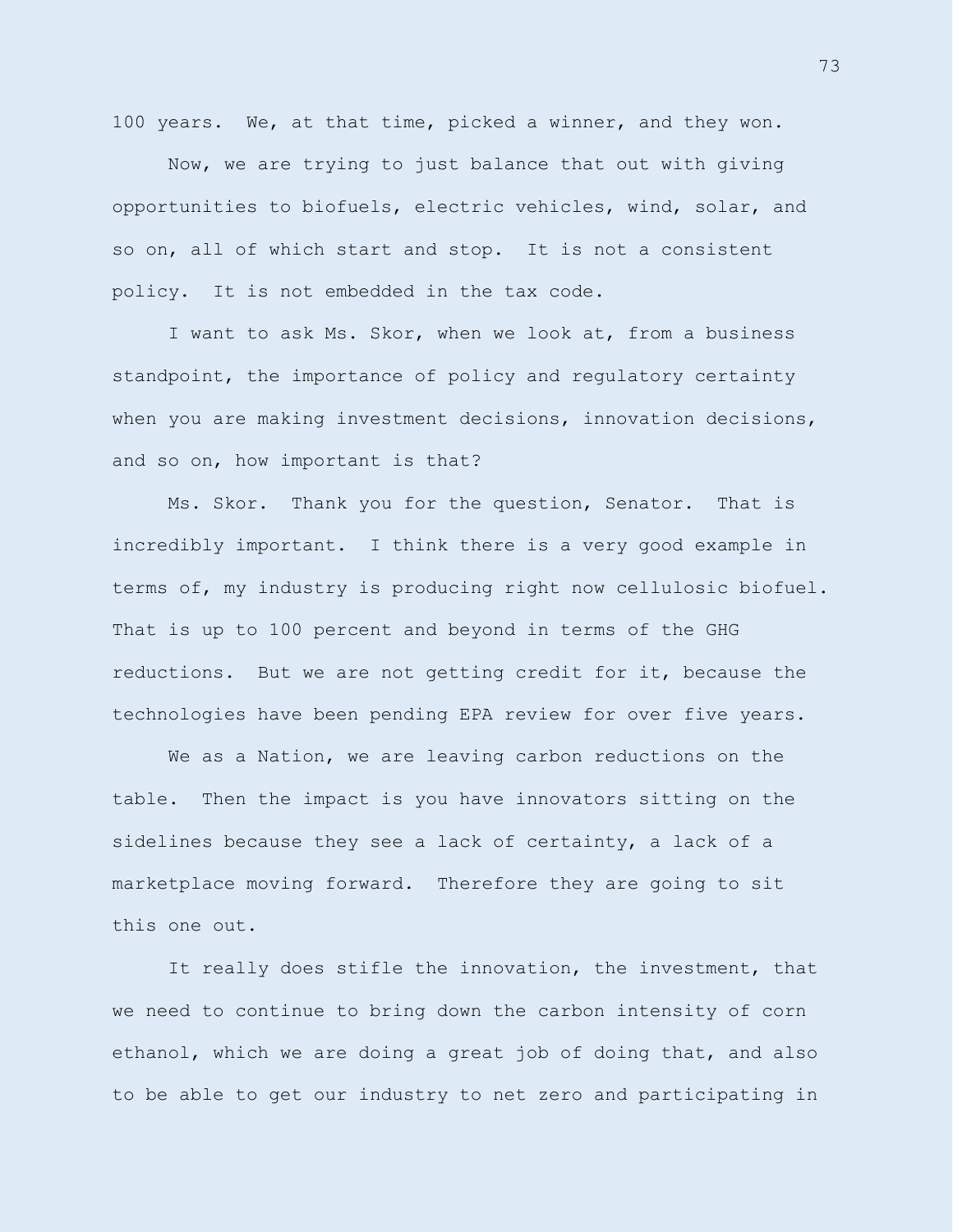100 years. We, at that time, picked a winner, and they won.

Now, we are trying to just balance that out with giving opportunities to biofuels, electric vehicles, wind, solar, and so on, all of which start and stop. It is not a consistent policy. It is not embedded in the tax code.

I want to ask Ms. Skor, when we look at, from a business standpoint, the importance of policy and regulatory certainty when you are making investment decisions, innovation decisions, and so on, how important is that?

Ms. Skor. Thank you for the question, Senator. That is incredibly important. I think there is a very good example in terms of, my industry is producing right now cellulosic biofuel. That is up to 100 percent and beyond in terms of the GHG reductions. But we are not getting credit for it, because the technologies have been pending EPA review for over five years.

We as a Nation, we are leaving carbon reductions on the table. Then the impact is you have innovators sitting on the sidelines because they see a lack of certainty, a lack of a marketplace moving forward. Therefore they are going to sit this one out.

It really does stifle the innovation, the investment, that we need to continue to bring down the carbon intensity of corn ethanol, which we are doing a great job of doing that, and also to be able to get our industry to net zero and participating in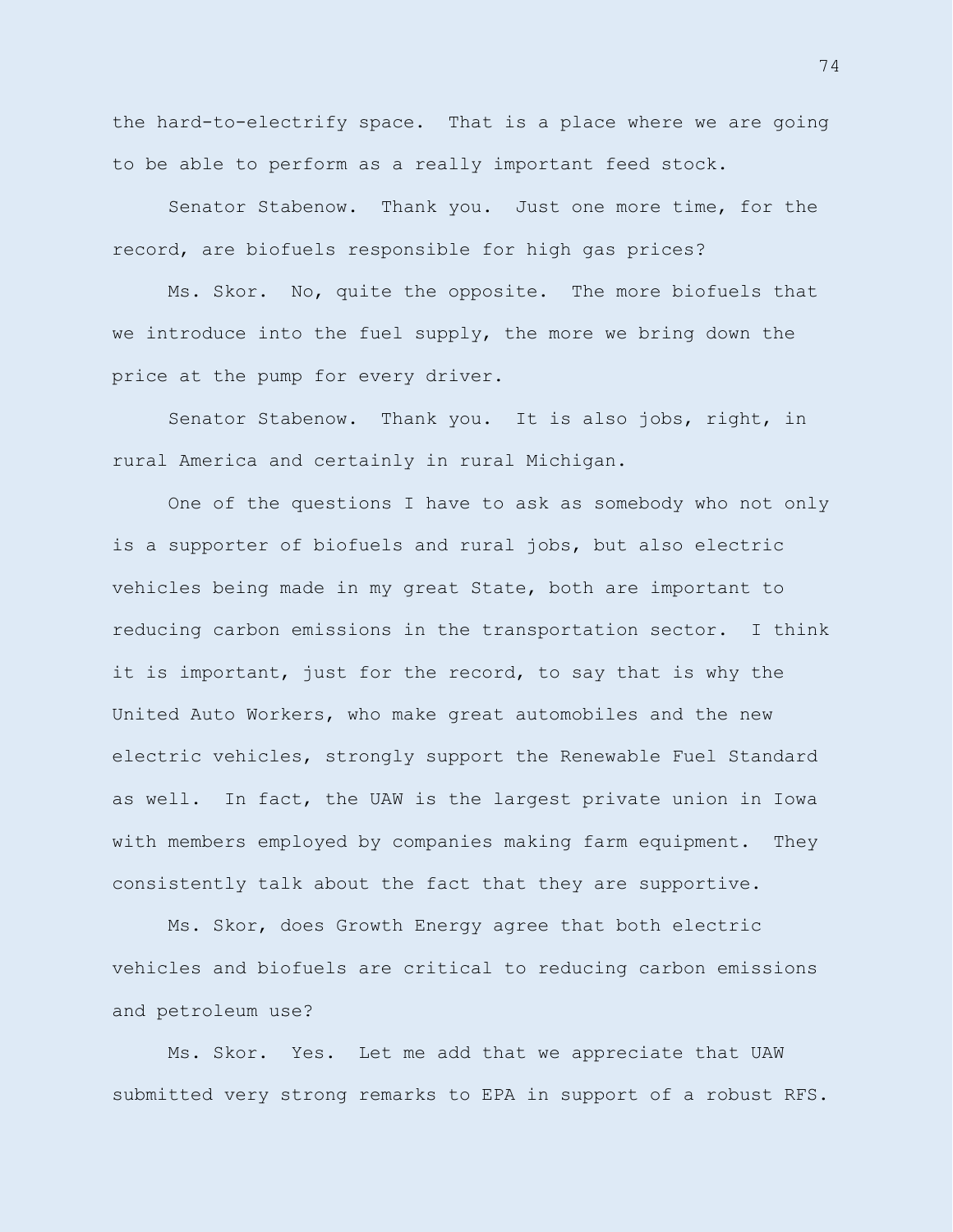the hard-to-electrify space. That is a place where we are going to be able to perform as a really important feed stock.

Senator Stabenow. Thank you. Just one more time, for the record, are biofuels responsible for high gas prices?

Ms. Skor. No, quite the opposite. The more biofuels that we introduce into the fuel supply, the more we bring down the price at the pump for every driver.

Senator Stabenow. Thank you. It is also jobs, right, in rural America and certainly in rural Michigan.

One of the questions I have to ask as somebody who not only is a supporter of biofuels and rural jobs, but also electric vehicles being made in my great State, both are important to reducing carbon emissions in the transportation sector. I think it is important, just for the record, to say that is why the United Auto Workers, who make great automobiles and the new electric vehicles, strongly support the Renewable Fuel Standard as well. In fact, the UAW is the largest private union in Iowa with members employed by companies making farm equipment. They consistently talk about the fact that they are supportive.

Ms. Skor, does Growth Energy agree that both electric vehicles and biofuels are critical to reducing carbon emissions and petroleum use?

Ms. Skor. Yes. Let me add that we appreciate that UAW submitted very strong remarks to EPA in support of a robust RFS.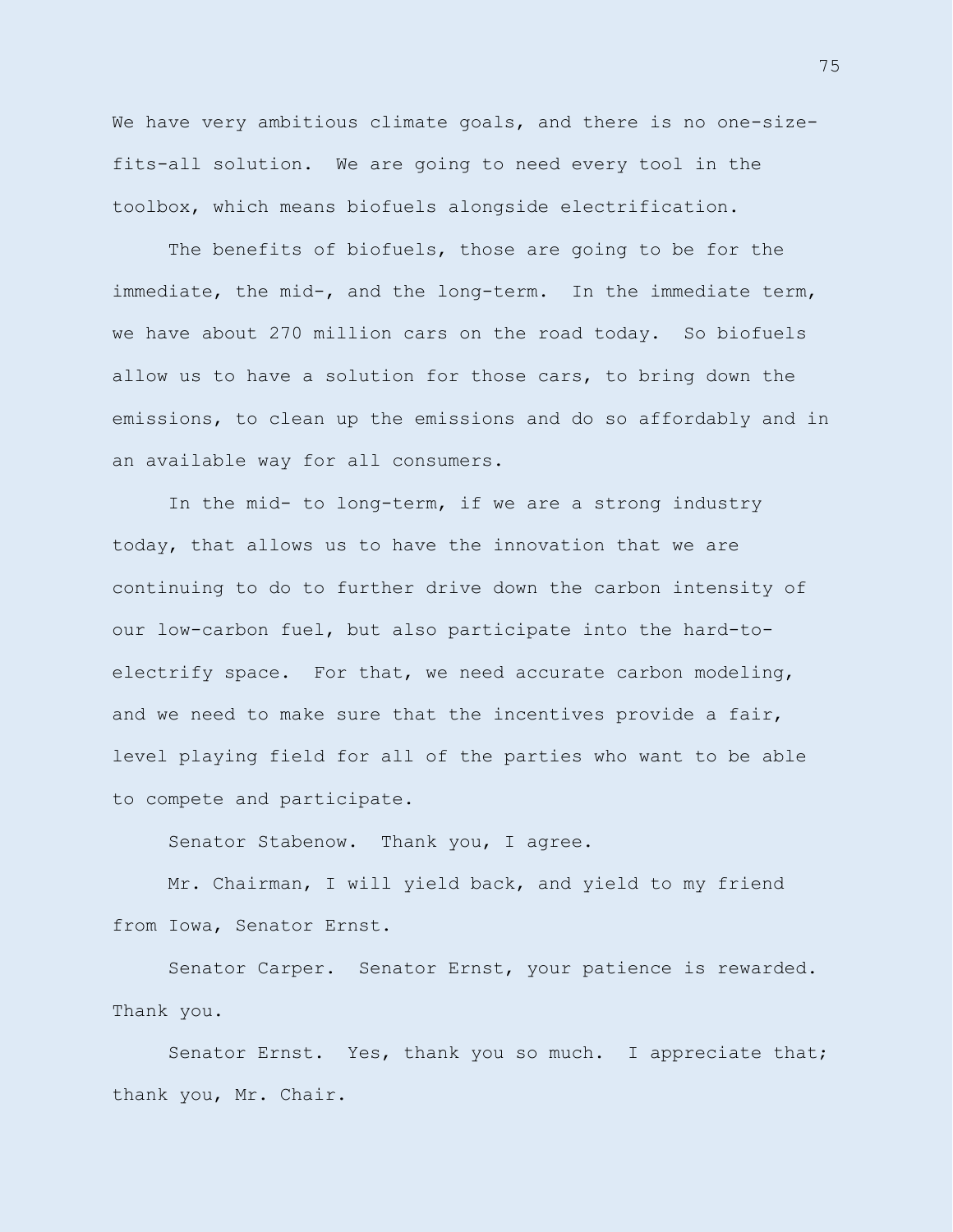We have very ambitious climate goals, and there is no one-sizefits-all solution. We are going to need every tool in the toolbox, which means biofuels alongside electrification.

The benefits of biofuels, those are going to be for the immediate, the mid-, and the long-term. In the immediate term, we have about 270 million cars on the road today. So biofuels allow us to have a solution for those cars, to bring down the emissions, to clean up the emissions and do so affordably and in an available way for all consumers.

In the mid- to long-term, if we are a strong industry today, that allows us to have the innovation that we are continuing to do to further drive down the carbon intensity of our low-carbon fuel, but also participate into the hard-toelectrify space. For that, we need accurate carbon modeling, and we need to make sure that the incentives provide a fair, level playing field for all of the parties who want to be able to compete and participate.

Senator Stabenow. Thank you, I agree.

Mr. Chairman, I will yield back, and yield to my friend from Iowa, Senator Ernst.

Senator Carper. Senator Ernst, your patience is rewarded. Thank you.

Senator Ernst. Yes, thank you so much. I appreciate that; thank you, Mr. Chair.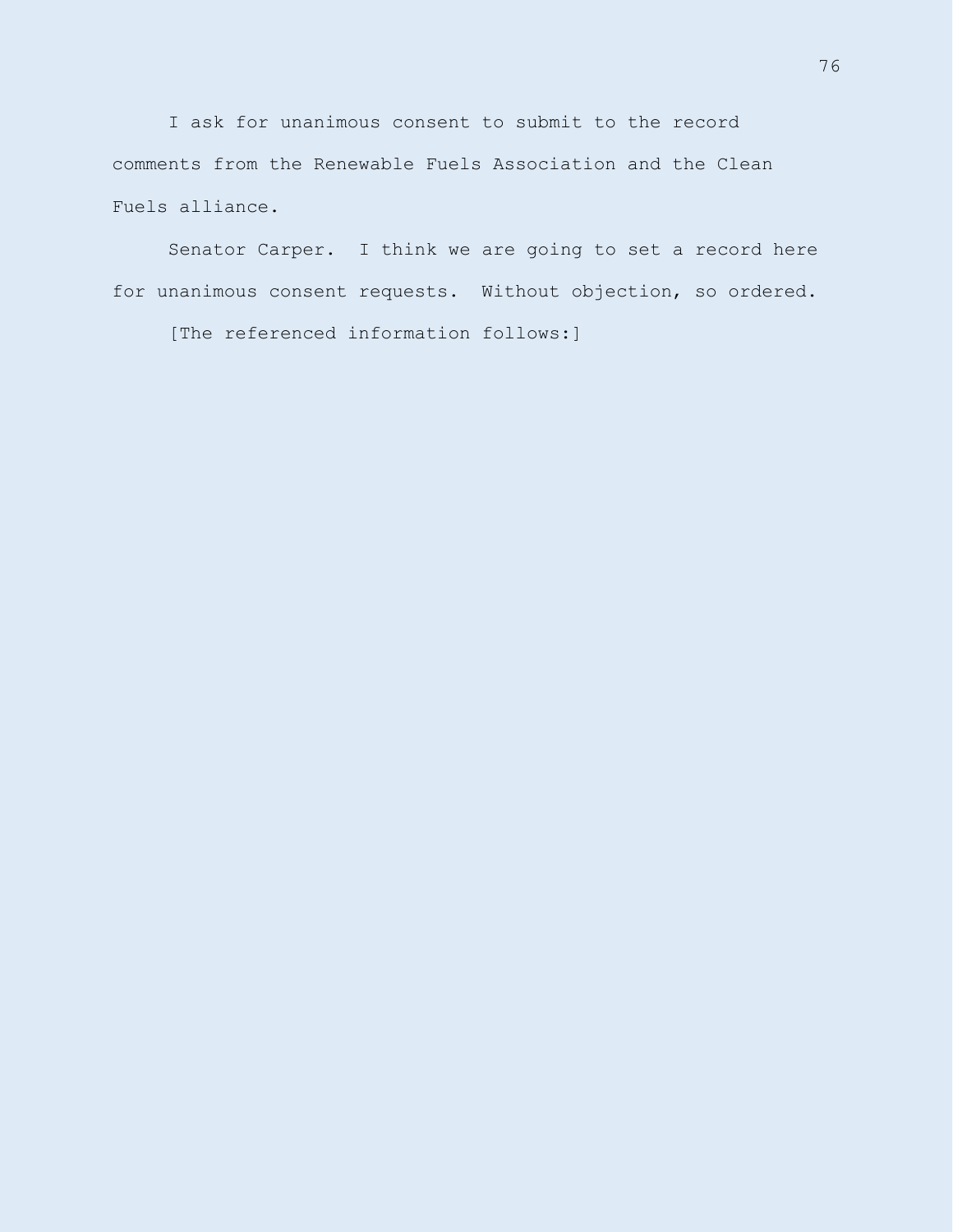I ask for unanimous consent to submit to the record comments from the Renewable Fuels Association and the Clean Fuels alliance.

Senator Carper. I think we are going to set a record here for unanimous consent requests. Without objection, so ordered.

[The referenced information follows:]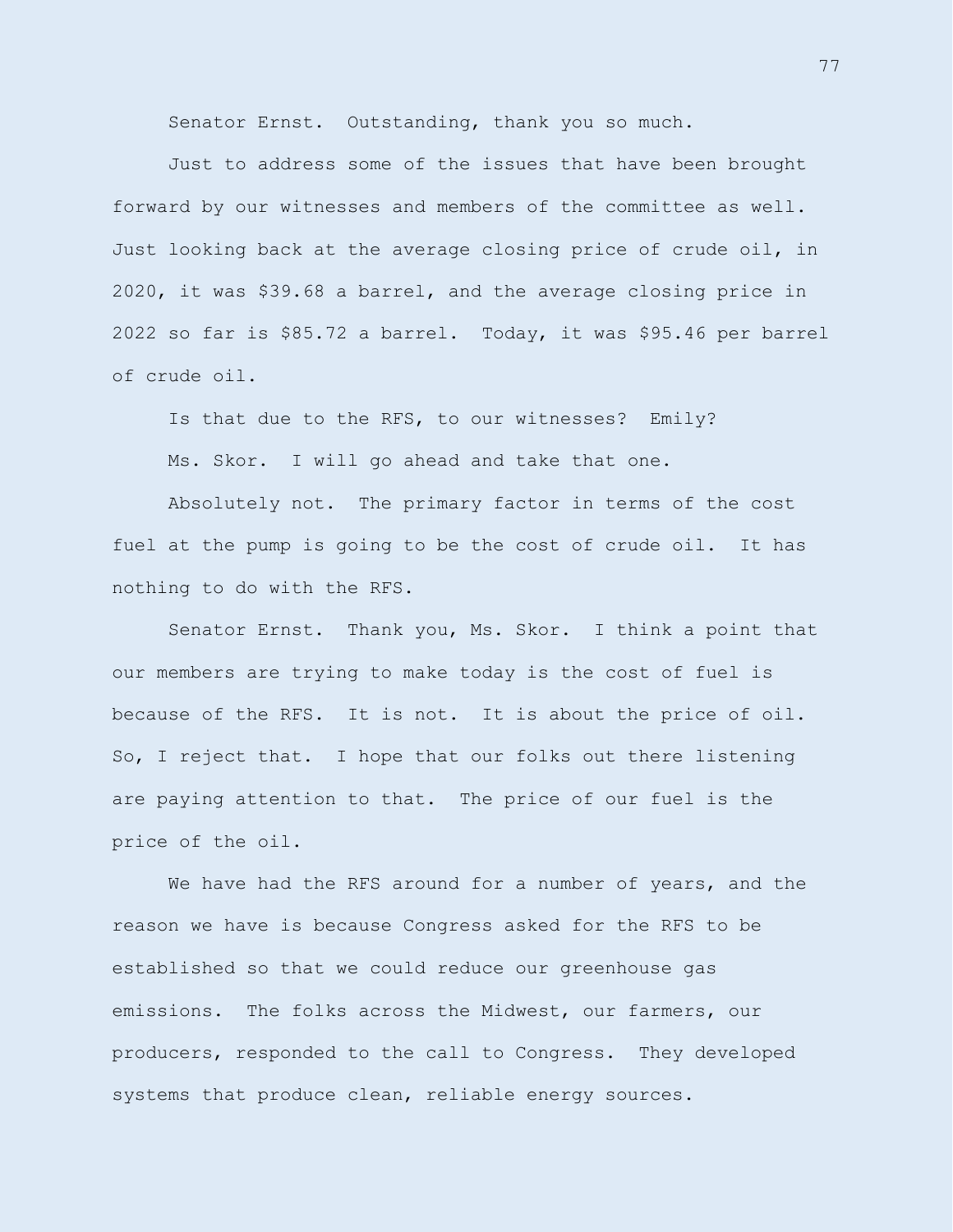Senator Ernst. Outstanding, thank you so much.

Just to address some of the issues that have been brought forward by our witnesses and members of the committee as well. Just looking back at the average closing price of crude oil, in 2020, it was \$39.68 a barrel, and the average closing price in 2022 so far is \$85.72 a barrel. Today, it was \$95.46 per barrel of crude oil.

Is that due to the RFS, to our witnesses? Emily?

Ms. Skor. I will go ahead and take that one.

Absolutely not. The primary factor in terms of the cost fuel at the pump is going to be the cost of crude oil. It has nothing to do with the RFS.

Senator Ernst. Thank you, Ms. Skor. I think a point that our members are trying to make today is the cost of fuel is because of the RFS. It is not. It is about the price of oil. So, I reject that. I hope that our folks out there listening are paying attention to that. The price of our fuel is the price of the oil.

We have had the RFS around for a number of years, and the reason we have is because Congress asked for the RFS to be established so that we could reduce our greenhouse gas emissions. The folks across the Midwest, our farmers, our producers, responded to the call to Congress. They developed systems that produce clean, reliable energy sources.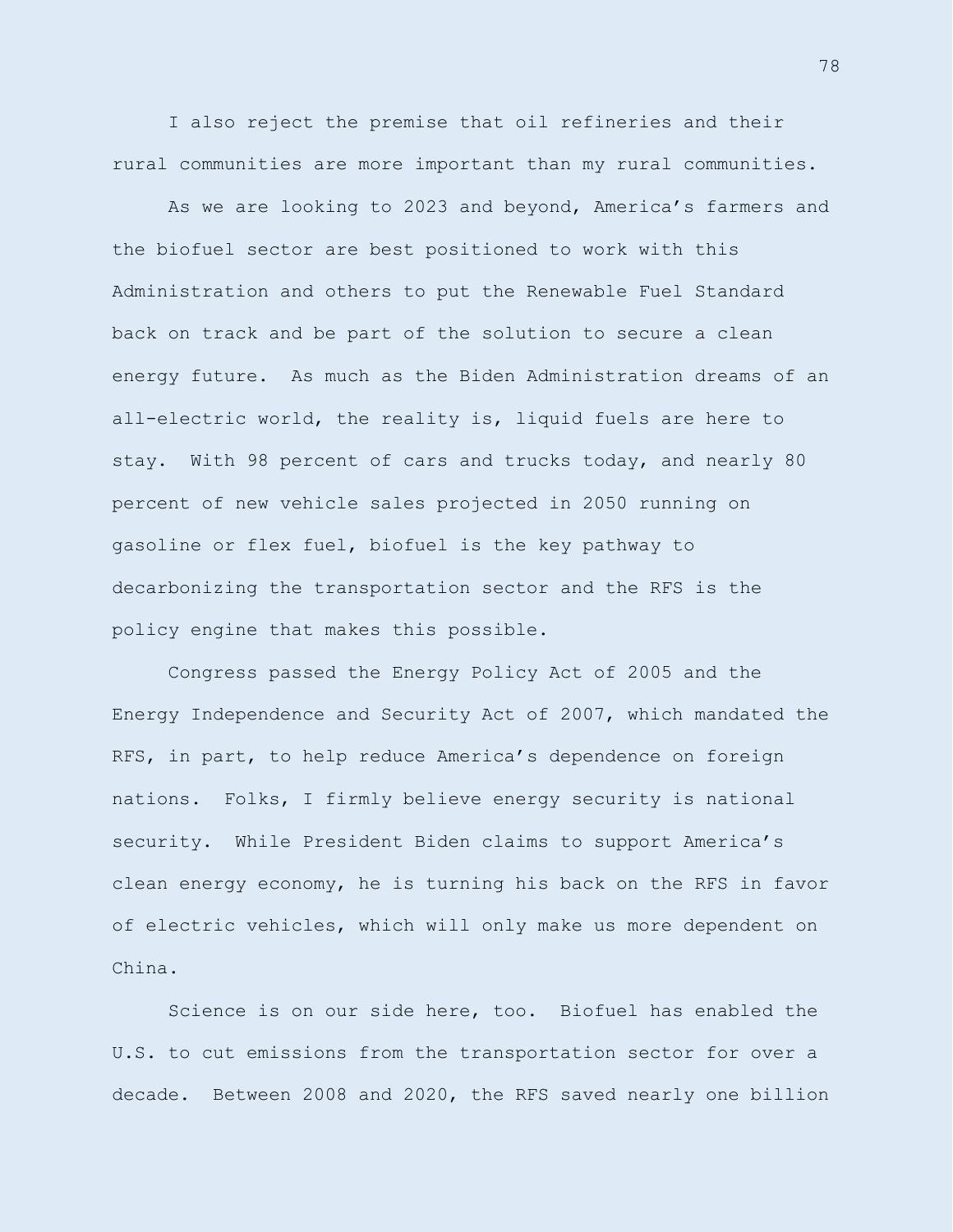I also reject the premise that oil refineries and their rural communities are more important than my rural communities.

As we are looking to 2023 and beyond, America's farmers and the biofuel sector are best positioned to work with this Administration and others to put the Renewable Fuel Standard back on track and be part of the solution to secure a clean energy future. As much as the Biden Administration dreams of an all-electric world, the reality is, liquid fuels are here to stay. With 98 percent of cars and trucks today, and nearly 80 percent of new vehicle sales projected in 2050 running on gasoline or flex fuel, biofuel is the key pathway to decarbonizing the transportation sector and the RFS is the policy engine that makes this possible.

Congress passed the Energy Policy Act of 2005 and the Energy Independence and Security Act of 2007, which mandated the RFS, in part, to help reduce America's dependence on foreign nations. Folks, I firmly believe energy security is national security. While President Biden claims to support America's clean energy economy, he is turning his back on the RFS in favor of electric vehicles, which will only make us more dependent on China.

Science is on our side here, too. Biofuel has enabled the U.S. to cut emissions from the transportation sector for over a decade. Between 2008 and 2020, the RFS saved nearly one billion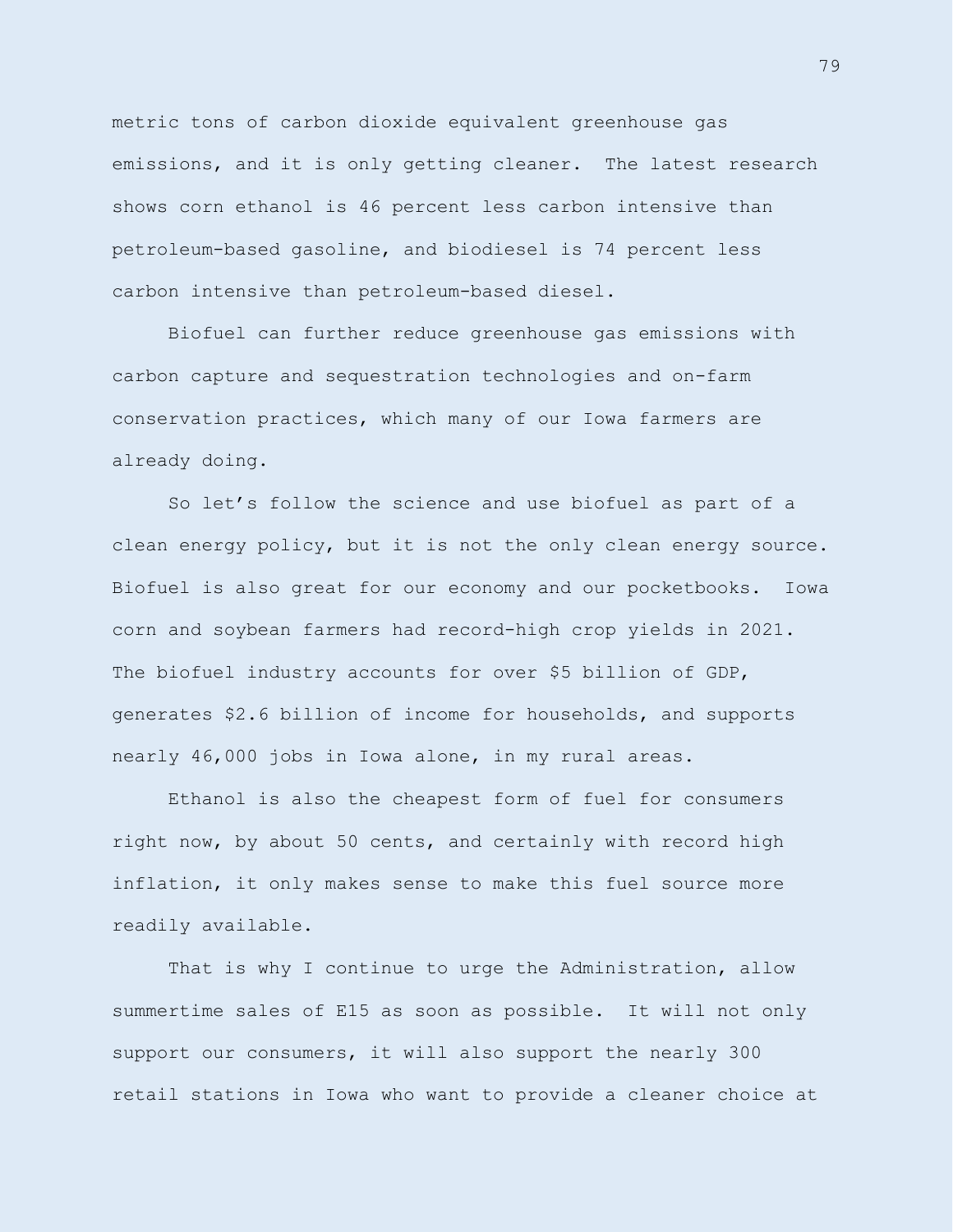metric tons of carbon dioxide equivalent greenhouse gas emissions, and it is only getting cleaner. The latest research shows corn ethanol is 46 percent less carbon intensive than petroleum-based gasoline, and biodiesel is 74 percent less carbon intensive than petroleum-based diesel.

Biofuel can further reduce greenhouse gas emissions with carbon capture and sequestration technologies and on-farm conservation practices, which many of our Iowa farmers are already doing.

So let's follow the science and use biofuel as part of a clean energy policy, but it is not the only clean energy source. Biofuel is also great for our economy and our pocketbooks. Iowa corn and soybean farmers had record-high crop yields in 2021. The biofuel industry accounts for over \$5 billion of GDP, generates \$2.6 billion of income for households, and supports nearly 46,000 jobs in Iowa alone, in my rural areas.

Ethanol is also the cheapest form of fuel for consumers right now, by about 50 cents, and certainly with record high inflation, it only makes sense to make this fuel source more readily available.

That is why I continue to urge the Administration, allow summertime sales of E15 as soon as possible. It will not only support our consumers, it will also support the nearly 300 retail stations in Iowa who want to provide a cleaner choice at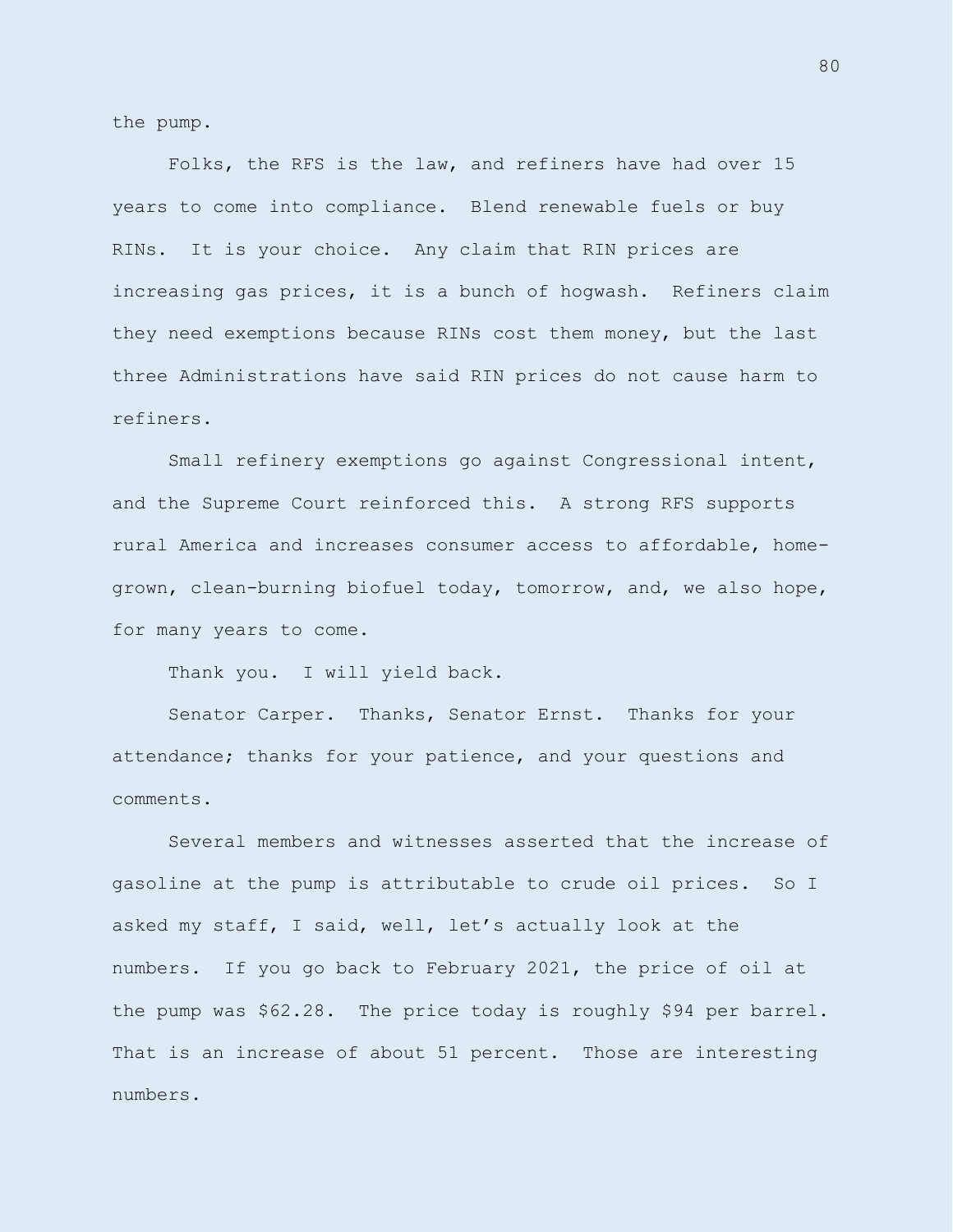the pump.

Folks, the RFS is the law, and refiners have had over 15 years to come into compliance. Blend renewable fuels or buy RINs. It is your choice. Any claim that RIN prices are increasing gas prices, it is a bunch of hogwash. Refiners claim they need exemptions because RINs cost them money, but the last three Administrations have said RIN prices do not cause harm to refiners.

Small refinery exemptions go against Congressional intent, and the Supreme Court reinforced this. A strong RFS supports rural America and increases consumer access to affordable, homegrown, clean-burning biofuel today, tomorrow, and, we also hope, for many years to come.

Thank you. I will yield back.

Senator Carper. Thanks, Senator Ernst. Thanks for your attendance; thanks for your patience, and your questions and comments.

Several members and witnesses asserted that the increase of gasoline at the pump is attributable to crude oil prices. So I asked my staff, I said, well, let's actually look at the numbers. If you go back to February 2021, the price of oil at the pump was \$62.28. The price today is roughly \$94 per barrel. That is an increase of about 51 percent. Those are interesting numbers.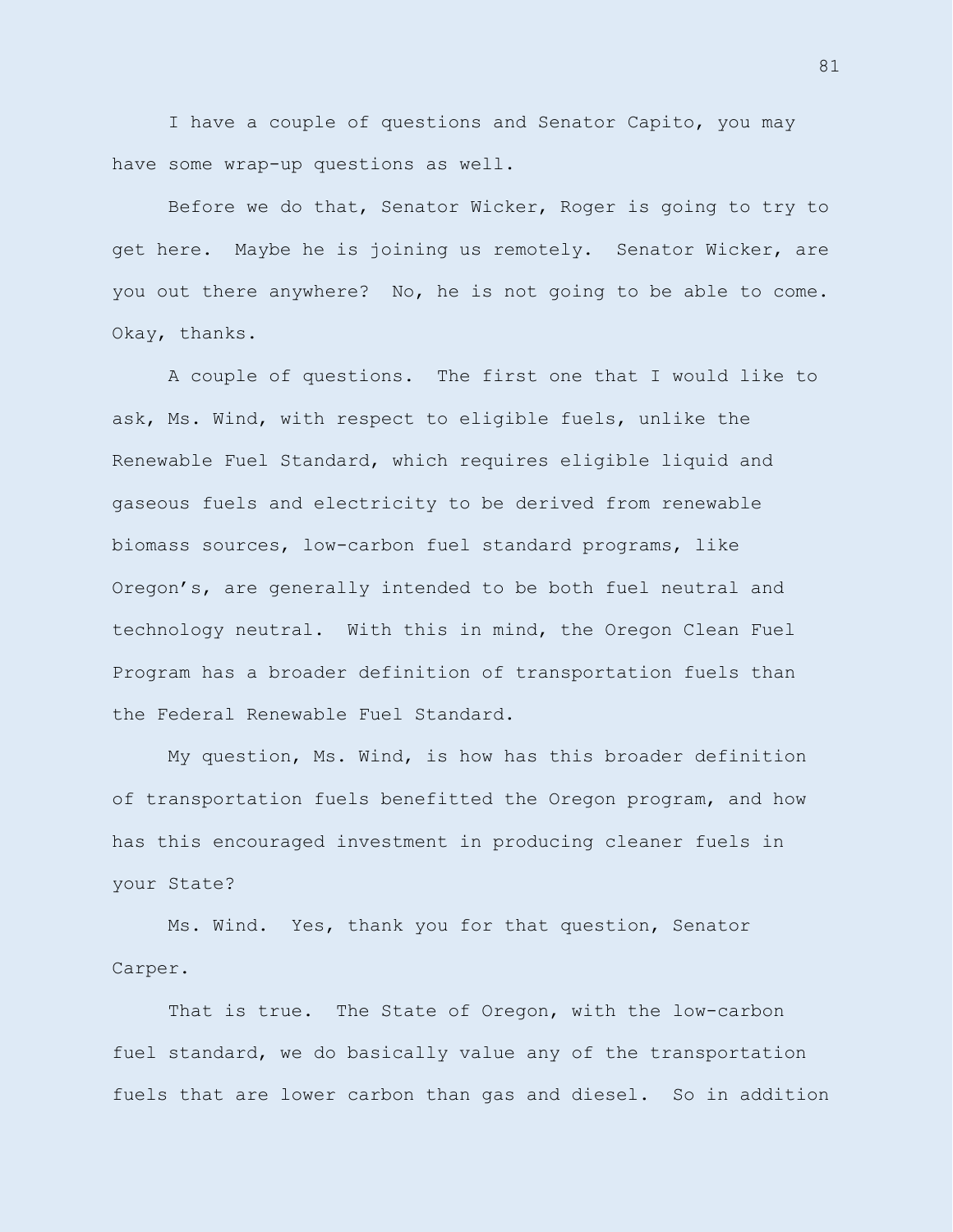I have a couple of questions and Senator Capito, you may have some wrap-up questions as well.

Before we do that, Senator Wicker, Roger is going to try to get here. Maybe he is joining us remotely. Senator Wicker, are you out there anywhere? No, he is not going to be able to come. Okay, thanks.

A couple of questions. The first one that I would like to ask, Ms. Wind, with respect to eligible fuels, unlike the Renewable Fuel Standard, which requires eligible liquid and gaseous fuels and electricity to be derived from renewable biomass sources, low-carbon fuel standard programs, like Oregon's, are generally intended to be both fuel neutral and technology neutral. With this in mind, the Oregon Clean Fuel Program has a broader definition of transportation fuels than the Federal Renewable Fuel Standard.

My question, Ms. Wind, is how has this broader definition of transportation fuels benefitted the Oregon program, and how has this encouraged investment in producing cleaner fuels in your State?

Ms. Wind. Yes, thank you for that question, Senator Carper.

That is true. The State of Oregon, with the low-carbon fuel standard, we do basically value any of the transportation fuels that are lower carbon than gas and diesel. So in addition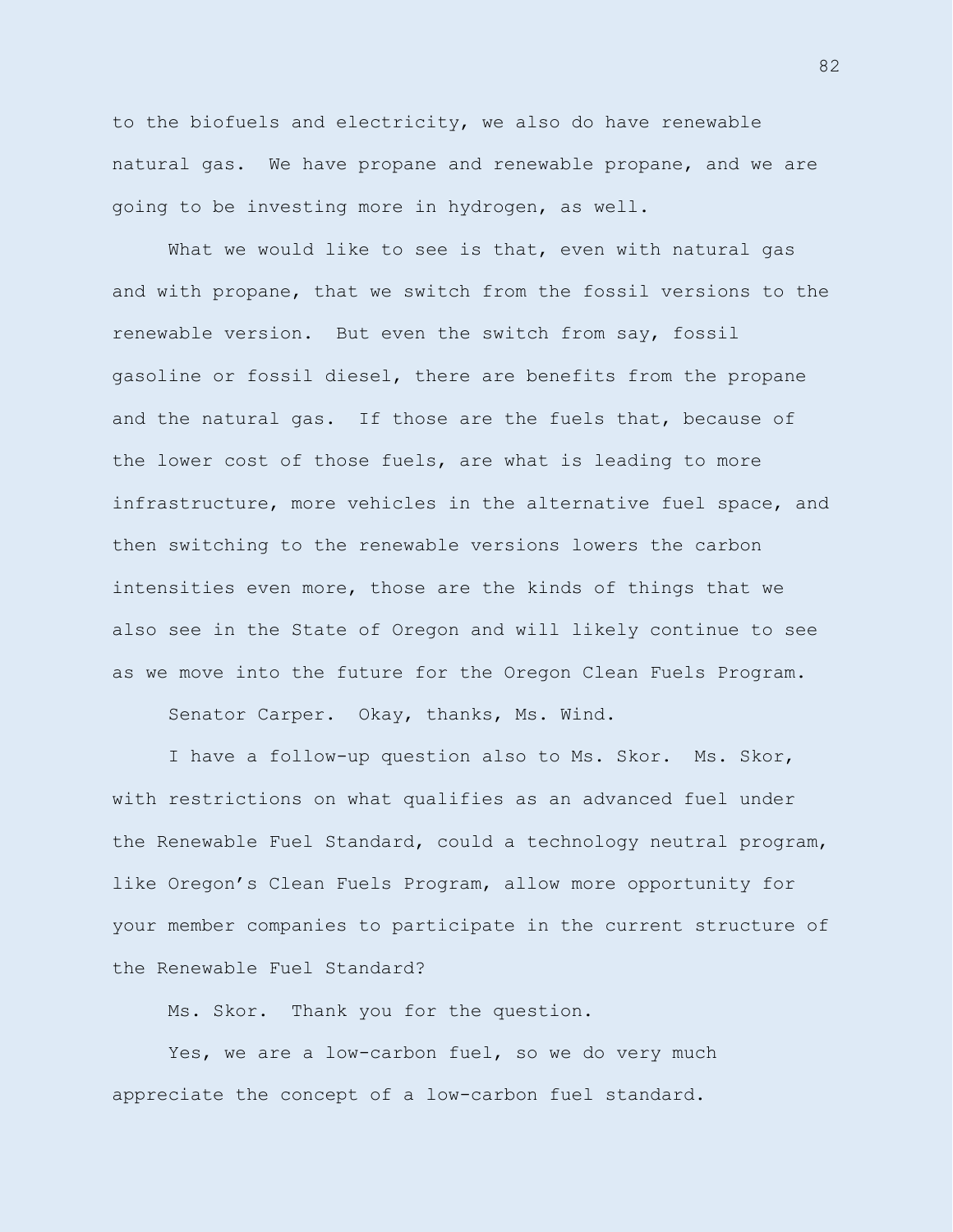to the biofuels and electricity, we also do have renewable natural gas. We have propane and renewable propane, and we are going to be investing more in hydrogen, as well.

What we would like to see is that, even with natural gas and with propane, that we switch from the fossil versions to the renewable version. But even the switch from say, fossil gasoline or fossil diesel, there are benefits from the propane and the natural gas. If those are the fuels that, because of the lower cost of those fuels, are what is leading to more infrastructure, more vehicles in the alternative fuel space, and then switching to the renewable versions lowers the carbon intensities even more, those are the kinds of things that we also see in the State of Oregon and will likely continue to see as we move into the future for the Oregon Clean Fuels Program.

Senator Carper. Okay, thanks, Ms. Wind.

I have a follow-up question also to Ms. Skor. Ms. Skor, with restrictions on what qualifies as an advanced fuel under the Renewable Fuel Standard, could a technology neutral program, like Oregon's Clean Fuels Program, allow more opportunity for your member companies to participate in the current structure of the Renewable Fuel Standard?

Ms. Skor. Thank you for the question.

Yes, we are a low-carbon fuel, so we do very much appreciate the concept of a low-carbon fuel standard.

82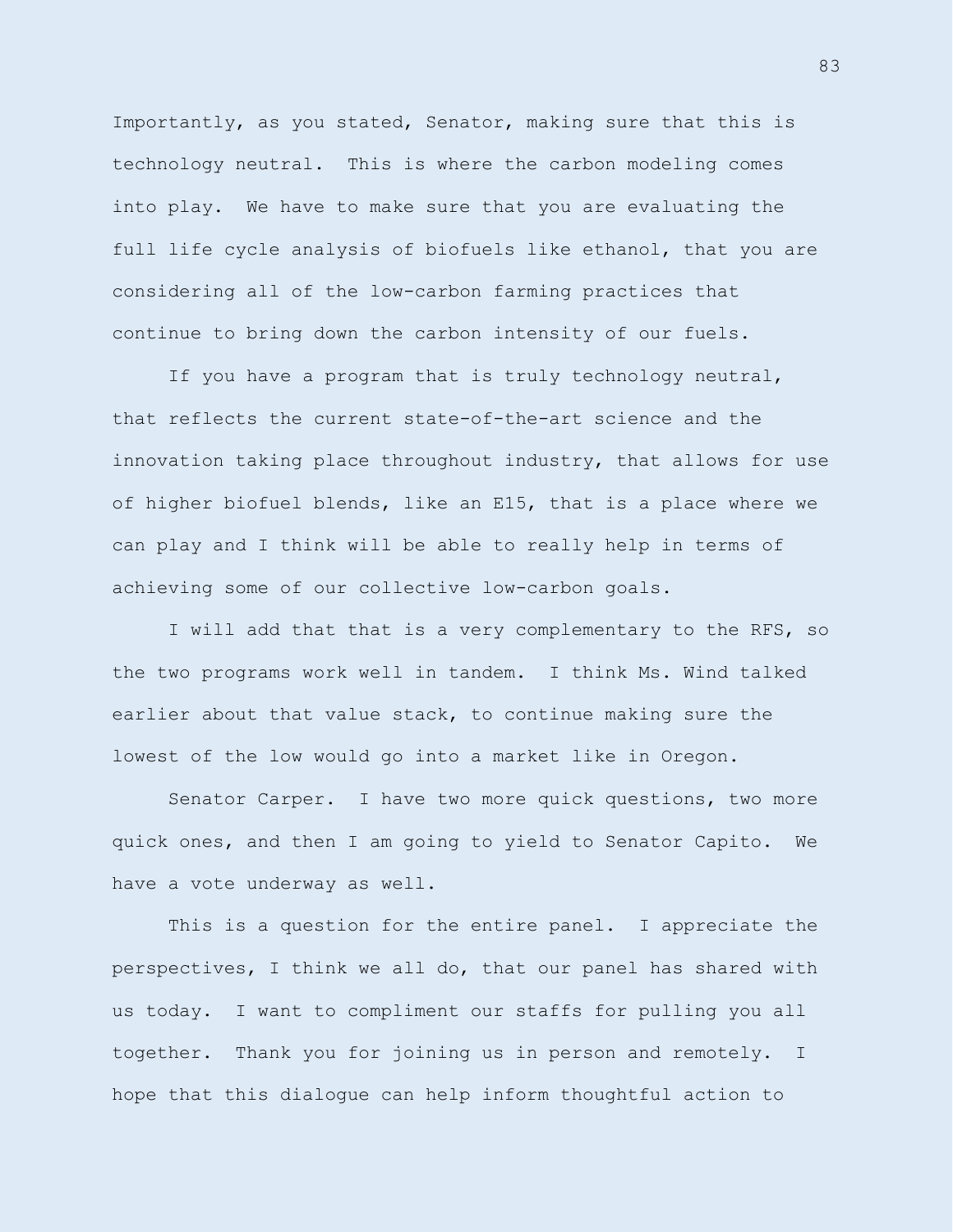Importantly, as you stated, Senator, making sure that this is technology neutral. This is where the carbon modeling comes into play. We have to make sure that you are evaluating the full life cycle analysis of biofuels like ethanol, that you are considering all of the low-carbon farming practices that continue to bring down the carbon intensity of our fuels.

If you have a program that is truly technology neutral, that reflects the current state-of-the-art science and the innovation taking place throughout industry, that allows for use of higher biofuel blends, like an E15, that is a place where we can play and I think will be able to really help in terms of achieving some of our collective low-carbon goals.

I will add that that is a very complementary to the RFS, so the two programs work well in tandem. I think Ms. Wind talked earlier about that value stack, to continue making sure the lowest of the low would go into a market like in Oregon.

Senator Carper. I have two more quick questions, two more quick ones, and then I am going to yield to Senator Capito. We have a vote underway as well.

This is a question for the entire panel. I appreciate the perspectives, I think we all do, that our panel has shared with us today. I want to compliment our staffs for pulling you all together. Thank you for joining us in person and remotely. I hope that this dialogue can help inform thoughtful action to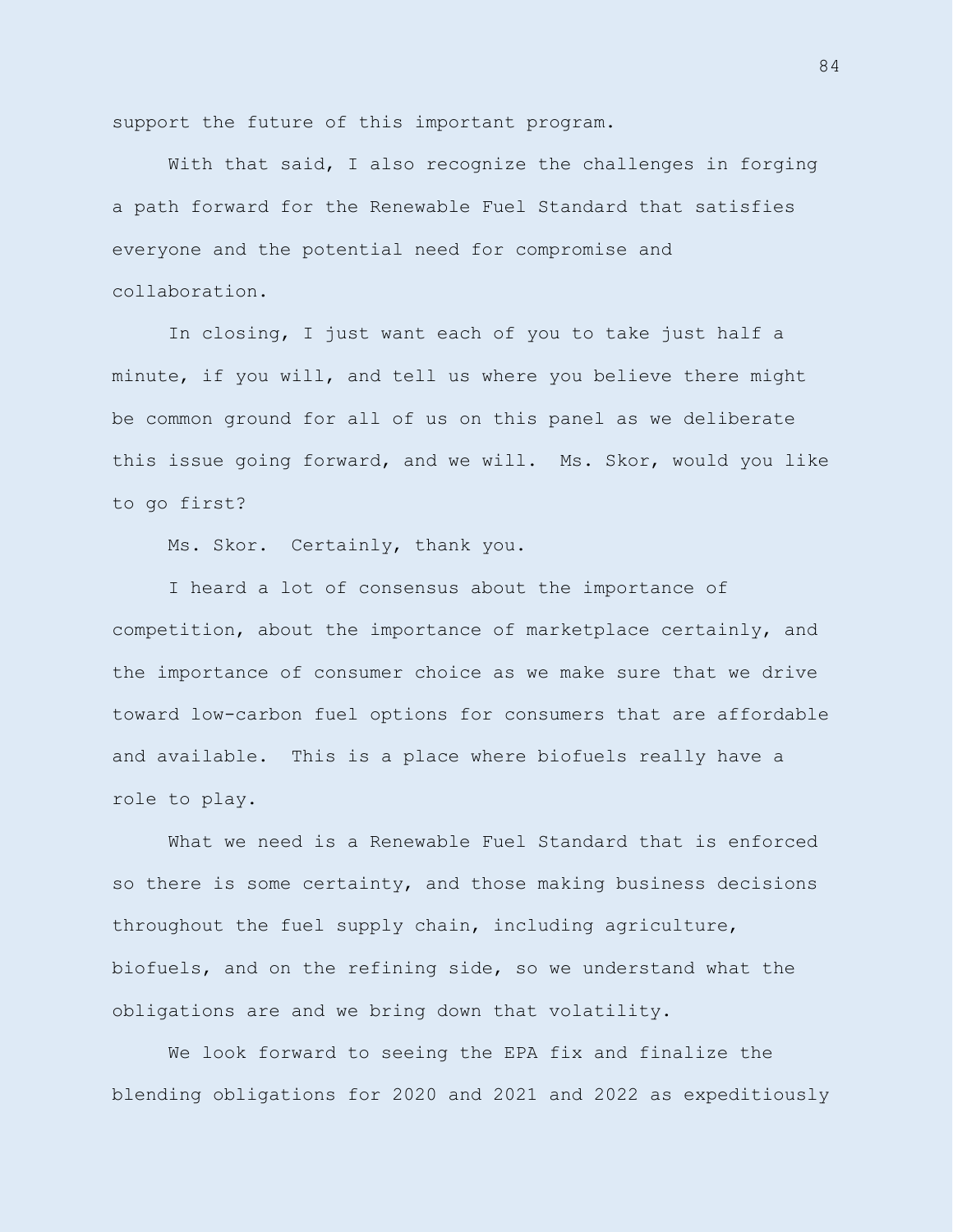support the future of this important program.

With that said, I also recognize the challenges in forging a path forward for the Renewable Fuel Standard that satisfies everyone and the potential need for compromise and collaboration.

In closing, I just want each of you to take just half a minute, if you will, and tell us where you believe there might be common ground for all of us on this panel as we deliberate this issue going forward, and we will. Ms. Skor, would you like to go first?

Ms. Skor. Certainly, thank you.

I heard a lot of consensus about the importance of competition, about the importance of marketplace certainly, and the importance of consumer choice as we make sure that we drive toward low-carbon fuel options for consumers that are affordable and available. This is a place where biofuels really have a role to play.

What we need is a Renewable Fuel Standard that is enforced so there is some certainty, and those making business decisions throughout the fuel supply chain, including agriculture, biofuels, and on the refining side, so we understand what the obligations are and we bring down that volatility.

We look forward to seeing the EPA fix and finalize the blending obligations for 2020 and 2021 and 2022 as expeditiously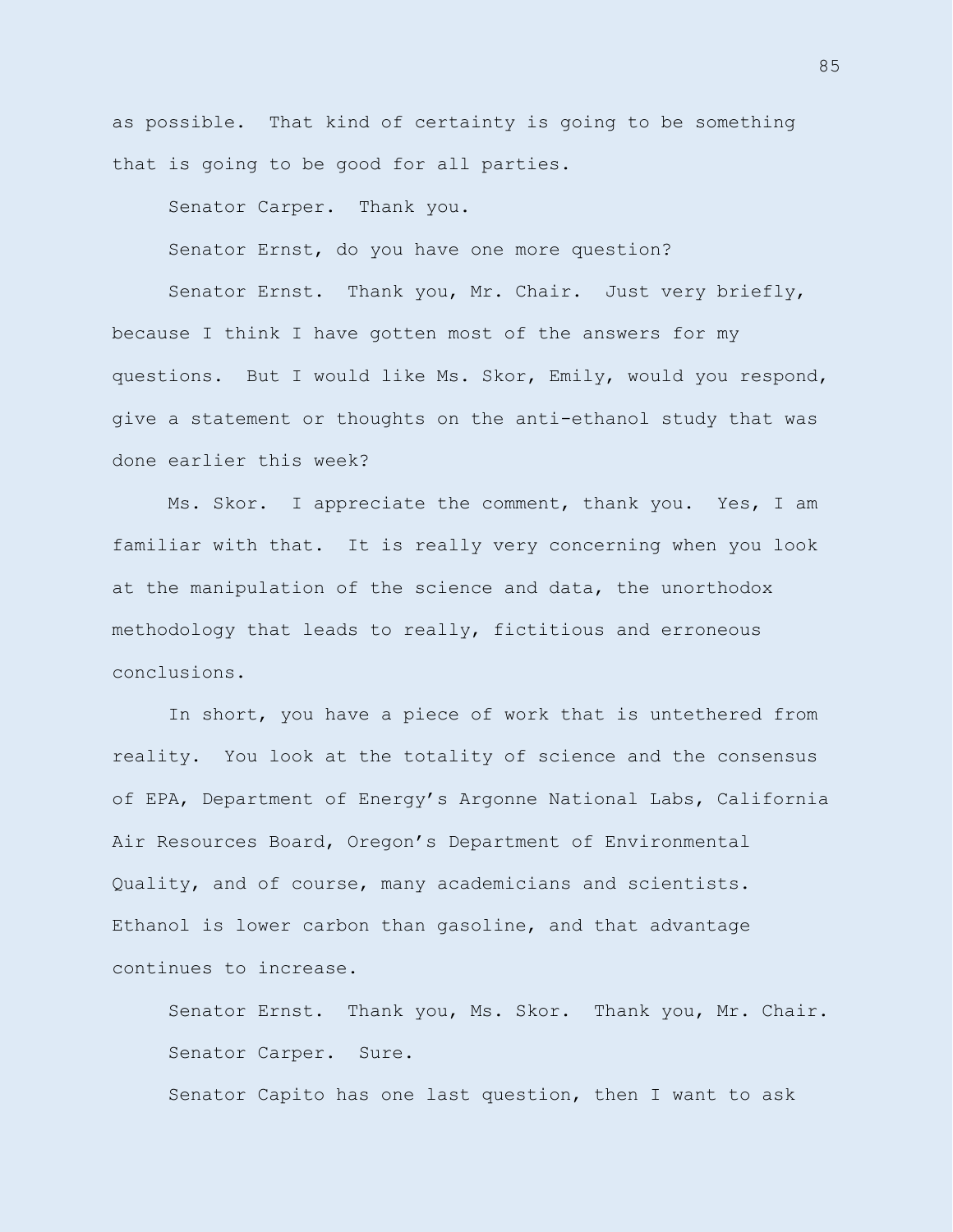as possible. That kind of certainty is going to be something that is going to be good for all parties.

Senator Carper. Thank you.

Senator Ernst, do you have one more question?

Senator Ernst. Thank you, Mr. Chair. Just very briefly, because I think I have gotten most of the answers for my questions. But I would like Ms. Skor, Emily, would you respond, give a statement or thoughts on the anti-ethanol study that was done earlier this week?

Ms. Skor. I appreciate the comment, thank you. Yes, I am familiar with that. It is really very concerning when you look at the manipulation of the science and data, the unorthodox methodology that leads to really, fictitious and erroneous conclusions.

In short, you have a piece of work that is untethered from reality. You look at the totality of science and the consensus of EPA, Department of Energy's Argonne National Labs, California Air Resources Board, Oregon's Department of Environmental Quality, and of course, many academicians and scientists. Ethanol is lower carbon than gasoline, and that advantage continues to increase.

Senator Ernst. Thank you, Ms. Skor. Thank you, Mr. Chair. Senator Carper. Sure.

Senator Capito has one last question, then I want to ask

85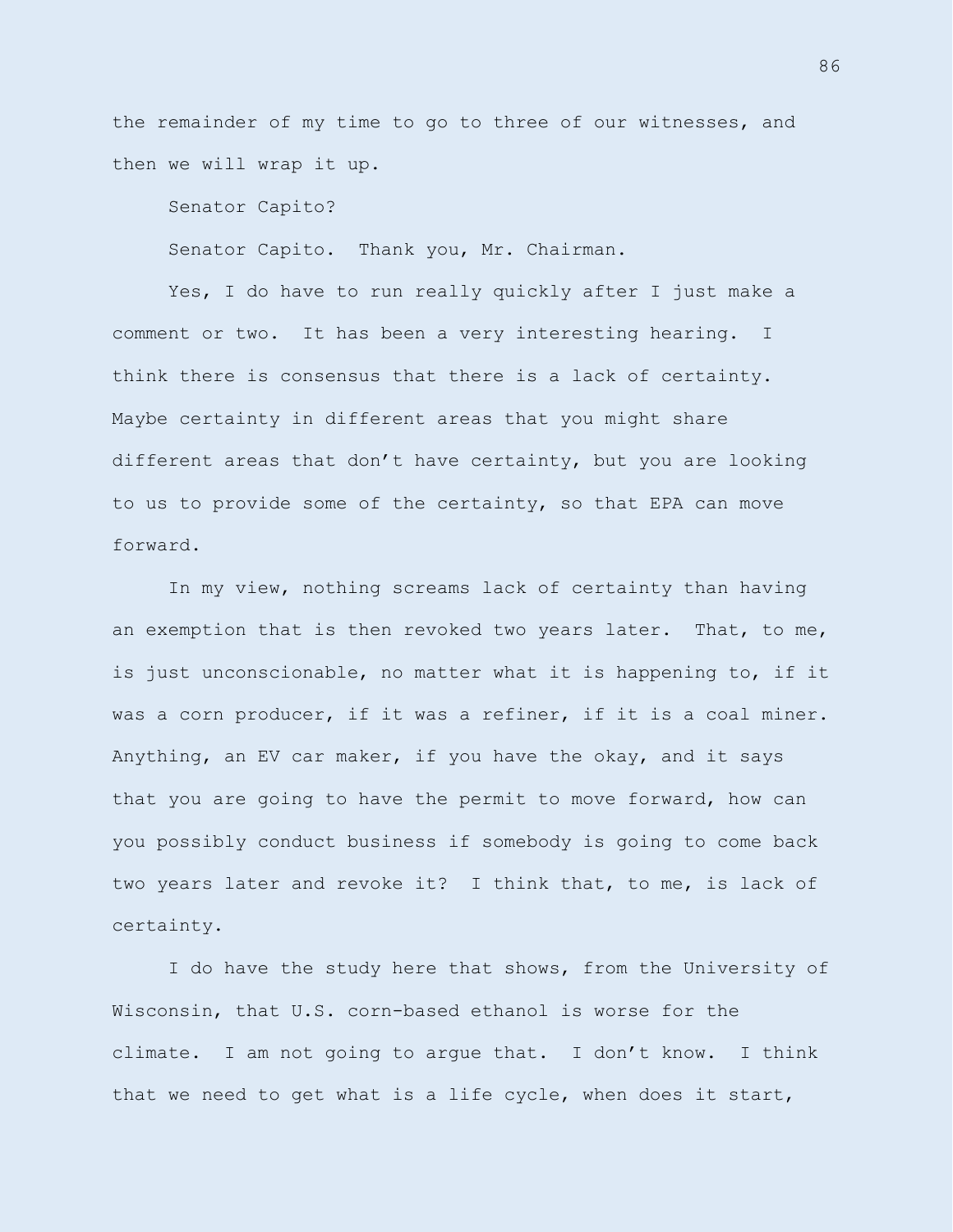the remainder of my time to go to three of our witnesses, and then we will wrap it up.

Senator Capito?

Senator Capito. Thank you, Mr. Chairman.

Yes, I do have to run really quickly after I just make a comment or two. It has been a very interesting hearing. I think there is consensus that there is a lack of certainty. Maybe certainty in different areas that you might share different areas that don't have certainty, but you are looking to us to provide some of the certainty, so that EPA can move forward.

In my view, nothing screams lack of certainty than having an exemption that is then revoked two years later. That, to me, is just unconscionable, no matter what it is happening to, if it was a corn producer, if it was a refiner, if it is a coal miner. Anything, an EV car maker, if you have the okay, and it says that you are going to have the permit to move forward, how can you possibly conduct business if somebody is going to come back two years later and revoke it? I think that, to me, is lack of certainty.

I do have the study here that shows, from the University of Wisconsin, that U.S. corn-based ethanol is worse for the climate. I am not going to argue that. I don't know. I think that we need to get what is a life cycle, when does it start,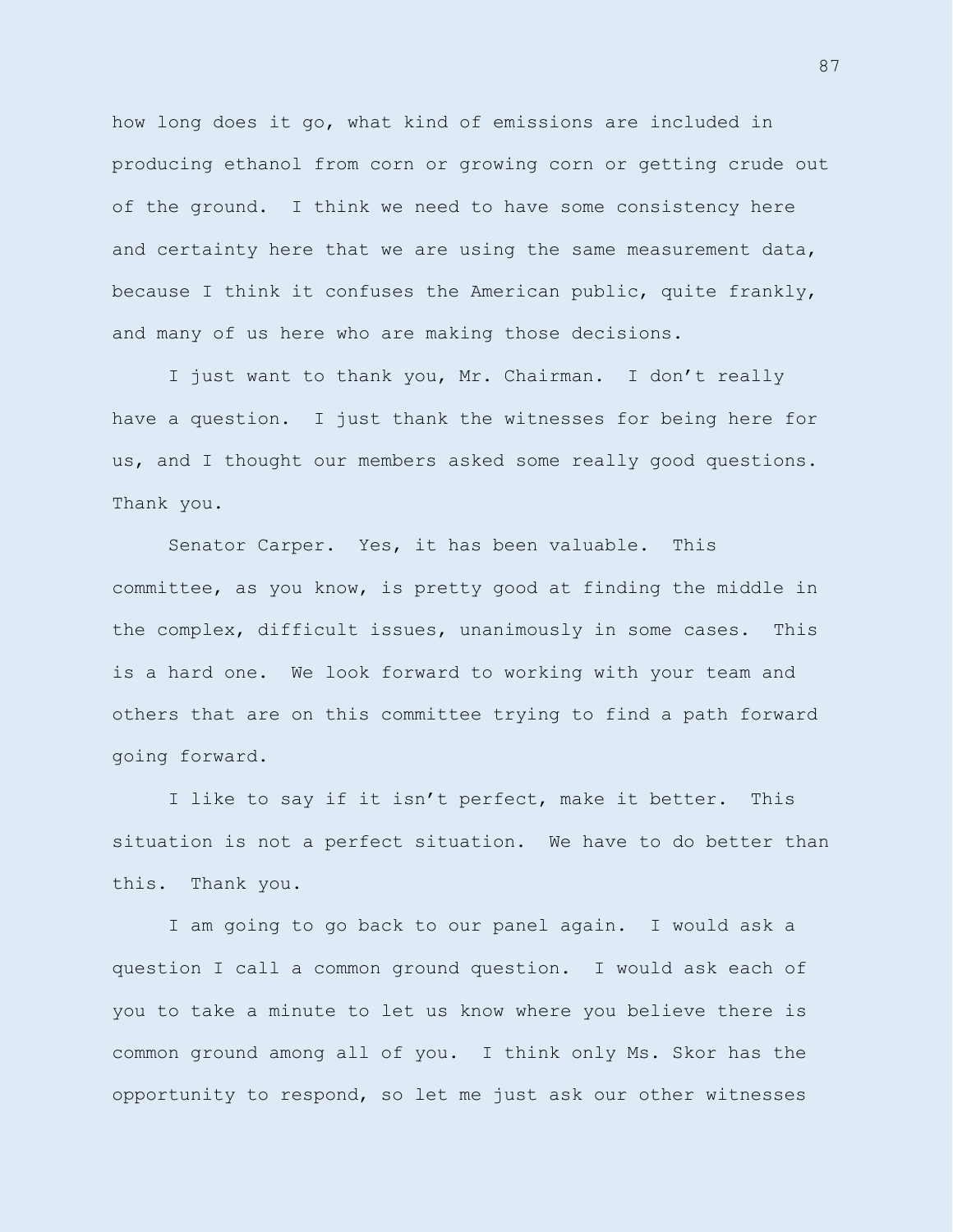how long does it go, what kind of emissions are included in producing ethanol from corn or growing corn or getting crude out of the ground. I think we need to have some consistency here and certainty here that we are using the same measurement data, because I think it confuses the American public, quite frankly, and many of us here who are making those decisions.

I just want to thank you, Mr. Chairman. I don't really have a question. I just thank the witnesses for being here for us, and I thought our members asked some really good questions. Thank you.

Senator Carper. Yes, it has been valuable. This committee, as you know, is pretty good at finding the middle in the complex, difficult issues, unanimously in some cases. This is a hard one. We look forward to working with your team and others that are on this committee trying to find a path forward going forward.

I like to say if it isn't perfect, make it better. This situation is not a perfect situation. We have to do better than this. Thank you.

I am going to go back to our panel again. I would ask a question I call a common ground question. I would ask each of you to take a minute to let us know where you believe there is common ground among all of you. I think only Ms. Skor has the opportunity to respond, so let me just ask our other witnesses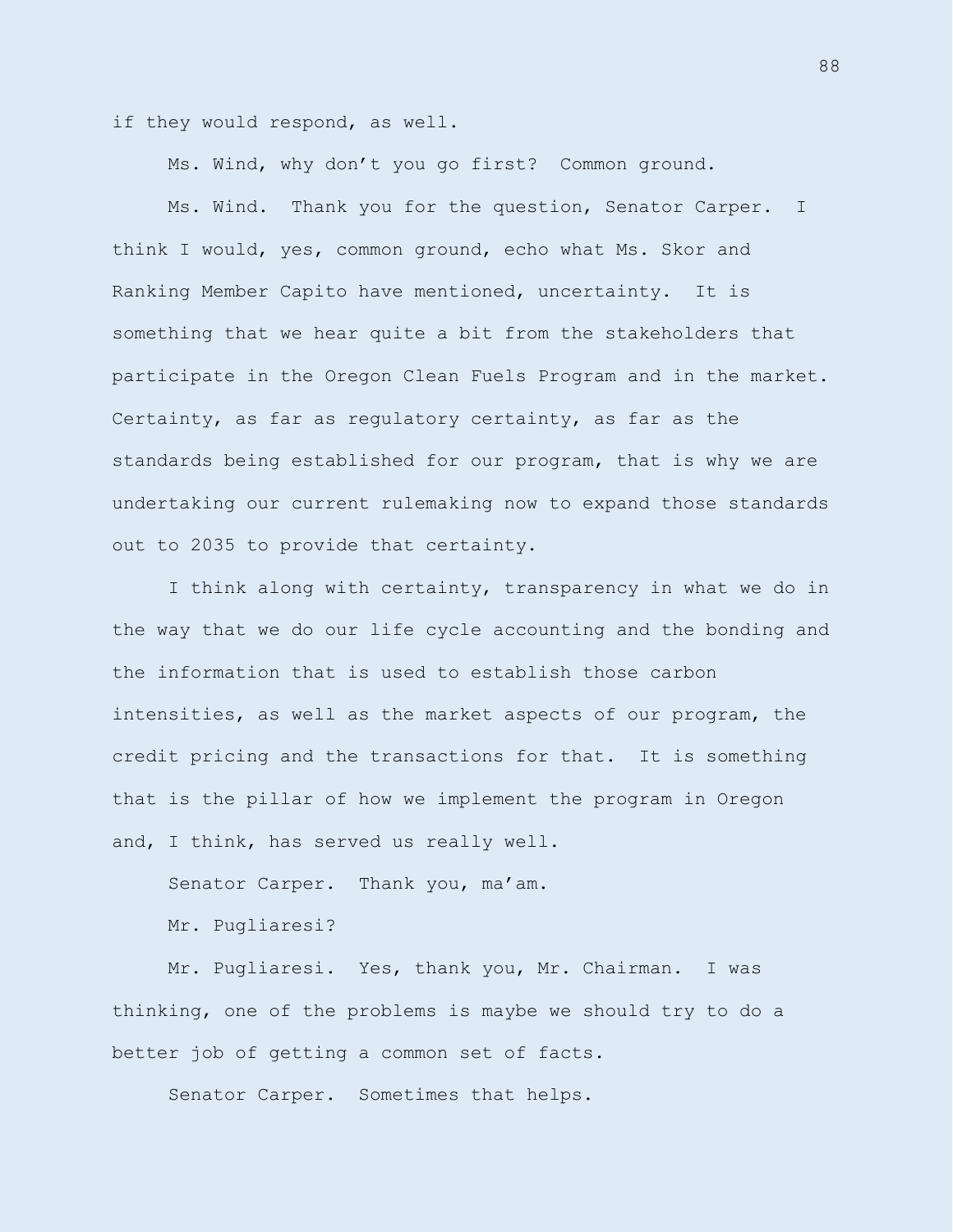if they would respond, as well.

Ms. Wind, why don't you go first? Common ground.

Ms. Wind. Thank you for the question, Senator Carper. I think I would, yes, common ground, echo what Ms. Skor and Ranking Member Capito have mentioned, uncertainty. It is something that we hear quite a bit from the stakeholders that participate in the Oregon Clean Fuels Program and in the market. Certainty, as far as regulatory certainty, as far as the standards being established for our program, that is why we are undertaking our current rulemaking now to expand those standards out to 2035 to provide that certainty.

I think along with certainty, transparency in what we do in the way that we do our life cycle accounting and the bonding and the information that is used to establish those carbon intensities, as well as the market aspects of our program, the credit pricing and the transactions for that. It is something that is the pillar of how we implement the program in Oregon and, I think, has served us really well.

Senator Carper. Thank you, ma'am.

Mr. Pugliaresi?

Mr. Pugliaresi. Yes, thank you, Mr. Chairman. I was thinking, one of the problems is maybe we should try to do a better job of getting a common set of facts.

Senator Carper. Sometimes that helps.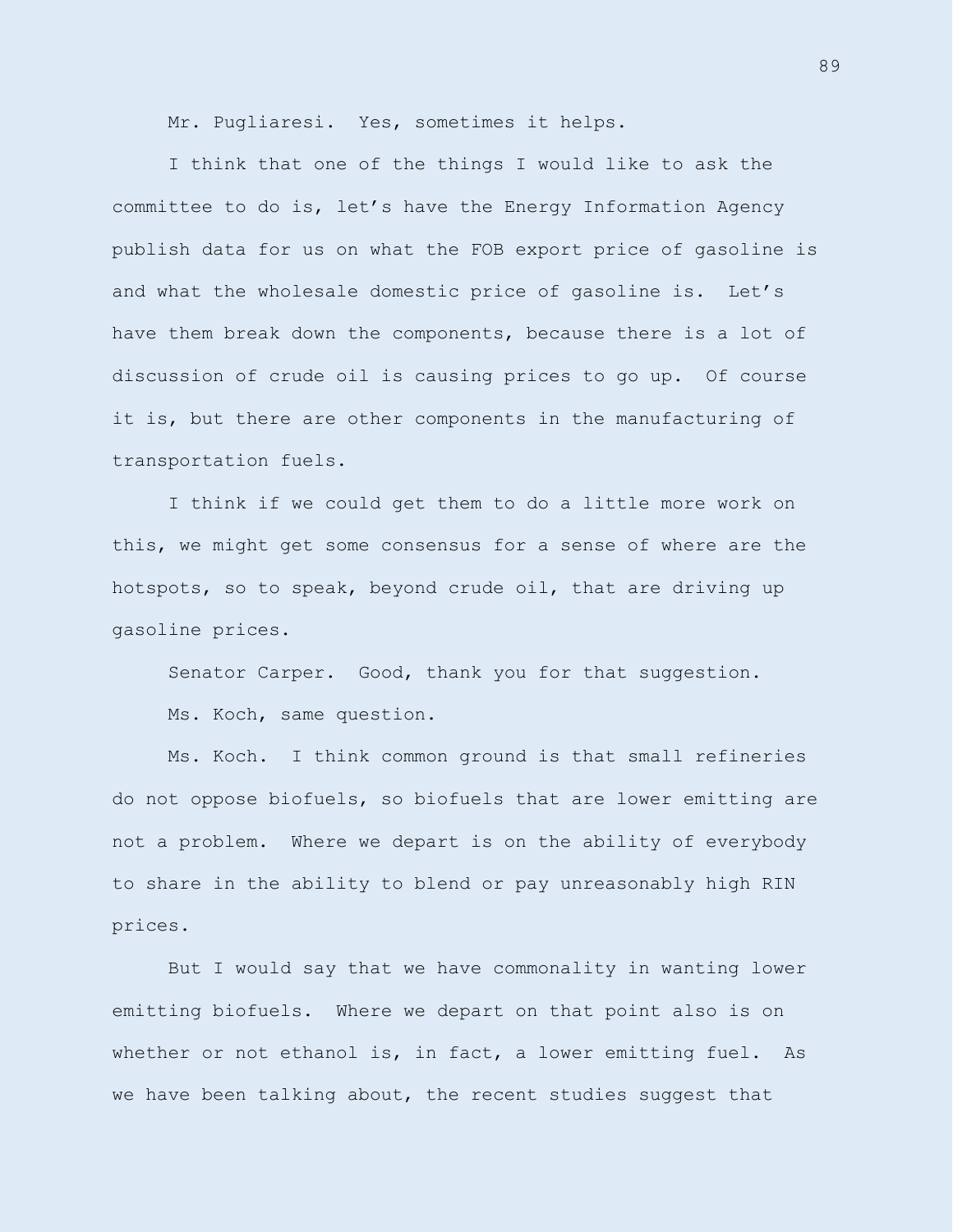Mr. Pugliaresi. Yes, sometimes it helps.

I think that one of the things I would like to ask the committee to do is, let's have the Energy Information Agency publish data for us on what the FOB export price of gasoline is and what the wholesale domestic price of gasoline is. Let's have them break down the components, because there is a lot of discussion of crude oil is causing prices to go up. Of course it is, but there are other components in the manufacturing of transportation fuels.

I think if we could get them to do a little more work on this, we might get some consensus for a sense of where are the hotspots, so to speak, beyond crude oil, that are driving up gasoline prices.

Senator Carper. Good, thank you for that suggestion.

Ms. Koch, same question.

Ms. Koch. I think common ground is that small refineries do not oppose biofuels, so biofuels that are lower emitting are not a problem. Where we depart is on the ability of everybody to share in the ability to blend or pay unreasonably high RIN prices.

But I would say that we have commonality in wanting lower emitting biofuels. Where we depart on that point also is on whether or not ethanol is, in fact, a lower emitting fuel. As we have been talking about, the recent studies suggest that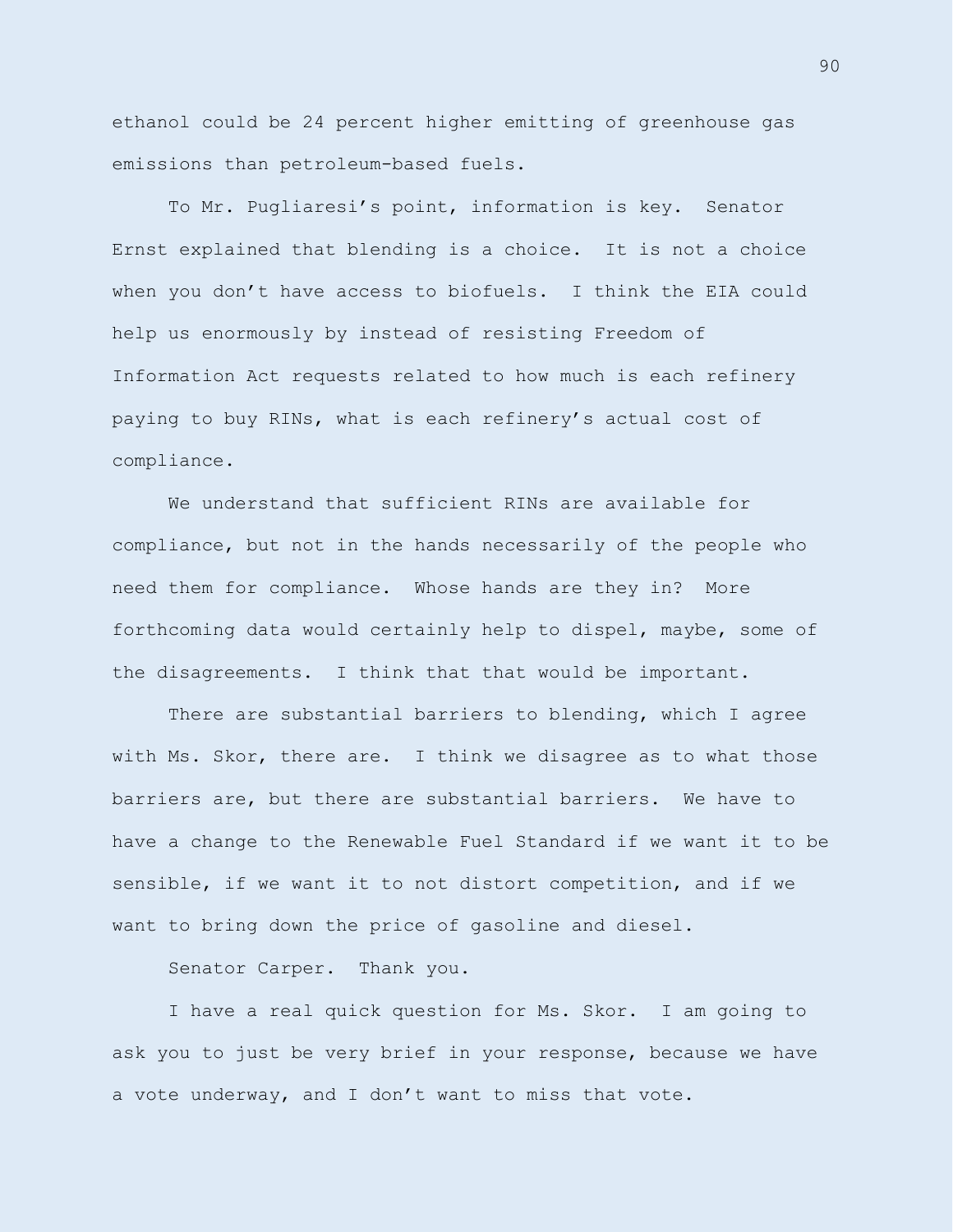ethanol could be 24 percent higher emitting of greenhouse gas emissions than petroleum-based fuels.

To Mr. Pugliaresi's point, information is key. Senator Ernst explained that blending is a choice. It is not a choice when you don't have access to biofuels. I think the EIA could help us enormously by instead of resisting Freedom of Information Act requests related to how much is each refinery paying to buy RINs, what is each refinery's actual cost of compliance.

We understand that sufficient RINs are available for compliance, but not in the hands necessarily of the people who need them for compliance. Whose hands are they in? More forthcoming data would certainly help to dispel, maybe, some of the disagreements. I think that that would be important.

There are substantial barriers to blending, which I agree with Ms. Skor, there are. I think we disagree as to what those barriers are, but there are substantial barriers. We have to have a change to the Renewable Fuel Standard if we want it to be sensible, if we want it to not distort competition, and if we want to bring down the price of gasoline and diesel.

Senator Carper. Thank you.

I have a real quick question for Ms. Skor. I am going to ask you to just be very brief in your response, because we have a vote underway, and I don't want to miss that vote.

90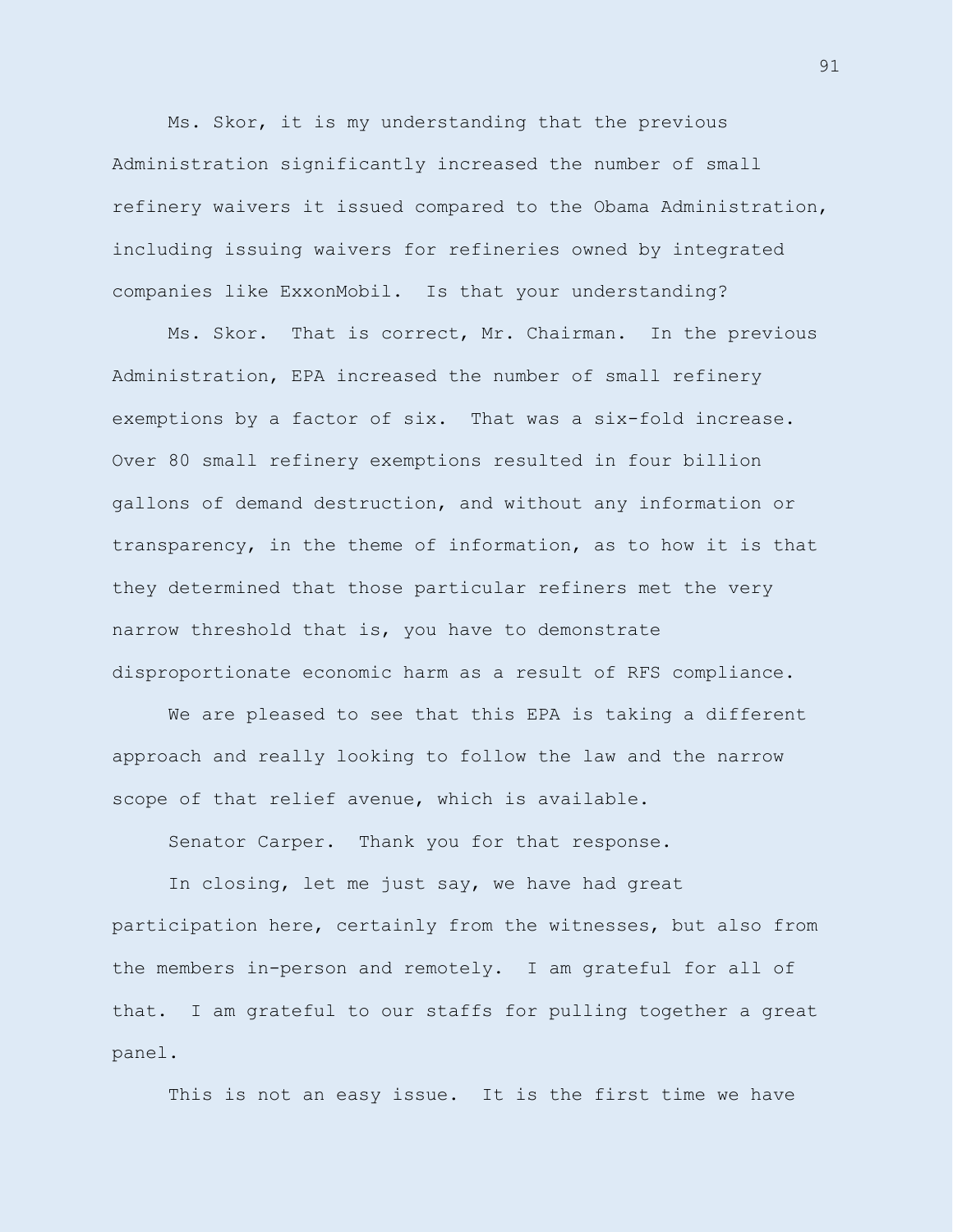Ms. Skor, it is my understanding that the previous Administration significantly increased the number of small refinery waivers it issued compared to the Obama Administration, including issuing waivers for refineries owned by integrated companies like ExxonMobil. Is that your understanding?

Ms. Skor. That is correct, Mr. Chairman. In the previous Administration, EPA increased the number of small refinery exemptions by a factor of six. That was a six-fold increase. Over 80 small refinery exemptions resulted in four billion gallons of demand destruction, and without any information or transparency, in the theme of information, as to how it is that they determined that those particular refiners met the very narrow threshold that is, you have to demonstrate disproportionate economic harm as a result of RFS compliance.

We are pleased to see that this EPA is taking a different approach and really looking to follow the law and the narrow scope of that relief avenue, which is available.

Senator Carper. Thank you for that response.

In closing, let me just say, we have had great participation here, certainly from the witnesses, but also from the members in-person and remotely. I am grateful for all of that. I am grateful to our staffs for pulling together a great panel.

This is not an easy issue. It is the first time we have